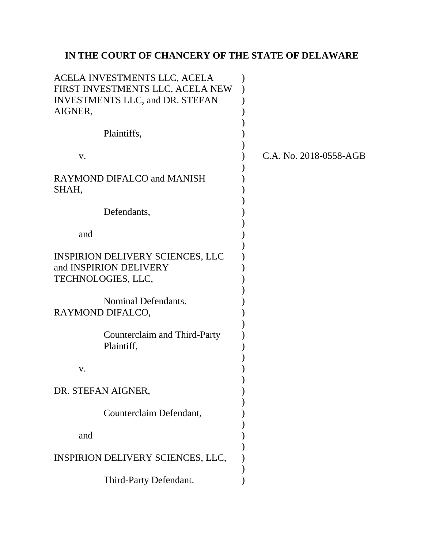# **IN THE COURT OF CHANCERY OF THE STATE OF DELAWARE**

| ACELA INVESTMENTS LLC, ACELA<br>FIRST INVESTMENTS LLC, ACELA NEW<br><b>INVESTMENTS LLC, and DR. STEFAN</b><br>AIGNER, |                        |
|-----------------------------------------------------------------------------------------------------------------------|------------------------|
| Plaintiffs,                                                                                                           |                        |
| V.                                                                                                                    | C.A. No. 2018-0558-AGB |
| <b>RAYMOND DIFALCO and MANISH</b><br>SHAH,                                                                            |                        |
| Defendants,                                                                                                           |                        |
| and                                                                                                                   |                        |
| <b>INSPIRION DELIVERY SCIENCES, LLC</b><br>and INSPIRION DELIVERY<br>TECHNOLOGIES, LLC,                               |                        |
| Nominal Defendants.                                                                                                   |                        |
| RAYMOND DIFALCO,                                                                                                      |                        |
| Counterclaim and Third-Party<br>Plaintiff,                                                                            |                        |
| V.                                                                                                                    |                        |
| DR. STEFAN AIGNER,                                                                                                    |                        |
| Counterclaim Defendant,                                                                                               |                        |
| and                                                                                                                   |                        |
| INSPIRION DELIVERY SCIENCES, LLC,                                                                                     |                        |
| Third-Party Defendant.                                                                                                |                        |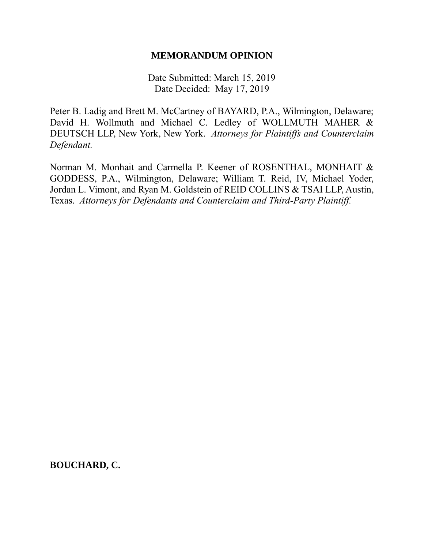#### **MEMORANDUM OPINION**

Date Submitted: March 15, 2019 Date Decided: May 17, 2019

Peter B. Ladig and Brett M. McCartney of BAYARD, P.A., Wilmington, Delaware; David H. Wollmuth and Michael C. Ledley of WOLLMUTH MAHER & DEUTSCH LLP, New York, New York. *Attorneys for Plaintiffs and Counterclaim Defendant.*

Norman M. Monhait and Carmella P. Keener of ROSENTHAL, MONHAIT & GODDESS, P.A., Wilmington, Delaware; William T. Reid, IV, Michael Yoder, Jordan L. Vimont, and Ryan M. Goldstein of REID COLLINS & TSAI LLP, Austin, Texas. *Attorneys for Defendants and Counterclaim and Third-Party Plaintiff.*

**BOUCHARD, C.**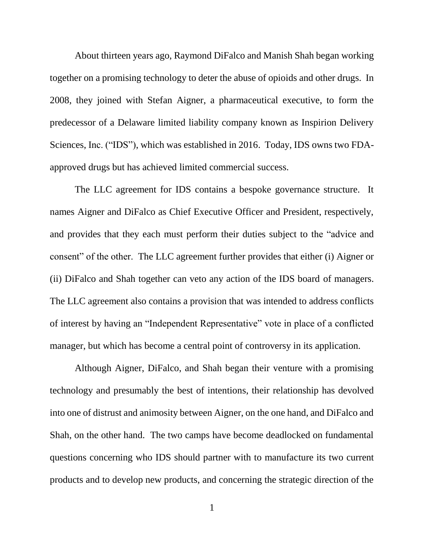About thirteen years ago, Raymond DiFalco and Manish Shah began working together on a promising technology to deter the abuse of opioids and other drugs. In 2008, they joined with Stefan Aigner, a pharmaceutical executive, to form the predecessor of a Delaware limited liability company known as Inspirion Delivery Sciences, Inc. ("IDS"), which was established in 2016. Today, IDS owns two FDAapproved drugs but has achieved limited commercial success.

The LLC agreement for IDS contains a bespoke governance structure. It names Aigner and DiFalco as Chief Executive Officer and President, respectively, and provides that they each must perform their duties subject to the "advice and consent" of the other. The LLC agreement further provides that either (i) Aigner or (ii) DiFalco and Shah together can veto any action of the IDS board of managers. The LLC agreement also contains a provision that was intended to address conflicts of interest by having an "Independent Representative" vote in place of a conflicted manager, but which has become a central point of controversy in its application.

Although Aigner, DiFalco, and Shah began their venture with a promising technology and presumably the best of intentions, their relationship has devolved into one of distrust and animosity between Aigner, on the one hand, and DiFalco and Shah, on the other hand. The two camps have become deadlocked on fundamental questions concerning who IDS should partner with to manufacture its two current products and to develop new products, and concerning the strategic direction of the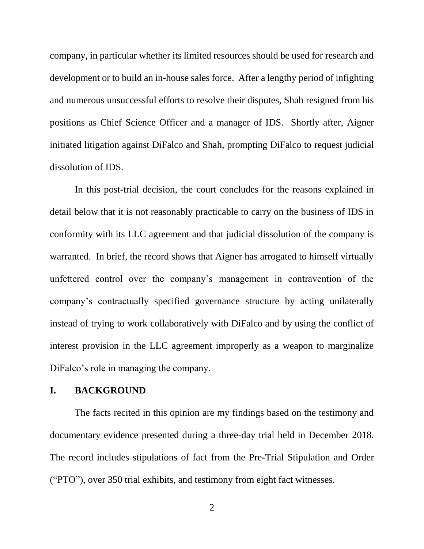company, in particular whether its limited resources should be used for research and development or to build an in-house sales force. After a lengthy period of infighting and numerous unsuccessful efforts to resolve their disputes, Shah resigned from his positions as Chief Science Officer and a manager of IDS. Shortly after, Aigner initiated litigation against DiFalco and Shah, prompting DiFalco to request judicial dissolution of IDS.

In this post-trial decision, the court concludes for the reasons explained in detail below that it is not reasonably practicable to carry on the business of IDS in conformity with its LLC agreement and that judicial dissolution of the company is warranted. In brief, the record shows that Aigner has arrogated to himself virtually unfettered control over the company's management in contravention of the company's contractually specified governance structure by acting unilaterally instead of trying to work collaboratively with DiFalco and by using the conflict of interest provision in the LLC agreement improperly as a weapon to marginalize DiFalco's role in managing the company.

#### **I. BACKGROUND**

The facts recited in this opinion are my findings based on the testimony and documentary evidence presented during a three-day trial held in December 2018. The record includes stipulations of fact from the Pre-Trial Stipulation and Order ("PTO"), over 350 trial exhibits, and testimony from eight fact witnesses.

2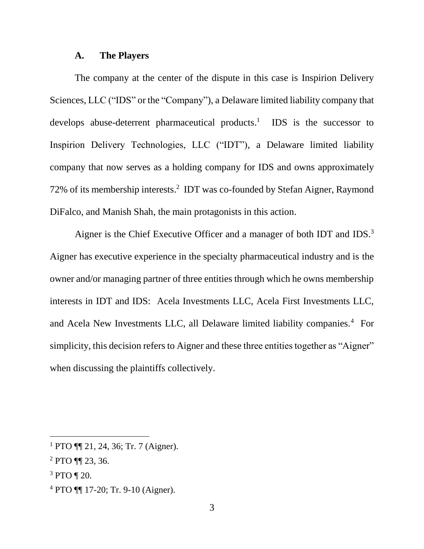#### **A. The Players**

The company at the center of the dispute in this case is Inspirion Delivery Sciences, LLC ("IDS" or the "Company"), a Delaware limited liability company that develops abuse-deterrent pharmaceutical products.<sup>1</sup> IDS is the successor to Inspirion Delivery Technologies, LLC ("IDT"), a Delaware limited liability company that now serves as a holding company for IDS and owns approximately 72% of its membership interests. 2 IDT was co-founded by Stefan Aigner, Raymond DiFalco, and Manish Shah, the main protagonists in this action.

Aigner is the Chief Executive Officer and a manager of both IDT and IDS.<sup>3</sup> Aigner has executive experience in the specialty pharmaceutical industry and is the owner and/or managing partner of three entities through which he owns membership interests in IDT and IDS: Acela Investments LLC, Acela First Investments LLC, and Acela New Investments LLC, all Delaware limited liability companies.<sup>4</sup> For simplicity, this decision refers to Aigner and these three entities together as "Aigner" when discussing the plaintiffs collectively.

 $1$  PTO ¶[ 21, 24, 36; Tr. 7 (Aigner).

<sup>2</sup> PTO ¶¶ 23, 36.

<sup>3</sup> PTO ¶ 20.

<sup>4</sup> PTO ¶¶ 17-20; Tr. 9-10 (Aigner).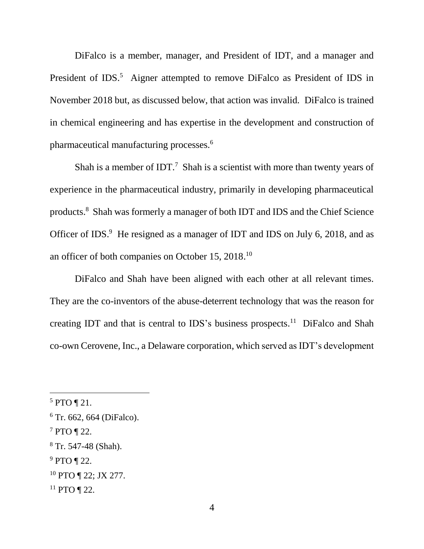DiFalco is a member, manager, and President of IDT, and a manager and President of IDS.<sup>5</sup> Aigner attempted to remove DiFalco as President of IDS in November 2018 but, as discussed below, that action was invalid. DiFalco is trained in chemical engineering and has expertise in the development and construction of pharmaceutical manufacturing processes.<sup>6</sup>

Shah is a member of IDT.<sup>7</sup> Shah is a scientist with more than twenty years of experience in the pharmaceutical industry, primarily in developing pharmaceutical products.<sup>8</sup> Shah was formerly a manager of both IDT and IDS and the Chief Science Officer of IDS.<sup>9</sup> He resigned as a manager of IDT and IDS on July 6, 2018, and as an officer of both companies on October 15, 2018.<sup>10</sup>

DiFalco and Shah have been aligned with each other at all relevant times. They are the co-inventors of the abuse-deterrent technology that was the reason for creating IDT and that is central to IDS's business prospects.<sup>11</sup> DiFalco and Shah co-own Cerovene, Inc., a Delaware corporation, which served as IDT's development

 $\overline{a}$ 

<sup>9</sup> PTO ¶ 22.

 $11$  PTO ¶ 22.

 $5$  PTO ¶ 21.

 $6$  Tr. 662, 664 (DiFalco).

 $7$  PTO ¶ 22.

<sup>8</sup> Tr. 547-48 (Shah).

<sup>10</sup> PTO ¶ 22; JX 277.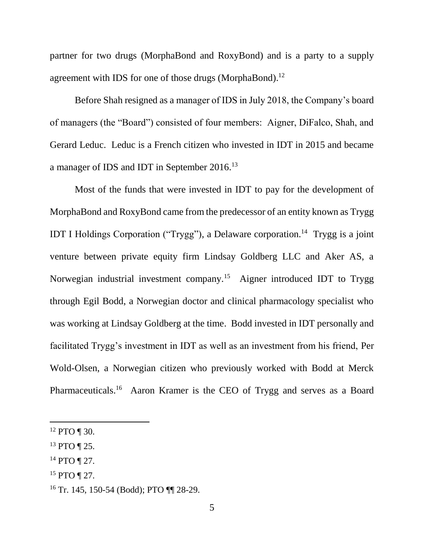partner for two drugs (MorphaBond and RoxyBond) and is a party to a supply agreement with IDS for one of those drugs (MorphaBond).<sup>12</sup>

Before Shah resigned as a manager of IDS in July 2018, the Company's board of managers (the "Board") consisted of four members: Aigner, DiFalco, Shah, and Gerard Leduc. Leduc is a French citizen who invested in IDT in 2015 and became a manager of IDS and IDT in September 2016.<sup>13</sup>

Most of the funds that were invested in IDT to pay for the development of MorphaBond and RoxyBond came from the predecessor of an entity known as Trygg IDT I Holdings Corporation ("Trygg"), a Delaware corporation.<sup>14</sup> Trygg is a joint venture between private equity firm Lindsay Goldberg LLC and Aker AS, a Norwegian industrial investment company.<sup>15</sup> Aigner introduced IDT to Trygg through Egil Bodd, a Norwegian doctor and clinical pharmacology specialist who was working at Lindsay Goldberg at the time. Bodd invested in IDT personally and facilitated Trygg's investment in IDT as well as an investment from his friend, Per Wold-Olsen, a Norwegian citizen who previously worked with Bodd at Merck Pharmaceuticals.<sup>16</sup> Aaron Kramer is the CEO of Trygg and serves as a Board

- <sup>14</sup> PTO ¶ 27.
- <sup>15</sup> PTO ¶ 27.

 $12$  PTO ¶ 30.

<sup>13</sup> PTO ¶ 25.

<sup>16</sup> Tr. 145, 150-54 (Bodd); PTO ¶¶ 28-29.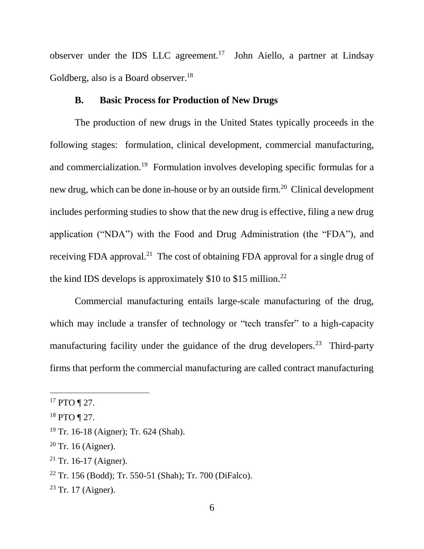observer under the IDS LLC agreement.<sup>17</sup> John Aiello, a partner at Lindsay Goldberg, also is a Board observer.<sup>18</sup>

# **B. Basic Process for Production of New Drugs**

The production of new drugs in the United States typically proceeds in the following stages: formulation, clinical development, commercial manufacturing, and commercialization.<sup>19</sup> Formulation involves developing specific formulas for a new drug, which can be done in-house or by an outside firm.<sup>20</sup> Clinical development includes performing studies to show that the new drug is effective, filing a new drug application ("NDA") with the Food and Drug Administration (the "FDA"), and receiving FDA approval.<sup>21</sup> The cost of obtaining FDA approval for a single drug of the kind IDS develops is approximately \$10 to \$15 million.<sup>22</sup>

Commercial manufacturing entails large-scale manufacturing of the drug, which may include a transfer of technology or "tech transfer" to a high-capacity manufacturing facility under the guidance of the drug developers.<sup>23</sup> Third-party firms that perform the commercial manufacturing are called contract manufacturing

<sup>17</sup> PTO ¶ 27.

 $18$  PTO ¶ 27.

<sup>19</sup> Tr. 16-18 (Aigner); Tr. 624 (Shah).

 $20$  Tr. 16 (Aigner).

 $21$  Tr. 16-17 (Aigner).

<sup>22</sup> Tr. 156 (Bodd); Tr. 550-51 (Shah); Tr. 700 (DiFalco).

 $23$  Tr. 17 (Aigner).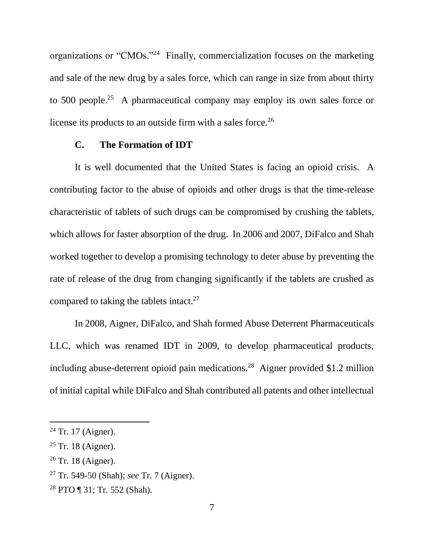organizations or "CMOs."<sup>24</sup> Finally, commercialization focuses on the marketing and sale of the new drug by a sales force, which can range in size from about thirty to 500 people.<sup>25</sup> A pharmaceutical company may employ its own sales force or license its products to an outside firm with a sales force.<sup>26</sup>

#### **C. The Formation of IDT**

It is well documented that the United States is facing an opioid crisis. A contributing factor to the abuse of opioids and other drugs is that the time-release characteristic of tablets of such drugs can be compromised by crushing the tablets, which allows for faster absorption of the drug. In 2006 and 2007, DiFalco and Shah worked together to develop a promising technology to deter abuse by preventing the rate of release of the drug from changing significantly if the tablets are crushed as compared to taking the tablets intact.<sup>27</sup>

In 2008, Aigner, DiFalco, and Shah formed Abuse Deterrent Pharmaceuticals LLC, which was renamed IDT in 2009, to develop pharmaceutical products, including abuse-deterrent opioid pain medications. 28 Aigner provided \$1.2 million of initial capital while DiFalco and Shah contributed all patents and other intellectual

 $24$  Tr. 17 (Aigner).

 $25$  Tr. 18 (Aigner).

 $26$  Tr. 18 (Aigner).

<sup>27</sup> Tr. 549-50 (Shah); *see* Tr. 7 (Aigner).

<sup>28</sup> PTO ¶ 31; Tr. 552 (Shah).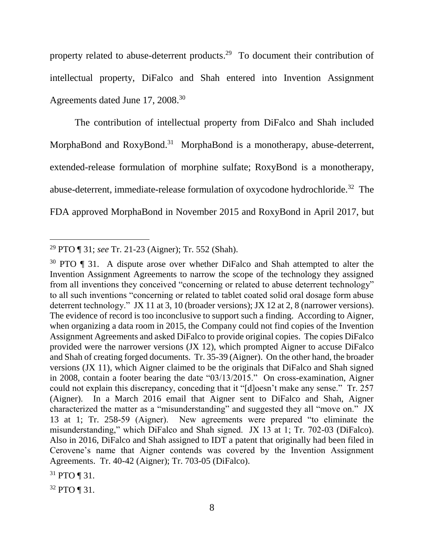property related to abuse-deterrent products.<sup>29</sup> To document their contribution of intellectual property, DiFalco and Shah entered into Invention Assignment Agreements dated June 17, 2008.<sup>30</sup>

The contribution of intellectual property from DiFalco and Shah included MorphaBond and RoxyBond.<sup>31</sup> MorphaBond is a monotherapy, abuse-deterrent, extended-release formulation of morphine sulfate; RoxyBond is a monotherapy, abuse-deterrent, immediate-release formulation of oxycodone hydrochloride.<sup>32</sup> The FDA approved MorphaBond in November 2015 and RoxyBond in April 2017, but

<sup>29</sup> PTO ¶ 31; *see* Tr. 21-23 (Aigner); Tr. 552 (Shah).

<sup>&</sup>lt;sup>30</sup> PTO ¶ 31. A dispute arose over whether DiFalco and Shah attempted to alter the Invention Assignment Agreements to narrow the scope of the technology they assigned from all inventions they conceived "concerning or related to abuse deterrent technology" to all such inventions "concerning or related to tablet coated solid oral dosage form abuse deterrent technology." JX 11 at 3, 10 (broader versions); JX 12 at 2, 8 (narrower versions). The evidence of record is too inconclusive to support such a finding. According to Aigner, when organizing a data room in 2015, the Company could not find copies of the Invention Assignment Agreements and asked DiFalco to provide original copies. The copies DiFalco provided were the narrower versions (JX 12), which prompted Aigner to accuse DiFalco and Shah of creating forged documents. Tr. 35-39 (Aigner). On the other hand, the broader versions (JX 11), which Aigner claimed to be the originals that DiFalco and Shah signed in 2008, contain a footer bearing the date "03/13/2015." On cross-examination, Aigner could not explain this discrepancy, conceding that it "[d]oesn't make any sense." Tr. 257 (Aigner). In a March 2016 email that Aigner sent to DiFalco and Shah, Aigner characterized the matter as a "misunderstanding" and suggested they all "move on." JX 13 at 1; Tr. 258-59 (Aigner). New agreements were prepared "to eliminate the misunderstanding," which DiFalco and Shah signed. JX 13 at 1; Tr. 702-03 (DiFalco). Also in 2016, DiFalco and Shah assigned to IDT a patent that originally had been filed in Cerovene's name that Aigner contends was covered by the Invention Assignment Agreements. Tr. 40-42 (Aigner); Tr. 703-05 (DiFalco).

<sup>31</sup> PTO ¶ 31.

<sup>32</sup> PTO ¶ 31.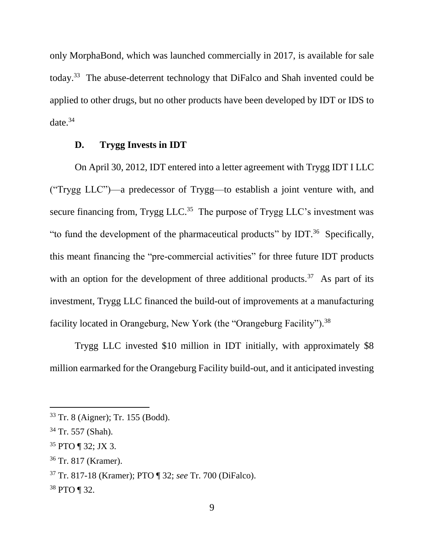only MorphaBond, which was launched commercially in 2017, is available for sale today.<sup>33</sup> The abuse-deterrent technology that DiFalco and Shah invented could be applied to other drugs, but no other products have been developed by IDT or IDS to date. 34

#### **D. Trygg Invests in IDT**

On April 30, 2012, IDT entered into a letter agreement with Trygg IDT I LLC ("Trygg LLC")—a predecessor of Trygg—to establish a joint venture with, and secure financing from, Trygg LLC.<sup>35</sup> The purpose of Trygg LLC's investment was "to fund the development of the pharmaceutical products" by IDT. $36$  Specifically, this meant financing the "pre-commercial activities" for three future IDT products with an option for the development of three additional products.<sup>37</sup> As part of its investment, Trygg LLC financed the build-out of improvements at a manufacturing facility located in Orangeburg, New York (the "Orangeburg Facility").<sup>38</sup>

Trygg LLC invested \$10 million in IDT initially, with approximately \$8 million earmarked for the Orangeburg Facility build-out, and it anticipated investing

<sup>33</sup> Tr. 8 (Aigner); Tr. 155 (Bodd).

<sup>34</sup> Tr. 557 (Shah).

<sup>35</sup> PTO ¶ 32; JX 3.

<sup>36</sup> Tr. 817 (Kramer).

<sup>37</sup> Tr. 817-18 (Kramer); PTO ¶ 32; *see* Tr. 700 (DiFalco).

<sup>38</sup> PTO ¶ 32.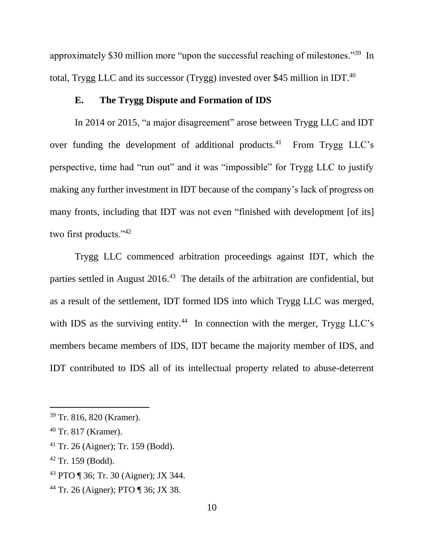approximately \$30 million more "upon the successful reaching of milestones."<sup>39</sup> In total, Trygg LLC and its successor (Trygg) invested over \$45 million in IDT.<sup>40</sup>

## **E. The Trygg Dispute and Formation of IDS**

In 2014 or 2015, "a major disagreement" arose between Trygg LLC and IDT over funding the development of additional products.<sup>41</sup> From Trygg LLC's perspective, time had "run out" and it was "impossible" for Trygg LLC to justify making any further investment in IDT because of the company's lack of progress on many fronts, including that IDT was not even "finished with development [of its] two first products."<sup>42</sup>

Trygg LLC commenced arbitration proceedings against IDT, which the parties settled in August 2016.<sup>43</sup> The details of the arbitration are confidential, but as a result of the settlement, IDT formed IDS into which Trygg LLC was merged, with IDS as the surviving entity.<sup>44</sup> In connection with the merger, Trygg LLC's members became members of IDS, IDT became the majority member of IDS, and IDT contributed to IDS all of its intellectual property related to abuse-deterrent

- <sup>41</sup> Tr. 26 (Aigner); Tr. 159 (Bodd).
- $42$  Tr. 159 (Bodd).
- <sup>43</sup> PTO ¶ 36; Tr. 30 (Aigner); JX 344.
- <sup>44</sup> Tr. 26 (Aigner); PTO ¶ 36; JX 38.

<sup>39</sup> Tr. 816, 820 (Kramer).

<sup>40</sup> Tr. 817 (Kramer).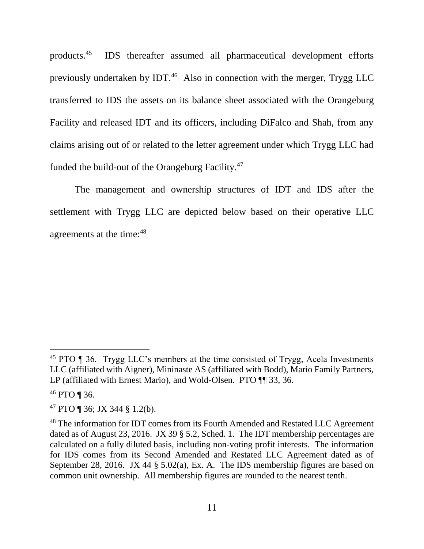products.<sup>45</sup> IDS thereafter assumed all pharmaceutical development efforts previously undertaken by IDT.<sup>46</sup> Also in connection with the merger, Trygg LLC transferred to IDS the assets on its balance sheet associated with the Orangeburg Facility and released IDT and its officers, including DiFalco and Shah, from any claims arising out of or related to the letter agreement under which Trygg LLC had funded the build-out of the Orangeburg Facility.<sup>47</sup>

The management and ownership structures of IDT and IDS after the settlement with Trygg LLC are depicted below based on their operative LLC agreements at the time:<sup>48</sup>

<sup>46</sup> PTO ¶ 36.

l

<sup>47</sup> PTO ¶ 36; JX 344 § 1.2(b).

<sup>&</sup>lt;sup>45</sup> PTO ¶ 36. Trygg LLC's members at the time consisted of Trygg, Acela Investments LLC (affiliated with Aigner), Mininaste AS (affiliated with Bodd), Mario Family Partners, LP (affiliated with Ernest Mario), and Wold-Olsen. PTO  $\P$  33, 36.

<sup>&</sup>lt;sup>48</sup> The information for IDT comes from its Fourth Amended and Restated LLC Agreement dated as of August 23, 2016. JX 39 § 5.2, Sched. 1. The IDT membership percentages are calculated on a fully diluted basis, including non-voting profit interests. The information for IDS comes from its Second Amended and Restated LLC Agreement dated as of September 28, 2016. JX 44 § 5.02(a), Ex. A. The IDS membership figures are based on common unit ownership. All membership figures are rounded to the nearest tenth.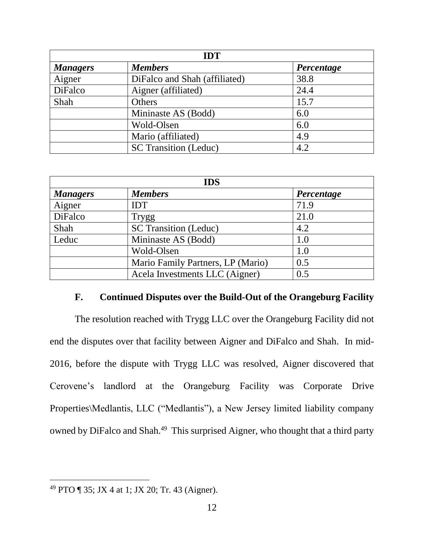| <b>IDT</b>      |                               |            |  |
|-----------------|-------------------------------|------------|--|
| <b>Managers</b> | <b>Members</b>                | Percentage |  |
| Aigner          | DiFalco and Shah (affiliated) | 38.8       |  |
| DiFalco         | Aigner (affiliated)           | 24.4       |  |
| Shah            | Others                        | 15.7       |  |
|                 | Mininaste AS (Bodd)           | 6.0        |  |
|                 | Wold-Olsen                    | 6.0        |  |
|                 | Mario (affiliated)            | 4.9        |  |
|                 | <b>SC Transition (Leduc)</b>  | 4.2        |  |

| <b>IDS</b>      |                                   |            |
|-----------------|-----------------------------------|------------|
| <b>Managers</b> | <b>Members</b>                    | Percentage |
| Aigner          | <b>IDT</b>                        | 71.9       |
| DiFalco         | <b>Trygg</b>                      | 21.0       |
| Shah            | <b>SC Transition (Leduc)</b>      | 4.2        |
| Leduc           | Mininaste AS (Bodd)               | 1.0        |
|                 | Wold-Olsen                        | 1.0        |
|                 | Mario Family Partners, LP (Mario) | 0.5        |
|                 | Acela Investments LLC (Aigner)    | 0.5        |

#### **F. Continued Disputes over the Build-Out of the Orangeburg Facility**

The resolution reached with Trygg LLC over the Orangeburg Facility did not end the disputes over that facility between Aigner and DiFalco and Shah. In mid-2016, before the dispute with Trygg LLC was resolved, Aigner discovered that Cerovene's landlord at the Orangeburg Facility was Corporate Drive Properties\Medlantis, LLC ("Medlantis"), a New Jersey limited liability company owned by DiFalco and Shah.<sup>49</sup> This surprised Aigner, who thought that a third party

<sup>&</sup>lt;sup>49</sup> PTO  $\P$  35; JX 4 at 1; JX 20; Tr. 43 (Aigner).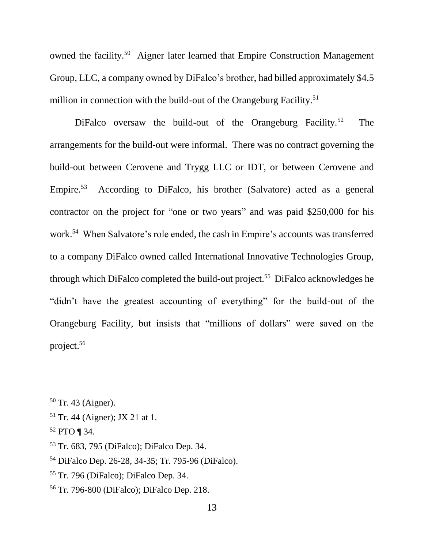owned the facility.<sup>50</sup> Aigner later learned that Empire Construction Management Group, LLC, a company owned by DiFalco's brother, had billed approximately \$4.5 million in connection with the build-out of the Orangeburg Facility.<sup>51</sup>

DiFalco oversaw the build-out of the Orangeburg Facility.<sup>52</sup> The arrangements for the build-out were informal. There was no contract governing the build-out between Cerovene and Trygg LLC or IDT, or between Cerovene and Empire. $53$  According to DiFalco, his brother (Salvatore) acted as a general contractor on the project for "one or two years" and was paid \$250,000 for his work. 54 When Salvatore's role ended, the cash in Empire's accounts was transferred to a company DiFalco owned called International Innovative Technologies Group, through which DiFalco completed the build-out project.<sup>55</sup> DiFalco acknowledges he "didn't have the greatest accounting of everything" for the build-out of the Orangeburg Facility, but insists that "millions of dollars" were saved on the project. 56

<sup>50</sup> Tr. 43 (Aigner).

<sup>51</sup> Tr. 44 (Aigner); JX 21 at 1.

 $52$  PTO ¶ 34.

<sup>53</sup> Tr. 683, 795 (DiFalco); DiFalco Dep. 34.

<sup>54</sup> DiFalco Dep. 26-28, 34-35; Tr. 795-96 (DiFalco).

<sup>55</sup> Tr. 796 (DiFalco); DiFalco Dep. 34.

<sup>56</sup> Tr. 796-800 (DiFalco); DiFalco Dep. 218.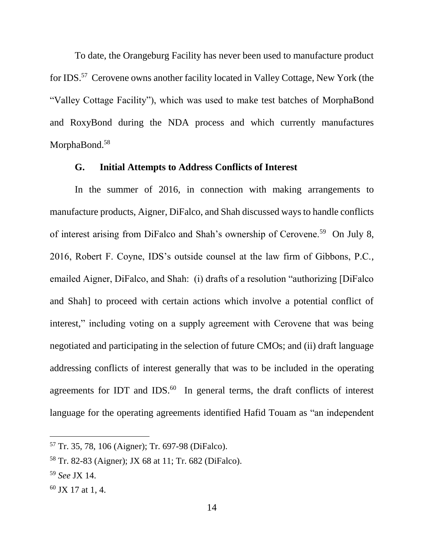To date, the Orangeburg Facility has never been used to manufacture product for IDS.<sup>57</sup> Cerovene owns another facility located in Valley Cottage, New York (the "Valley Cottage Facility"), which was used to make test batches of MorphaBond and RoxyBond during the NDA process and which currently manufactures MorphaBond.<sup>58</sup>

### **G. Initial Attempts to Address Conflicts of Interest**

In the summer of 2016, in connection with making arrangements to manufacture products, Aigner, DiFalco, and Shah discussed ways to handle conflicts of interest arising from DiFalco and Shah's ownership of Cerovene.<sup>59</sup> On July 8, 2016, Robert F. Coyne, IDS's outside counsel at the law firm of Gibbons, P.C., emailed Aigner, DiFalco, and Shah: (i) drafts of a resolution "authorizing [DiFalco and Shah] to proceed with certain actions which involve a potential conflict of interest," including voting on a supply agreement with Cerovene that was being negotiated and participating in the selection of future CMOs; and (ii) draft language addressing conflicts of interest generally that was to be included in the operating agreements for IDT and IDS. $^{60}$  In general terms, the draft conflicts of interest language for the operating agreements identified Hafid Touam as "an independent

<sup>57</sup> Tr. 35, 78, 106 (Aigner); Tr. 697-98 (DiFalco).

<sup>58</sup> Tr. 82-83 (Aigner); JX 68 at 11; Tr. 682 (DiFalco).

<sup>59</sup> *See* JX 14.

 $60$  JX 17 at 1, 4.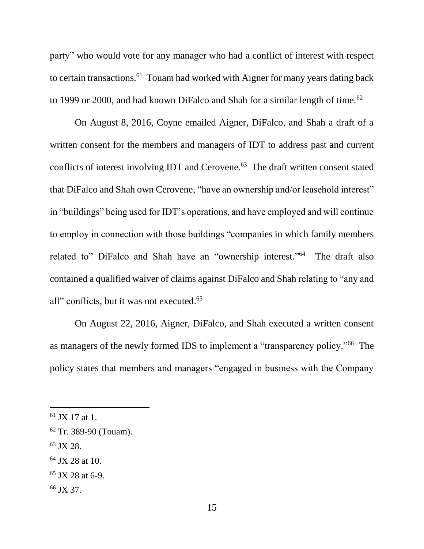party" who would vote for any manager who had a conflict of interest with respect to certain transactions.<sup>61</sup> Touam had worked with Aigner for many years dating back to 1999 or 2000, and had known DiFalco and Shah for a similar length of time.<sup>62</sup>

On August 8, 2016, Coyne emailed Aigner, DiFalco, and Shah a draft of a written consent for the members and managers of IDT to address past and current conflicts of interest involving IDT and Cerovene. 63 The draft written consent stated that DiFalco and Shah own Cerovene, "have an ownership and/or leasehold interest" in "buildings" being used for IDT's operations, and have employed and will continue to employ in connection with those buildings "companies in which family members related to" DiFalco and Shah have an "ownership interest."<sup>64</sup> The draft also contained a qualified waiver of claims against DiFalco and Shah relating to "any and all" conflicts, but it was not executed. 65

On August 22, 2016, Aigner, DiFalco, and Shah executed a written consent as managers of the newly formed IDS to implement a "transparency policy."<sup>66</sup> The policy states that members and managers "engaged in business with the Company

<sup>63</sup> JX 28.

l

 $64$  JX 28 at 10.

<sup>66</sup> JX 37.

 $61$  JX 17 at 1.

<sup>62</sup> Tr. 389-90 (Touam).

 $65$  JX 28 at 6-9.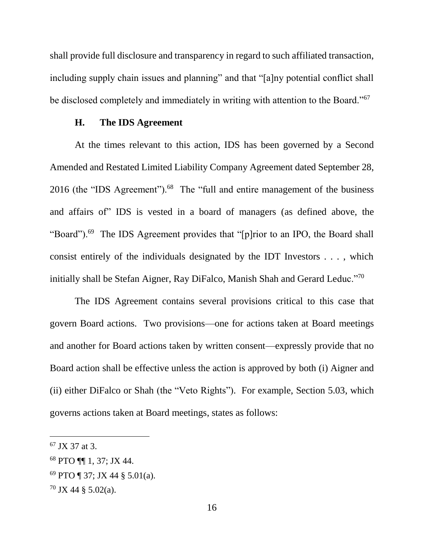shall provide full disclosure and transparency in regard to such affiliated transaction, including supply chain issues and planning" and that "[a]ny potential conflict shall be disclosed completely and immediately in writing with attention to the Board."<sup>67</sup>

#### **H. The IDS Agreement**

At the times relevant to this action, IDS has been governed by a Second Amended and Restated Limited Liability Company Agreement dated September 28, 2016 (the "IDS Agreement").<sup>68</sup> The "full and entire management of the business and affairs of" IDS is vested in a board of managers (as defined above, the "Board").<sup>69</sup> The IDS Agreement provides that "[p]rior to an IPO, the Board shall consist entirely of the individuals designated by the IDT Investors . . . , which initially shall be Stefan Aigner, Ray DiFalco, Manish Shah and Gerard Leduc."70

The IDS Agreement contains several provisions critical to this case that govern Board actions. Two provisions—one for actions taken at Board meetings and another for Board actions taken by written consent—expressly provide that no Board action shall be effective unless the action is approved by both (i) Aigner and (ii) either DiFalco or Shah (the "Veto Rights"). For example, Section 5.03, which governs actions taken at Board meetings, states as follows:

 $67$  JX 37 at 3.

<sup>68</sup> PTO ¶¶ 1, 37; JX 44.

<sup>69</sup> PTO ¶ 37; JX 44 § 5.01(a).

 $70$  JX 44 § 5.02(a).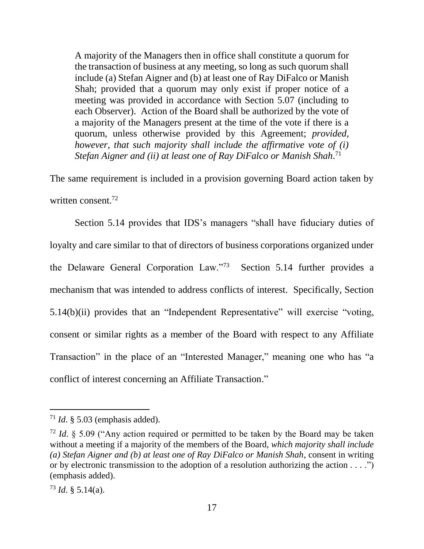A majority of the Managers then in office shall constitute a quorum for the transaction of business at any meeting, so long as such quorum shall include (a) Stefan Aigner and (b) at least one of Ray DiFalco or Manish Shah; provided that a quorum may only exist if proper notice of a meeting was provided in accordance with Section 5.07 (including to each Observer). Action of the Board shall be authorized by the vote of a majority of the Managers present at the time of the vote if there is a quorum, unless otherwise provided by this Agreement; *provided, however, that such majority shall include the affirmative vote of (i) Stefan Aigner and (ii) at least one of Ray DiFalco or Manish Shah*. 71

The same requirement is included in a provision governing Board action taken by written consent.<sup>72</sup>

Section 5.14 provides that IDS's managers "shall have fiduciary duties of loyalty and care similar to that of directors of business corporations organized under the Delaware General Corporation Law."<sup>73</sup> Section 5.14 further provides a mechanism that was intended to address conflicts of interest. Specifically, Section 5.14(b)(ii) provides that an "Independent Representative" will exercise "voting, consent or similar rights as a member of the Board with respect to any Affiliate Transaction" in the place of an "Interested Manager," meaning one who has "a conflict of interest concerning an Affiliate Transaction."

<sup>71</sup> *Id*. § 5.03 (emphasis added).

<sup>&</sup>lt;sup>72</sup> *Id.* § 5.09 ("Any action required or permitted to be taken by the Board may be taken without a meeting if a majority of the members of the Board, *which majority shall include (a) Stefan Aigner and (b) at least one of Ray DiFalco or Manish Shah*, consent in writing or by electronic transmission to the adoption of a resolution authorizing the action . . . .") (emphasis added).

 $^{73}$  *Id.* § 5.14(a).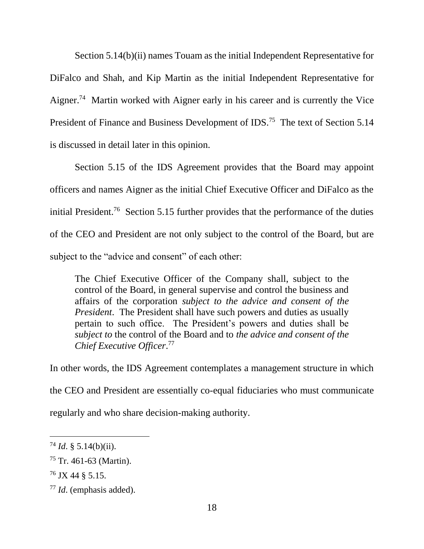Section 5.14(b)(ii) names Touam as the initial Independent Representative for DiFalco and Shah, and Kip Martin as the initial Independent Representative for Aigner.<sup>74</sup> Martin worked with Aigner early in his career and is currently the Vice President of Finance and Business Development of IDS.<sup>75</sup> The text of Section 5.14 is discussed in detail later in this opinion.

Section 5.15 of the IDS Agreement provides that the Board may appoint officers and names Aigner as the initial Chief Executive Officer and DiFalco as the initial President.<sup>76</sup> Section 5.15 further provides that the performance of the duties of the CEO and President are not only subject to the control of the Board, but are subject to the "advice and consent" of each other:

The Chief Executive Officer of the Company shall, subject to the control of the Board, in general supervise and control the business and affairs of the corporation *subject to the advice and consent of the President*. The President shall have such powers and duties as usually pertain to such office. The President's powers and duties shall be *subject to* the control of the Board and to *the advice and consent of the Chief Executive Officer*. 77

In other words, the IDS Agreement contemplates a management structure in which

the CEO and President are essentially co-equal fiduciaries who must communicate

regularly and who share decision-making authority.

 $^{74}$  *Id.* § 5.14(b)(ii).

 $75$  Tr. 461-63 (Martin).

<sup>76</sup> JX 44 § 5.15.

<sup>77</sup> *Id*. (emphasis added).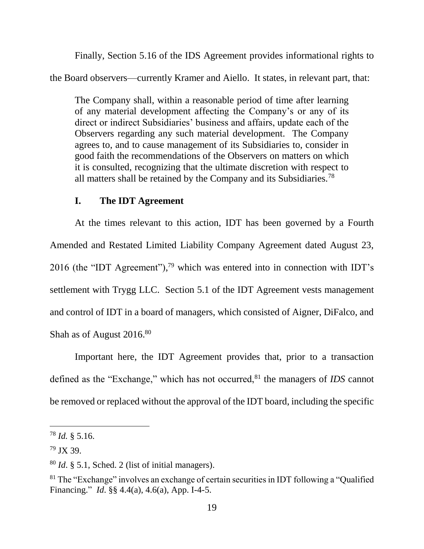Finally, Section 5.16 of the IDS Agreement provides informational rights to the Board observers—currently Kramer and Aiello. It states, in relevant part, that:

The Company shall, within a reasonable period of time after learning of any material development affecting the Company's or any of its direct or indirect Subsidiaries' business and affairs, update each of the Observers regarding any such material development. The Company agrees to, and to cause management of its Subsidiaries to, consider in good faith the recommendations of the Observers on matters on which it is consulted, recognizing that the ultimate discretion with respect to all matters shall be retained by the Company and its Subsidiaries.<sup>78</sup>

#### **I. The IDT Agreement**

At the times relevant to this action, IDT has been governed by a Fourth Amended and Restated Limited Liability Company Agreement dated August 23, 2016 (the "IDT Agreement"),<sup>79</sup> which was entered into in connection with IDT's settlement with Trygg LLC. Section 5.1 of the IDT Agreement vests management and control of IDT in a board of managers, which consisted of Aigner, DiFalco, and Shah as of August 2016.80

Important here, the IDT Agreement provides that, prior to a transaction defined as the "Exchange," which has not occurred, <sup>81</sup> the managers of *IDS* cannot be removed or replaced without the approval of the IDT board, including the specific

<sup>78</sup> *Id.* § 5.16.

<sup>79</sup> JX 39.

<sup>80</sup> *Id*. § 5.1, Sched. 2 (list of initial managers).

<sup>&</sup>lt;sup>81</sup> The "Exchange" involves an exchange of certain securities in IDT following a "Qualified" Financing." *Id*. §§ 4.4(a), 4.6(a), App. I-4-5.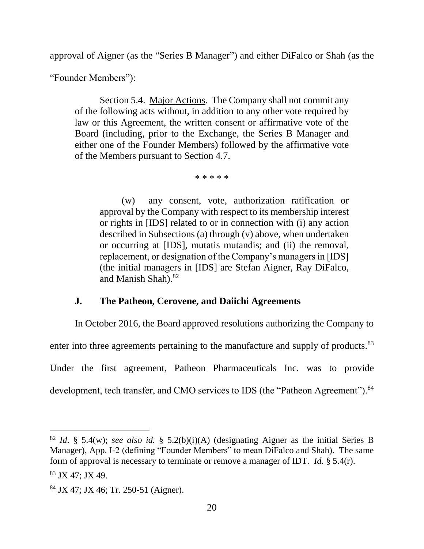approval of Aigner (as the "Series B Manager") and either DiFalco or Shah (as the

"Founder Members"):

Section 5.4. Major Actions. The Company shall not commit any of the following acts without, in addition to any other vote required by law or this Agreement, the written consent or affirmative vote of the Board (including, prior to the Exchange, the Series B Manager and either one of the Founder Members) followed by the affirmative vote of the Members pursuant to Section 4.7.

\* \* \* \* \*

(w) any consent, vote, authorization ratification or approval by the Company with respect to its membership interest or rights in [IDS] related to or in connection with (i) any action described in Subsections (a) through (v) above, when undertaken or occurring at [IDS], mutatis mutandis; and (ii) the removal, replacement, or designation of the Company's managers in [IDS] (the initial managers in [IDS] are Stefan Aigner, Ray DiFalco, and Manish Shah). $82$ 

### **J. The Patheon, Cerovene, and Daiichi Agreements**

In October 2016, the Board approved resolutions authorizing the Company to enter into three agreements pertaining to the manufacture and supply of products.<sup>83</sup> Under the first agreement, Patheon Pharmaceuticals Inc. was to provide development, tech transfer, and CMO services to IDS (the "Patheon Agreement").<sup>84</sup>

<sup>82</sup> *Id*. § 5.4(w); *see also id.* § 5.2(b)(i)(A) (designating Aigner as the initial Series B Manager), App. I-2 (defining "Founder Members" to mean DiFalco and Shah). The same form of approval is necessary to terminate or remove a manager of IDT. *Id.* § 5.4(r).

<sup>83</sup> JX 47; JX 49.

<sup>84</sup> JX 47; JX 46; Tr. 250-51 (Aigner).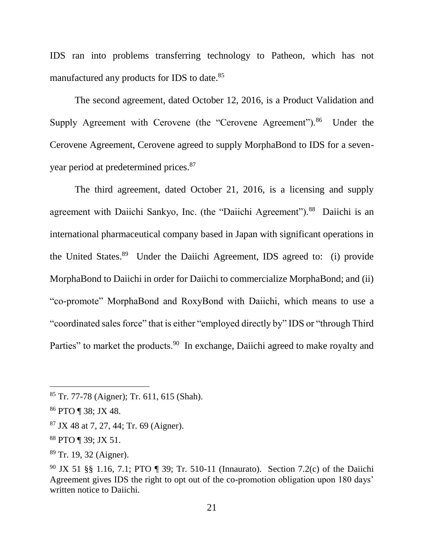IDS ran into problems transferring technology to Patheon, which has not manufactured any products for IDS to date.<sup>85</sup>

The second agreement, dated October 12, 2016, is a Product Validation and Supply Agreement with Cerovene (the "Cerovene Agreement").<sup>86</sup> Under the Cerovene Agreement, Cerovene agreed to supply MorphaBond to IDS for a sevenyear period at predetermined prices.<sup>87</sup>

The third agreement, dated October 21, 2016, is a licensing and supply agreement with Daiichi Sankyo, Inc. (the "Daiichi Agreement").<sup>88</sup> Daiichi is an international pharmaceutical company based in Japan with significant operations in the United States.<sup>89</sup> Under the Daiichi Agreement, IDS agreed to: (i) provide MorphaBond to Daiichi in order for Daiichi to commercialize MorphaBond; and (ii) "co-promote" MorphaBond and RoxyBond with Daiichi, which means to use a "coordinated sales force" that is either "employed directly by" IDS or "through Third Parties" to market the products.<sup>90</sup> In exchange, Daiichi agreed to make royalty and

<sup>85</sup> Tr. 77-78 (Aigner); Tr. 611, 615 (Shah).

<sup>86</sup> PTO ¶ 38; JX 48.

<sup>87</sup> JX 48 at 7, 27, 44; Tr. 69 (Aigner).

<sup>88</sup> PTO ¶ 39; JX 51.

<sup>89</sup> Tr. 19, 32 (Aigner).

<sup>90</sup> JX 51 §§ 1.16, 7.1; PTO ¶ 39; Tr. 510-11 (Innaurato). Section 7.2(c) of the Daiichi Agreement gives IDS the right to opt out of the co-promotion obligation upon 180 days' written notice to Daiichi.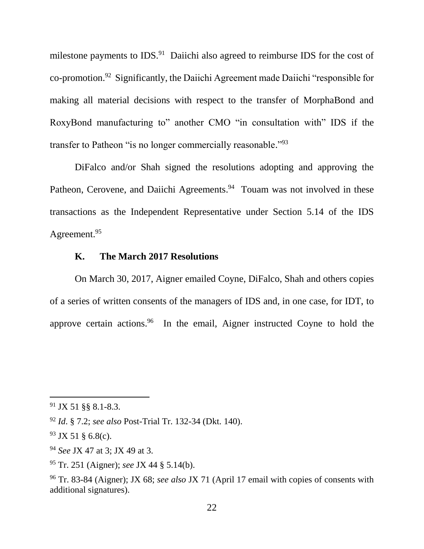milestone payments to  $IDS.^{91}$  Daiichi also agreed to reimburse IDS for the cost of co-promotion.<sup>92</sup> Significantly, the Daiichi Agreement made Daiichi "responsible for making all material decisions with respect to the transfer of MorphaBond and RoxyBond manufacturing to" another CMO "in consultation with" IDS if the transfer to Patheon "is no longer commercially reasonable."<sup>93</sup>

DiFalco and/or Shah signed the resolutions adopting and approving the Patheon, Cerovene, and Daiichi Agreements.<sup>94</sup> Touam was not involved in these transactions as the Independent Representative under Section 5.14 of the IDS Agreement.<sup>95</sup>

### **K. The March 2017 Resolutions**

On March 30, 2017, Aigner emailed Coyne, DiFalco, Shah and others copies of a series of written consents of the managers of IDS and, in one case, for IDT, to approve certain actions. <sup>96</sup> In the email, Aigner instructed Coyne to hold the

<sup>91</sup> JX 51 §§ 8.1-8.3.

<sup>92</sup> *Id*. § 7.2; *see also* Post-Trial Tr. 132-34 (Dkt. 140).

 $93$  JX 51 § 6.8(c).

<sup>94</sup> *See* JX 47 at 3; JX 49 at 3.

<sup>95</sup> Tr. 251 (Aigner); *see* JX 44 § 5.14(b).

<sup>96</sup> Tr. 83-84 (Aigner); JX 68; *see also* JX 71 (April 17 email with copies of consents with additional signatures).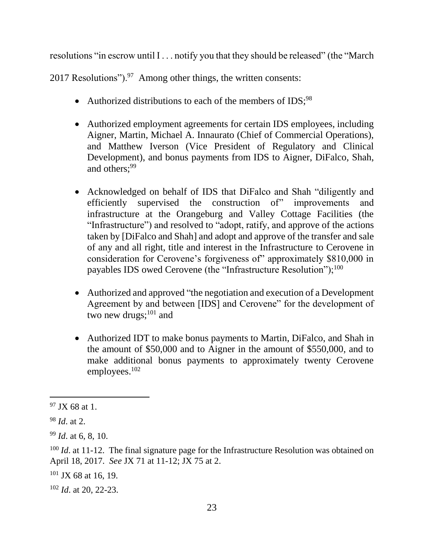resolutions "in escrow until I . . . notify you that they should be released" (the "March

2017 Resolutions"). $97$  Among other things, the written consents:

- Authorized distributions to each of the members of IDS;<sup>98</sup>
- Authorized employment agreements for certain IDS employees, including Aigner, Martin, Michael A. Innaurato (Chief of Commercial Operations), and Matthew Iverson (Vice President of Regulatory and Clinical Development), and bonus payments from IDS to Aigner, DiFalco, Shah, and others:<sup>99</sup>
- Acknowledged on behalf of IDS that DiFalco and Shah "diligently and efficiently supervised the construction of" improvements and infrastructure at the Orangeburg and Valley Cottage Facilities (the "Infrastructure") and resolved to "adopt, ratify, and approve of the actions taken by [DiFalco and Shah] and adopt and approve of the transfer and sale of any and all right, title and interest in the Infrastructure to Cerovene in consideration for Cerovene's forgiveness of" approximately \$810,000 in payables IDS owed Cerovene (the "Infrastructure Resolution"); $^{100}$
- Authorized and approved "the negotiation and execution of a Development Agreement by and between [IDS] and Cerovene" for the development of two new drugs; $^{101}$  and
- Authorized IDT to make bonus payments to Martin, DiFalco, and Shah in the amount of \$50,000 and to Aigner in the amount of \$550,000, and to make additional bonus payments to approximately twenty Cerovene employees.<sup>102</sup>

 $97$  JX 68 at 1.

<sup>98</sup> *Id*. at 2.

<sup>99</sup> *Id*. at 6, 8, 10.

<sup>&</sup>lt;sup>100</sup> *Id.* at 11-12. The final signature page for the Infrastructure Resolution was obtained on April 18, 2017. *See* JX 71 at 11-12; JX 75 at 2.

 $101$  JX 68 at 16, 19.

<sup>102</sup> *Id*. at 20, 22-23.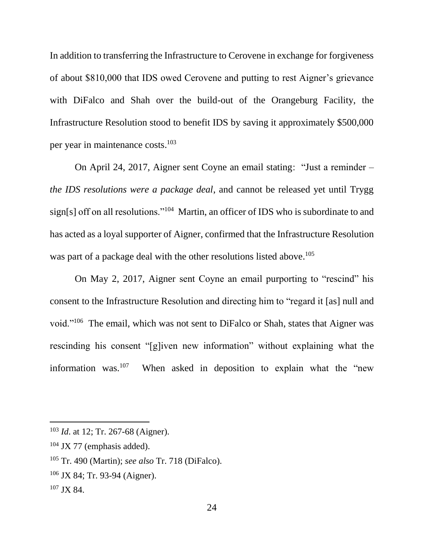In addition to transferring the Infrastructure to Cerovene in exchange for forgiveness of about \$810,000 that IDS owed Cerovene and putting to rest Aigner's grievance with DiFalco and Shah over the build-out of the Orangeburg Facility, the Infrastructure Resolution stood to benefit IDS by saving it approximately \$500,000 per year in maintenance costs. 103

On April 24, 2017, Aigner sent Coyne an email stating: "Just a reminder – *the IDS resolutions were a package deal*, and cannot be released yet until Trygg sign[s] off on all resolutions."<sup>104</sup> Martin, an officer of IDS who is subordinate to and has acted as a loyal supporter of Aigner, confirmed that the Infrastructure Resolution was part of a package deal with the other resolutions listed above.<sup>105</sup>

On May 2, 2017, Aigner sent Coyne an email purporting to "rescind" his consent to the Infrastructure Resolution and directing him to "regard it [as] null and void."<sup>106</sup> The email, which was not sent to DiFalco or Shah, states that Aigner was rescinding his consent "[g]iven new information" without explaining what the information was.<sup>107</sup> When asked in deposition to explain what the "new

- <sup>106</sup> JX 84; Tr. 93-94 (Aigner).
- <sup>107</sup> JX 84.

<sup>103</sup> *Id*. at 12; Tr. 267-68 (Aigner).

 $104$  JX 77 (emphasis added).

<sup>105</sup> Tr. 490 (Martin); *see also* Tr. 718 (DiFalco).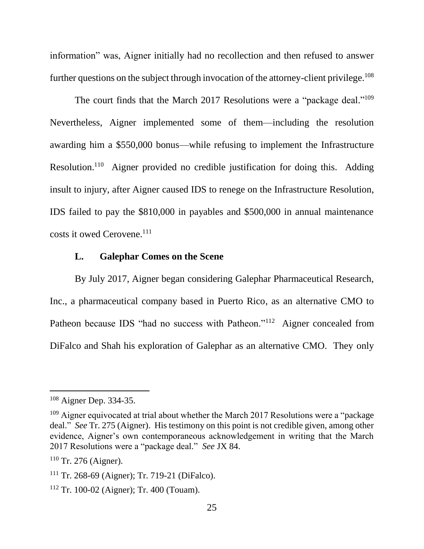information" was, Aigner initially had no recollection and then refused to answer further questions on the subject through invocation of the attorney-client privilege.<sup>108</sup>

The court finds that the March 2017 Resolutions were a "package deal."<sup>109</sup> Nevertheless, Aigner implemented some of them—including the resolution awarding him a \$550,000 bonus—while refusing to implement the Infrastructure Resolution.<sup>110</sup> Aigner provided no credible justification for doing this. Adding insult to injury, after Aigner caused IDS to renege on the Infrastructure Resolution, IDS failed to pay the \$810,000 in payables and \$500,000 in annual maintenance costs it owed Cerovene.<sup>111</sup>

#### **L. Galephar Comes on the Scene**

By July 2017, Aigner began considering Galephar Pharmaceutical Research, Inc., a pharmaceutical company based in Puerto Rico, as an alternative CMO to Patheon because IDS "had no success with Patheon."<sup>112</sup> Aigner concealed from DiFalco and Shah his exploration of Galephar as an alternative CMO. They only

<sup>&</sup>lt;sup>108</sup> Aigner Dep. 334-35.

 $109$  Aigner equivocated at trial about whether the March 2017 Resolutions were a "package" deal." *See* Tr. 275 (Aigner). His testimony on this point is not credible given, among other evidence, Aigner's own contemporaneous acknowledgement in writing that the March 2017 Resolutions were a "package deal." *See* JX 84.

 $110$  Tr. 276 (Aigner).

<sup>111</sup> Tr. 268-69 (Aigner); Tr. 719-21 (DiFalco).

<sup>112</sup> Tr. 100-02 (Aigner); Tr. 400 (Touam).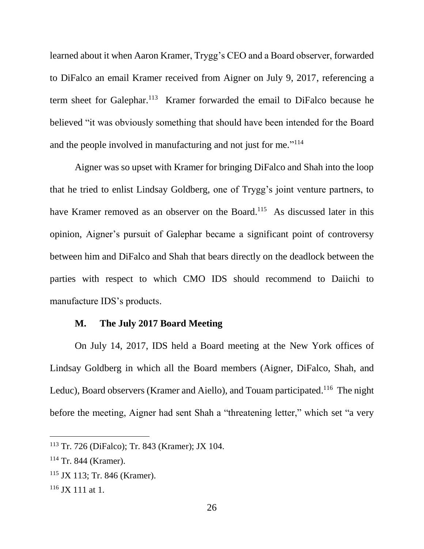learned about it when Aaron Kramer, Trygg's CEO and a Board observer, forwarded to DiFalco an email Kramer received from Aigner on July 9, 2017, referencing a term sheet for Galephar.<sup>113</sup> Kramer forwarded the email to DiFalco because he believed "it was obviously something that should have been intended for the Board and the people involved in manufacturing and not just for me."<sup>114</sup>

Aigner was so upset with Kramer for bringing DiFalco and Shah into the loop that he tried to enlist Lindsay Goldberg, one of Trygg's joint venture partners, to have Kramer removed as an observer on the Board.<sup>115</sup> As discussed later in this opinion, Aigner's pursuit of Galephar became a significant point of controversy between him and DiFalco and Shah that bears directly on the deadlock between the parties with respect to which CMO IDS should recommend to Daiichi to manufacture IDS's products.

# **M. The July 2017 Board Meeting**

On July 14, 2017, IDS held a Board meeting at the New York offices of Lindsay Goldberg in which all the Board members (Aigner, DiFalco, Shah, and Leduc), Board observers (Kramer and Aiello), and Touam participated.<sup>116</sup> The night before the meeting, Aigner had sent Shah a "threatening letter," which set "a very

<sup>113</sup> Tr. 726 (DiFalco); Tr. 843 (Kramer); JX 104.

<sup>114</sup> Tr. 844 (Kramer).

<sup>115</sup> JX 113; Tr. 846 (Kramer).

 $116$  JX 111 at 1.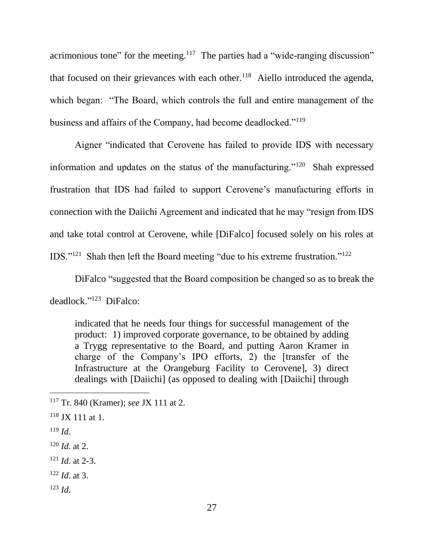acrimonious tone" for the meeting.<sup>117</sup> The parties had a "wide-ranging discussion" that focused on their grievances with each other.<sup>118</sup> Aiello introduced the agenda, which began: "The Board, which controls the full and entire management of the business and affairs of the Company, had become deadlocked."<sup>119</sup>

Aigner "indicated that Cerovene has failed to provide IDS with necessary information and updates on the status of the manufacturing."<sup>120</sup> Shah expressed frustration that IDS had failed to support Cerovene's manufacturing efforts in connection with the Daiichi Agreement and indicated that he may "resign from IDS and take total control at Cerovene, while [DiFalco] focused solely on his roles at IDS."<sup>121</sup> Shah then left the Board meeting "due to his extreme frustration."<sup>122</sup>

DiFalco "suggested that the Board composition be changed so as to break the deadlock."<sup>123</sup> DiFalco:

indicated that he needs four things for successful management of the product: 1) improved corporate governance, to be obtained by adding a Trygg representative to the Board, and putting Aaron Kramer in charge of the Company's IPO efforts, 2) the [transfer of the Infrastructure at the Orangeburg Facility to Cerovene], 3) direct dealings with [Daiichi] (as opposed to dealing with [Daiichi] through

<sup>119</sup> *Id*.

- <sup>121</sup> *Id*. at 2-3.
- <sup>122</sup> *Id*. at 3.
- <sup>123</sup> *Id*.

<sup>117</sup> Tr. 840 (Kramer); *see* JX 111 at 2.

 $118$  JX 111 at 1.

 $120$  *Id.* at 2.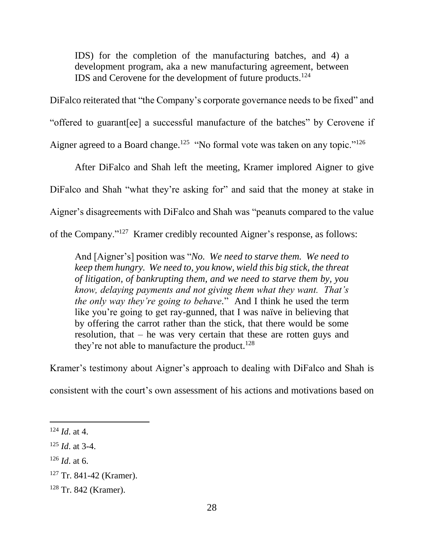IDS) for the completion of the manufacturing batches, and 4) a development program, aka a new manufacturing agreement, between IDS and Cerovene for the development of future products.<sup>124</sup>

DiFalco reiterated that "the Company's corporate governance needs to be fixed" and "offered to guarant[ee] a successful manufacture of the batches" by Cerovene if Aigner agreed to a Board change.<sup>125</sup> "No formal vote was taken on any topic."<sup>126</sup>

After DiFalco and Shah left the meeting, Kramer implored Aigner to give DiFalco and Shah "what they're asking for" and said that the money at stake in Aigner's disagreements with DiFalco and Shah was "peanuts compared to the value of the Company."<sup>127</sup> Kramer credibly recounted Aigner's response, as follows:

And [Aigner's] position was "*No. We need to starve them. We need to keep them hungry. We need to, you know, wield this big stick, the threat of litigation, of bankrupting them, and we need to starve them by, you know, delaying payments and not giving them what they want. That's the only way they're going to behave.*" And I think he used the term like you're going to get ray-gunned, that I was naïve in believing that by offering the carrot rather than the stick, that there would be some resolution, that – he was very certain that these are rotten guys and they're not able to manufacture the product.<sup>128</sup>

Kramer's testimony about Aigner's approach to dealing with DiFalco and Shah is

consistent with the court's own assessment of his actions and motivations based on

<sup>124</sup> *Id*. at 4.

<sup>125</sup> *Id*. at 3-4.

 $126$  *Id.* at 6.

<sup>127</sup> Tr. 841-42 (Kramer).

<sup>128</sup> Tr. 842 (Kramer).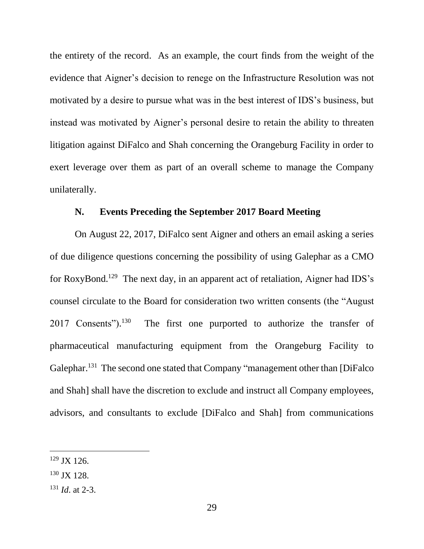the entirety of the record. As an example, the court finds from the weight of the evidence that Aigner's decision to renege on the Infrastructure Resolution was not motivated by a desire to pursue what was in the best interest of IDS's business, but instead was motivated by Aigner's personal desire to retain the ability to threaten litigation against DiFalco and Shah concerning the Orangeburg Facility in order to exert leverage over them as part of an overall scheme to manage the Company unilaterally.

## **N. Events Preceding the September 2017 Board Meeting**

On August 22, 2017, DiFalco sent Aigner and others an email asking a series of due diligence questions concerning the possibility of using Galephar as a CMO for RoxyBond.<sup>129</sup> The next day, in an apparent act of retaliation, Aigner had IDS's counsel circulate to the Board for consideration two written consents (the "August 2017 Consents").<sup>130</sup> The first one purported to authorize the transfer of pharmaceutical manufacturing equipment from the Orangeburg Facility to Galephar.<sup>131</sup> The second one stated that Company "management other than [DiFalco and Shah] shall have the discretion to exclude and instruct all Company employees, advisors, and consultants to exclude [DiFalco and Shah] from communications

- <sup>130</sup> JX 128.
- <sup>131</sup> *Id*. at 2-3.

 $129$  JX 126.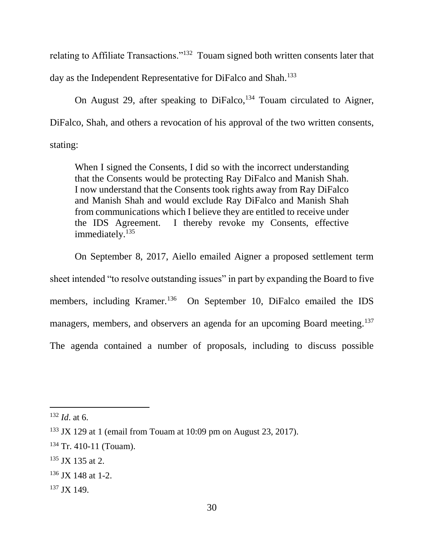relating to Affiliate Transactions."<sup>132</sup> Touam signed both written consents later that day as the Independent Representative for DiFalco and Shah.<sup>133</sup>

On August 29, after speaking to DiFalco,  $134$  Touam circulated to Aigner, DiFalco, Shah, and others a revocation of his approval of the two written consents, stating:

When I signed the Consents, I did so with the incorrect understanding that the Consents would be protecting Ray DiFalco and Manish Shah. I now understand that the Consents took rights away from Ray DiFalco and Manish Shah and would exclude Ray DiFalco and Manish Shah from communications which I believe they are entitled to receive under the IDS Agreement. I thereby revoke my Consents, effective immediately.<sup>135</sup>

On September 8, 2017, Aiello emailed Aigner a proposed settlement term sheet intended "to resolve outstanding issues" in part by expanding the Board to five members, including Kramer.<sup>136</sup> On September 10, DiFalco emailed the IDS managers, members, and observers an agenda for an upcoming Board meeting.<sup>137</sup> The agenda contained a number of proposals, including to discuss possible

<sup>132</sup> *Id*. at 6.

 $133$  JX 129 at 1 (email from Touam at 10:09 pm on August 23, 2017).

 $134$  Tr. 410-11 (Touam).

 $135$  JX 135 at 2.

<sup>136</sup> JX 148 at 1-2.

<sup>137</sup> JX 149.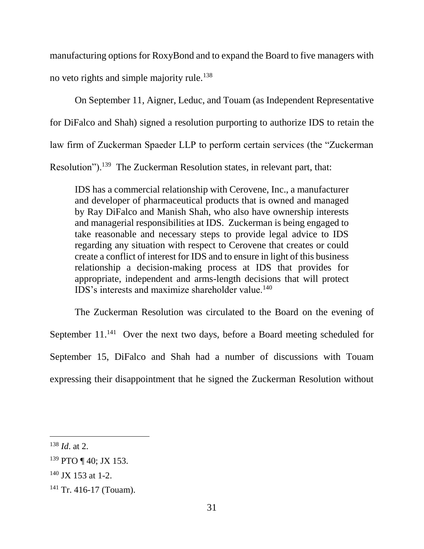manufacturing options for RoxyBond and to expand the Board to five managers with no veto rights and simple majority rule.<sup>138</sup>

On September 11, Aigner, Leduc, and Touam (as Independent Representative for DiFalco and Shah) signed a resolution purporting to authorize IDS to retain the law firm of Zuckerman Spaeder LLP to perform certain services (the "Zuckerman Resolution").<sup>139</sup> The Zuckerman Resolution states, in relevant part, that:

IDS has a commercial relationship with Cerovene, Inc., a manufacturer and developer of pharmaceutical products that is owned and managed by Ray DiFalco and Manish Shah, who also have ownership interests and managerial responsibilities at IDS. Zuckerman is being engaged to take reasonable and necessary steps to provide legal advice to IDS regarding any situation with respect to Cerovene that creates or could create a conflict of interest for IDS and to ensure in light of this business relationship a decision-making process at IDS that provides for appropriate, independent and arms-length decisions that will protect IDS's interests and maximize shareholder value.<sup>140</sup>

The Zuckerman Resolution was circulated to the Board on the evening of September 11.<sup>141</sup> Over the next two days, before a Board meeting scheduled for September 15, DiFalco and Shah had a number of discussions with Touam expressing their disappointment that he signed the Zuckerman Resolution without

<sup>138</sup> *Id*. at 2.

<sup>139</sup> PTO ¶ 40; JX 153.

 $140$  JX 153 at 1-2.

<sup>&</sup>lt;sup>141</sup> Tr. 416-17 (Touam).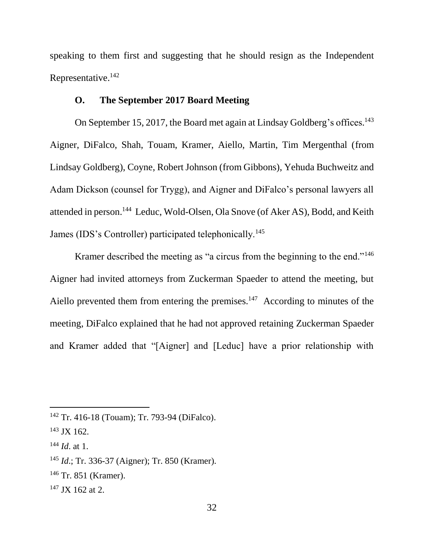speaking to them first and suggesting that he should resign as the Independent Representative.<sup>142</sup>

# **O. The September 2017 Board Meeting**

On September 15, 2017, the Board met again at Lindsay Goldberg's offices.<sup>143</sup> Aigner, DiFalco, Shah, Touam, Kramer, Aiello, Martin, Tim Mergenthal (from Lindsay Goldberg), Coyne, Robert Johnson (from Gibbons), Yehuda Buchweitz and Adam Dickson (counsel for Trygg), and Aigner and DiFalco's personal lawyers all attended in person. 144 Leduc, Wold-Olsen, Ola Snove (of Aker AS), Bodd, and Keith James (IDS's Controller) participated telephonically.<sup>145</sup>

Kramer described the meeting as "a circus from the beginning to the end."<sup>146</sup> Aigner had invited attorneys from Zuckerman Spaeder to attend the meeting, but Aiello prevented them from entering the premises. $147$  According to minutes of the meeting, DiFalco explained that he had not approved retaining Zuckerman Spaeder and Kramer added that "[Aigner] and [Leduc] have a prior relationship with

<sup>142</sup> Tr. 416-18 (Touam); Tr. 793-94 (DiFalco).

<sup>143</sup> JX 162.

<sup>144</sup> *Id*. at 1.

<sup>145</sup> *Id*.; Tr. 336-37 (Aigner); Tr. 850 (Kramer).

<sup>146</sup> Tr. 851 (Kramer).

 $147$  JX 162 at 2.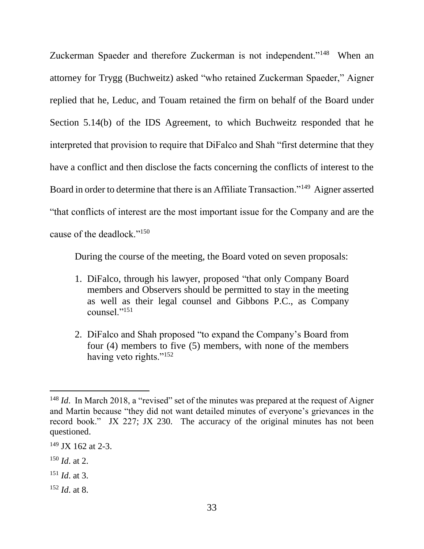Zuckerman Spaeder and therefore Zuckerman is not independent."<sup>148</sup> When an attorney for Trygg (Buchweitz) asked "who retained Zuckerman Spaeder," Aigner replied that he, Leduc, and Touam retained the firm on behalf of the Board under Section 5.14(b) of the IDS Agreement, to which Buchweitz responded that he interpreted that provision to require that DiFalco and Shah "first determine that they have a conflict and then disclose the facts concerning the conflicts of interest to the Board in order to determine that there is an Affiliate Transaction."<sup>149</sup> Aigner asserted "that conflicts of interest are the most important issue for the Company and are the cause of the deadlock."<sup>150</sup>

During the course of the meeting, the Board voted on seven proposals:

- 1. DiFalco, through his lawyer, proposed "that only Company Board members and Observers should be permitted to stay in the meeting as well as their legal counsel and Gibbons P.C., as Company counsel."<sup>151</sup>
- 2. DiFalco and Shah proposed "to expand the Company's Board from four (4) members to five (5) members, with none of the members having veto rights."<sup>152</sup>

<sup>&</sup>lt;sup>148</sup> *Id.* In March 2018, a "revised" set of the minutes was prepared at the request of Aigner and Martin because "they did not want detailed minutes of everyone's grievances in the record book." JX 227; JX 230. The accuracy of the original minutes has not been questioned.

 $149$  JX 162 at 2-3.

<sup>150</sup> *Id*. at 2.

<sup>151</sup> *Id*. at 3.

<sup>152</sup> *Id*. at 8.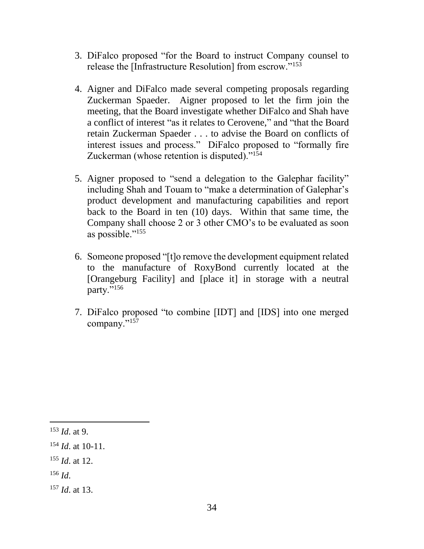- 3. DiFalco proposed "for the Board to instruct Company counsel to release the [Infrastructure Resolution] from escrow."<sup>153</sup>
- 4. Aigner and DiFalco made several competing proposals regarding Zuckerman Spaeder. Aigner proposed to let the firm join the meeting, that the Board investigate whether DiFalco and Shah have a conflict of interest "as it relates to Cerovene," and "that the Board retain Zuckerman Spaeder . . . to advise the Board on conflicts of interest issues and process." DiFalco proposed to "formally fire Zuckerman (whose retention is disputed)."<sup>154</sup>
- 5. Aigner proposed to "send a delegation to the Galephar facility" including Shah and Touam to "make a determination of Galephar's product development and manufacturing capabilities and report back to the Board in ten (10) days. Within that same time, the Company shall choose 2 or 3 other CMO's to be evaluated as soon as possible."<sup>155</sup>
- 6. Someone proposed "[t]o remove the development equipment related to the manufacture of RoxyBond currently located at the [Orangeburg Facility] and [place it] in storage with a neutral party."<sup>156</sup>
- 7. DiFalco proposed "to combine [IDT] and [IDS] into one merged company."<sup>157</sup>

<sup>153</sup> *Id*. at 9.

<sup>154</sup> *Id*. at 10-11.

<sup>155</sup> *Id*. at 12.

<sup>156</sup> *Id*.

<sup>157</sup> *Id*. at 13.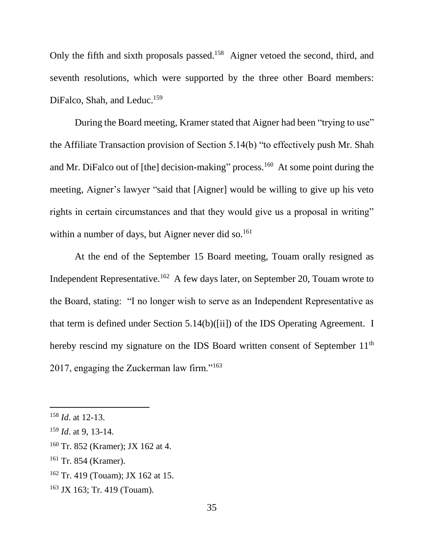Only the fifth and sixth proposals passed.<sup>158</sup> Aigner vetoed the second, third, and seventh resolutions, which were supported by the three other Board members: DiFalco, Shah, and Leduc.<sup>159</sup>

During the Board meeting, Kramer stated that Aigner had been "trying to use" the Affiliate Transaction provision of Section 5.14(b) "to effectively push Mr. Shah and Mr. DiFalco out of [the] decision-making" process.<sup>160</sup> At some point during the meeting, Aigner's lawyer "said that [Aigner] would be willing to give up his veto rights in certain circumstances and that they would give us a proposal in writing" within a number of days, but Aigner never did so.<sup>161</sup>

At the end of the September 15 Board meeting, Touam orally resigned as Independent Representative.<sup>162</sup> A few days later, on September 20, Touam wrote to the Board, stating: "I no longer wish to serve as an Independent Representative as that term is defined under Section 5.14(b)([ii]) of the IDS Operating Agreement. I hereby rescind my signature on the IDS Board written consent of September 11<sup>th</sup> 2017, engaging the Zuckerman law firm."<sup>163</sup>

<sup>158</sup> *Id*. at 12-13.

<sup>159</sup> *Id*. at 9, 13-14.

<sup>160</sup> Tr. 852 (Kramer); JX 162 at 4.

<sup>161</sup> Tr. 854 (Kramer).

<sup>162</sup> Tr. 419 (Touam); JX 162 at 15.

<sup>163</sup> JX 163; Tr. 419 (Touam).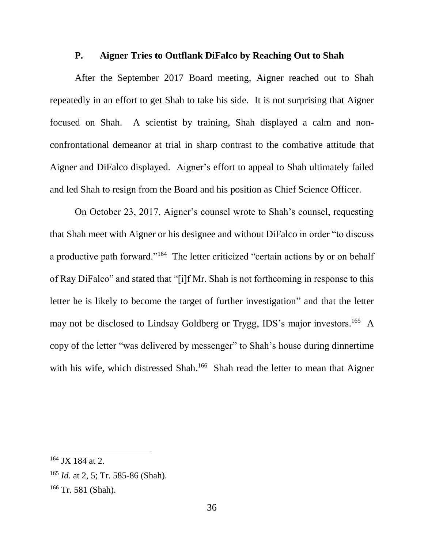#### **P. Aigner Tries to Outflank DiFalco by Reaching Out to Shah**

After the September 2017 Board meeting, Aigner reached out to Shah repeatedly in an effort to get Shah to take his side. It is not surprising that Aigner focused on Shah. A scientist by training, Shah displayed a calm and nonconfrontational demeanor at trial in sharp contrast to the combative attitude that Aigner and DiFalco displayed. Aigner's effort to appeal to Shah ultimately failed and led Shah to resign from the Board and his position as Chief Science Officer.

On October 23, 2017, Aigner's counsel wrote to Shah's counsel, requesting that Shah meet with Aigner or his designee and without DiFalco in order "to discuss a productive path forward."<sup>164</sup> The letter criticized "certain actions by or on behalf of Ray DiFalco" and stated that "[i]f Mr. Shah is not forthcoming in response to this letter he is likely to become the target of further investigation" and that the letter may not be disclosed to Lindsay Goldberg or Trygg, IDS's major investors.<sup>165</sup> A copy of the letter "was delivered by messenger" to Shah's house during dinnertime with his wife, which distressed Shah.<sup>166</sup> Shah read the letter to mean that Aigner

<sup>164</sup> JX 184 at 2.

<sup>165</sup> *Id*. at 2, 5; Tr. 585-86 (Shah).

<sup>166</sup> Tr. 581 (Shah).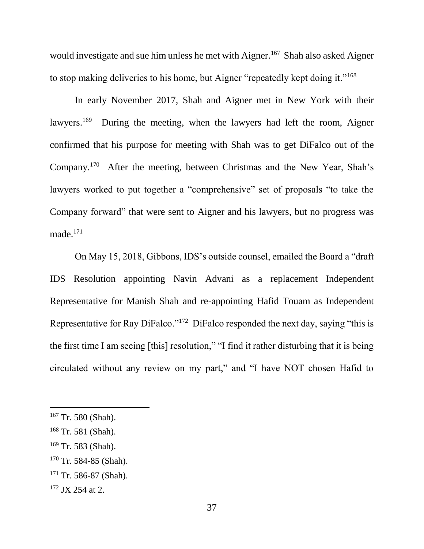would investigate and sue him unless he met with Aigner.<sup>167</sup> Shah also asked Aigner to stop making deliveries to his home, but Aigner "repeatedly kept doing it."<sup>168</sup>

In early November 2017, Shah and Aigner met in New York with their lawyers.<sup>169</sup> During the meeting, when the lawyers had left the room, Aigner confirmed that his purpose for meeting with Shah was to get DiFalco out of the Company.<sup>170</sup> After the meeting, between Christmas and the New Year, Shah's lawyers worked to put together a "comprehensive" set of proposals "to take the Company forward" that were sent to Aigner and his lawyers, but no progress was made. 171

On May 15, 2018, Gibbons, IDS's outside counsel, emailed the Board a "draft IDS Resolution appointing Navin Advani as a replacement Independent Representative for Manish Shah and re-appointing Hafid Touam as Independent Representative for Ray DiFalco."<sup>172</sup> DiFalco responded the next day, saying "this is the first time I am seeing [this] resolution," "I find it rather disturbing that it is being circulated without any review on my part," and "I have NOT chosen Hafid to

<sup>167</sup> Tr. 580 (Shah).

<sup>168</sup> Tr. 581 (Shah).

 $169$  Tr. 583 (Shah).

 $170$  Tr. 584-85 (Shah).

 $171$  Tr. 586-87 (Shah).

<sup>&</sup>lt;sup>172</sup> JX 254 at 2.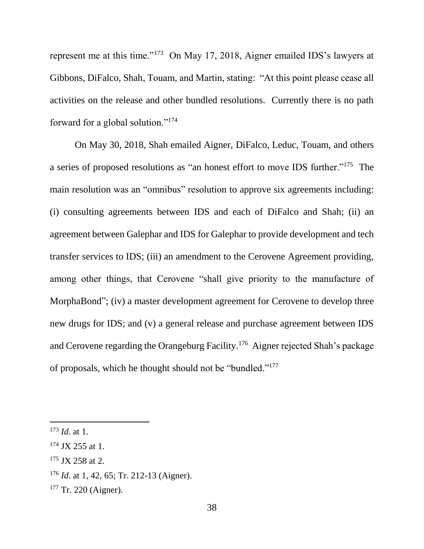represent me at this time."<sup>173</sup> On May 17, 2018, Aigner emailed IDS's lawyers at Gibbons, DiFalco, Shah, Touam, and Martin, stating: "At this point please cease all activities on the release and other bundled resolutions. Currently there is no path forward for a global solution."<sup>174</sup>

On May 30, 2018, Shah emailed Aigner, DiFalco, Leduc, Touam, and others a series of proposed resolutions as "an honest effort to move IDS further."<sup>175</sup> The main resolution was an "omnibus" resolution to approve six agreements including: (i) consulting agreements between IDS and each of DiFalco and Shah; (ii) an agreement between Galephar and IDS for Galephar to provide development and tech transfer services to IDS; (iii) an amendment to the Cerovene Agreement providing, among other things, that Cerovene "shall give priority to the manufacture of MorphaBond"; (iv) a master development agreement for Cerovene to develop three new drugs for IDS; and (v) a general release and purchase agreement between IDS and Cerovene regarding the Orangeburg Facility.<sup>176</sup> Aigner rejected Shah's package of proposals, which he thought should not be "bundled." 177

<sup>173</sup> *Id*. at 1.

 $174$  JX 255 at 1.

 $175$  JX 258 at 2.

<sup>176</sup> *Id*. at 1, 42, 65; Tr. 212-13 (Aigner).

 $177$  Tr. 220 (Aigner).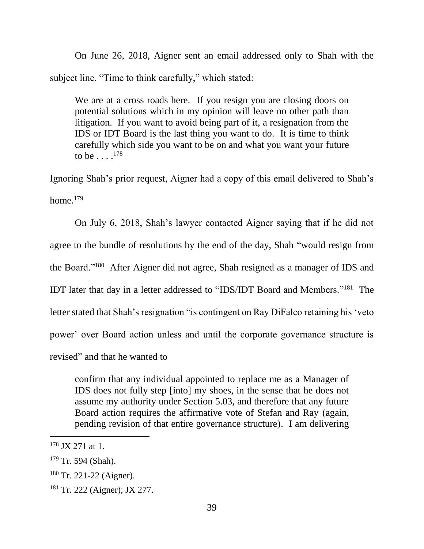On June 26, 2018, Aigner sent an email addressed only to Shah with the subject line, "Time to think carefully," which stated:

We are at a cross roads here. If you resign you are closing doors on potential solutions which in my opinion will leave no other path than litigation. If you want to avoid being part of it, a resignation from the IDS or IDT Board is the last thing you want to do. It is time to think carefully which side you want to be on and what you want your future to be . . . . <sup>178</sup>

Ignoring Shah's prior request, Aigner had a copy of this email delivered to Shah's home. 179

On July 6, 2018, Shah's lawyer contacted Aigner saying that if he did not agree to the bundle of resolutions by the end of the day, Shah "would resign from the Board."<sup>180</sup> After Aigner did not agree, Shah resigned as a manager of IDS and IDT later that day in a letter addressed to "IDS/IDT Board and Members."<sup>181</sup> The letter stated that Shah's resignation "is contingent on Ray DiFalco retaining his 'veto power' over Board action unless and until the corporate governance structure is revised" and that he wanted to

confirm that any individual appointed to replace me as a Manager of IDS does not fully step [into] my shoes, in the sense that he does not assume my authority under Section 5.03, and therefore that any future Board action requires the affirmative vote of Stefan and Ray (again, pending revision of that entire governance structure). I am delivering

 $178$  JX 271 at 1.

<sup>&</sup>lt;sup>179</sup> Tr. 594 (Shah).

 $180$  Tr. 221-22 (Aigner).

<sup>181</sup> Tr. 222 (Aigner); JX 277.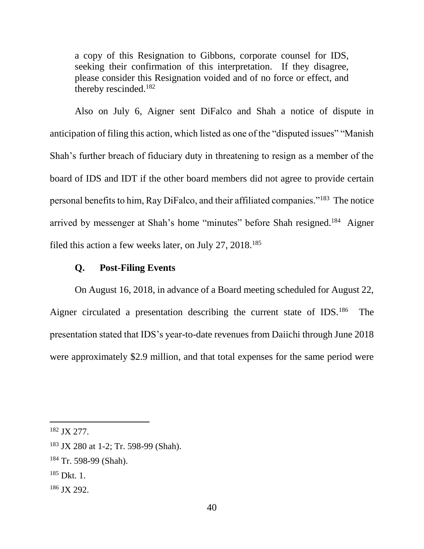a copy of this Resignation to Gibbons, corporate counsel for IDS, seeking their confirmation of this interpretation. If they disagree, please consider this Resignation voided and of no force or effect, and thereby rescinded.<sup>182</sup>

Also on July 6, Aigner sent DiFalco and Shah a notice of dispute in anticipation of filing this action, which listed as one of the "disputed issues" "Manish Shah's further breach of fiduciary duty in threatening to resign as a member of the board of IDS and IDT if the other board members did not agree to provide certain personal benefits to him, Ray DiFalco, and their affiliated companies."<sup>183</sup> The notice arrived by messenger at Shah's home "minutes" before Shah resigned.<sup>184</sup> Aigner filed this action a few weeks later, on July 27, 2018.<sup>185</sup>

### **Q. Post-Filing Events**

On August 16, 2018, in advance of a Board meeting scheduled for August 22, Aigner circulated a presentation describing the current state of IDS.<sup>186</sup> The presentation stated that IDS's year-to-date revenues from Daiichi through June 2018 were approximately \$2.9 million, and that total expenses for the same period were

<sup>182</sup> JX 277.

<sup>183</sup> JX 280 at 1-2; Tr. 598-99 (Shah).

<sup>184</sup> Tr. 598-99 (Shah).

 $185$  Dkt. 1.

<sup>186</sup> JX 292.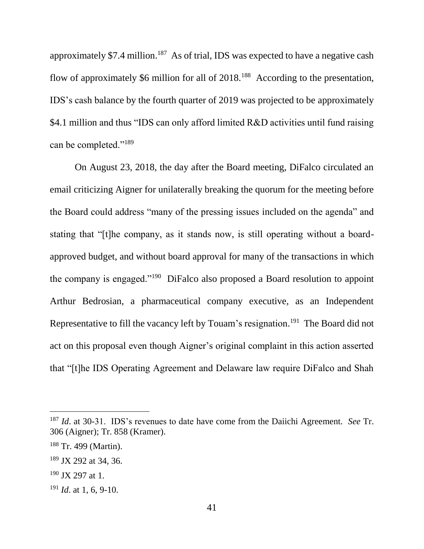approximately \$7.4 million.<sup>187</sup> As of trial, IDS was expected to have a negative cash flow of approximately \$6 million for all of 2018.<sup>188</sup> According to the presentation, IDS's cash balance by the fourth quarter of 2019 was projected to be approximately \$4.1 million and thus "IDS can only afford limited R&D activities until fund raising can be completed."<sup>189</sup>

On August 23, 2018, the day after the Board meeting, DiFalco circulated an email criticizing Aigner for unilaterally breaking the quorum for the meeting before the Board could address "many of the pressing issues included on the agenda" and stating that "[t]he company, as it stands now, is still operating without a boardapproved budget, and without board approval for many of the transactions in which the company is engaged."<sup>190</sup> DiFalco also proposed a Board resolution to appoint Arthur Bedrosian, a pharmaceutical company executive, as an Independent Representative to fill the vacancy left by Touam's resignation.<sup>191</sup> The Board did not act on this proposal even though Aigner's original complaint in this action asserted that "[t]he IDS Operating Agreement and Delaware law require DiFalco and Shah

<sup>187</sup> *Id*. at 30-31. IDS's revenues to date have come from the Daiichi Agreement. *See* Tr. 306 (Aigner); Tr. 858 (Kramer).

<sup>188</sup> Tr. 499 (Martin).

<sup>189</sup> JX 292 at 34, 36.

 $190$  JX 297 at 1.

<sup>191</sup> *Id*. at 1, 6, 9-10.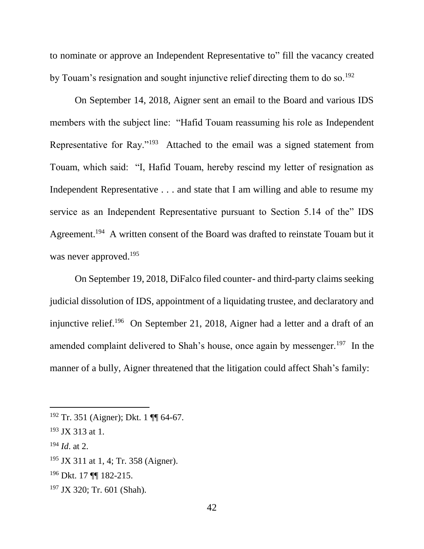to nominate or approve an Independent Representative to" fill the vacancy created by Touam's resignation and sought injunctive relief directing them to do so.<sup>192</sup>

On September 14, 2018, Aigner sent an email to the Board and various IDS members with the subject line: "Hafid Touam reassuming his role as Independent Representative for Ray."<sup>193</sup> Attached to the email was a signed statement from Touam, which said: "I, Hafid Touam, hereby rescind my letter of resignation as Independent Representative . . . and state that I am willing and able to resume my service as an Independent Representative pursuant to Section 5.14 of the" IDS Agreement.<sup>194</sup> A written consent of the Board was drafted to reinstate Touam but it was never approved.<sup>195</sup>

On September 19, 2018, DiFalco filed counter- and third-party claims seeking judicial dissolution of IDS, appointment of a liquidating trustee, and declaratory and injunctive relief.<sup>196</sup> On September 21, 2018, Aigner had a letter and a draft of an amended complaint delivered to Shah's house, once again by messenger.<sup>197</sup> In the manner of a bully, Aigner threatened that the litigation could affect Shah's family:

<sup>192</sup> Tr. 351 (Aigner); Dkt. 1 ¶¶ 64-67.

 $193$  JX 313 at 1.

<sup>194</sup> *Id*. at 2.

<sup>&</sup>lt;sup>195</sup> JX 311 at 1, 4; Tr. 358 (Aigner).

<sup>196</sup> Dkt. 17 ¶¶ 182-215.

<sup>197</sup> JX 320; Tr. 601 (Shah).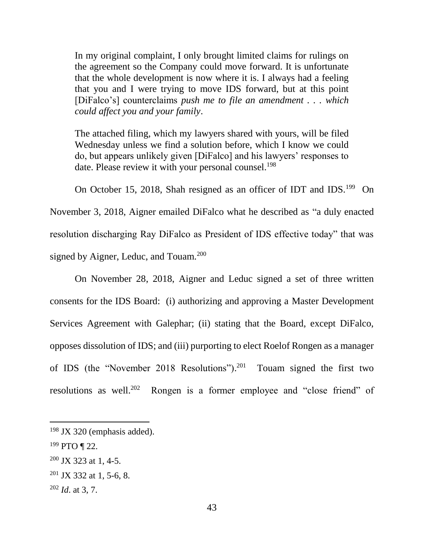In my original complaint, I only brought limited claims for rulings on the agreement so the Company could move forward. It is unfortunate that the whole development is now where it is. I always had a feeling that you and I were trying to move IDS forward, but at this point [DiFalco's] counterclaims *push me to file an amendment . . . which could affect you and your family*.

The attached filing, which my lawyers shared with yours, will be filed Wednesday unless we find a solution before, which I know we could do, but appears unlikely given [DiFalco] and his lawyers' responses to date. Please review it with your personal counsel.<sup>198</sup>

On October 15, 2018, Shah resigned as an officer of IDT and IDS.<sup>199</sup> On November 3, 2018, Aigner emailed DiFalco what he described as "a duly enacted resolution discharging Ray DiFalco as President of IDS effective today" that was signed by Aigner, Leduc, and Touam.<sup>200</sup>

On November 28, 2018, Aigner and Leduc signed a set of three written consents for the IDS Board: (i) authorizing and approving a Master Development Services Agreement with Galephar; (ii) stating that the Board, except DiFalco, opposes dissolution of IDS; and (iii) purporting to elect Roelof Rongen as a manager of IDS (the "November 2018 Resolutions").<sup>201</sup> Touam signed the first two resolutions as well. $202$ Rongen is a former employee and "close friend" of

l

 $200$  JX 323 at 1, 4-5.

 $198$  JX 320 (emphasis added).

 $199$  PTO ¶ 22.

 $201$  JX 332 at 1, 5-6, 8.

<sup>202</sup> *Id*. at 3, 7.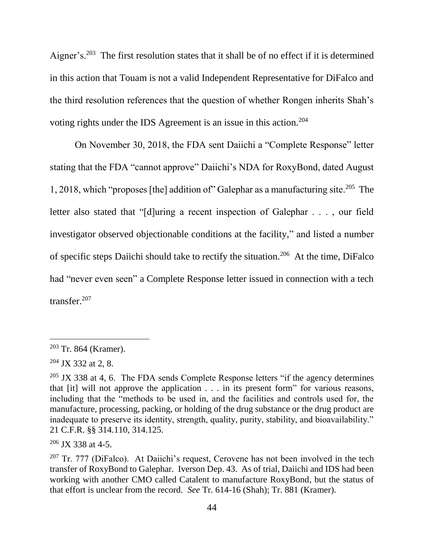Aigner's.<sup>203</sup> The first resolution states that it shall be of no effect if it is determined in this action that Touam is not a valid Independent Representative for DiFalco and the third resolution references that the question of whether Rongen inherits Shah's voting rights under the IDS Agreement is an issue in this action.<sup>204</sup>

On November 30, 2018, the FDA sent Daiichi a "Complete Response" letter stating that the FDA "cannot approve" Daiichi's NDA for RoxyBond, dated August 1, 2018, which "proposes [the] addition of" Galephar as a manufacturing site.<sup>205</sup> The letter also stated that "[d]uring a recent inspection of Galephar . . . , our field investigator observed objectionable conditions at the facility," and listed a number of specific steps Daiichi should take to rectify the situation.<sup>206</sup> At the time, DiFalco had "never even seen" a Complete Response letter issued in connection with a tech transfer.<sup>207</sup>

<sup>203</sup> Tr. 864 (Kramer).

 $204$  JX 332 at 2, 8.

 $205$  JX 338 at 4, 6. The FDA sends Complete Response letters "if the agency determines" that [it] will not approve the application . . . in its present form" for various reasons, including that the "methods to be used in, and the facilities and controls used for, the manufacture, processing, packing, or holding of the drug substance or the drug product are inadequate to preserve its identity, strength, quality, purity, stability, and bioavailability." 21 C.F.R. §§ 314.110, 314.125.

 $206$  JX 338 at 4-5.

 $207$  Tr. 777 (DiFalco). At Daiichi's request, Cerovene has not been involved in the tech transfer of RoxyBond to Galephar. Iverson Dep. 43. As of trial, Daiichi and IDS had been working with another CMO called Catalent to manufacture RoxyBond, but the status of that effort is unclear from the record. *See* Tr. 614-16 (Shah); Tr. 881 (Kramer).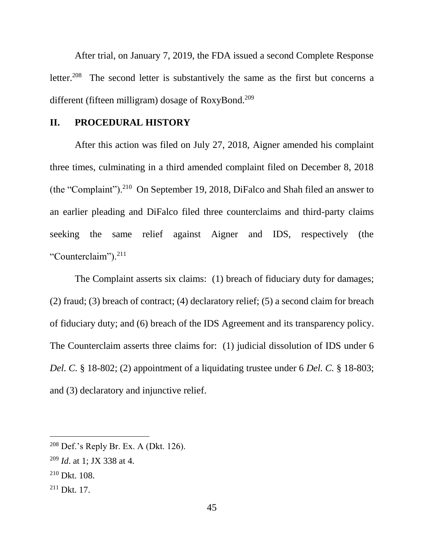After trial, on January 7, 2019, the FDA issued a second Complete Response letter.<sup>208</sup> The second letter is substantively the same as the first but concerns a different (fifteen milligram) dosage of RoxyBond.<sup>209</sup>

### **II. PROCEDURAL HISTORY**

After this action was filed on July 27, 2018, Aigner amended his complaint three times, culminating in a third amended complaint filed on December 8, 2018 (the "Complaint").<sup>210</sup> On September 19, 2018, DiFalco and Shah filed an answer to an earlier pleading and DiFalco filed three counterclaims and third-party claims seeking the same relief against Aigner and IDS, respectively (the "Counterclaim").<sup>211</sup>

The Complaint asserts six claims: (1) breach of fiduciary duty for damages; (2) fraud; (3) breach of contract; (4) declaratory relief; (5) a second claim for breach of fiduciary duty; and (6) breach of the IDS Agreement and its transparency policy. The Counterclaim asserts three claims for: (1) judicial dissolution of IDS under 6 *Del. C.* § 18-802; (2) appointment of a liquidating trustee under 6 *Del. C.* § 18-803; and (3) declaratory and injunctive relief.

<sup>208</sup> Def.'s Reply Br. Ex. A (Dkt. 126).

<sup>209</sup> *Id*. at 1; JX 338 at 4.

<sup>210</sup> Dkt. 108.

<sup>211</sup> Dkt. 17.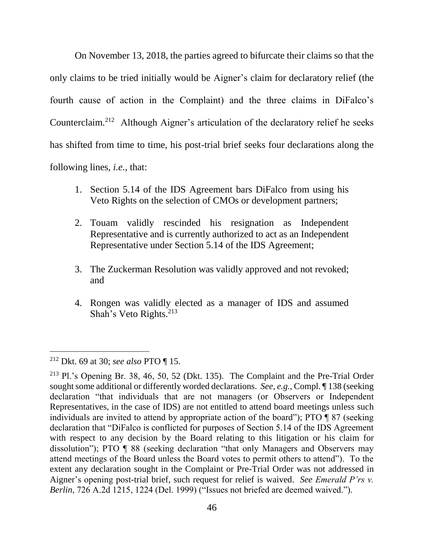On November 13, 2018, the parties agreed to bifurcate their claims so that the only claims to be tried initially would be Aigner's claim for declaratory relief (the fourth cause of action in the Complaint) and the three claims in DiFalco's Counterclaim.<sup>212</sup> Although Aigner's articulation of the declaratory relief he seeks has shifted from time to time, his post-trial brief seeks four declarations along the following lines, *i.e.*, that:

- 1. Section 5.14 of the IDS Agreement bars DiFalco from using his Veto Rights on the selection of CMOs or development partners;
- 2. Touam validly rescinded his resignation as Independent Representative and is currently authorized to act as an Independent Representative under Section 5.14 of the IDS Agreement;
- 3. The Zuckerman Resolution was validly approved and not revoked; and
- 4. Rongen was validly elected as a manager of IDS and assumed Shah's Veto Rights.<sup>213</sup>

<sup>212</sup> Dkt. 69 at 30; *see also* PTO ¶ 15.

<sup>213</sup> Pl.'s Opening Br. 38, 46, 50, 52 (Dkt. 135). The Complaint and the Pre-Trial Order sought some additional or differently worded declarations. *See, e.g.*, Compl. ¶ 138 (seeking declaration "that individuals that are not managers (or Observers or Independent Representatives, in the case of IDS) are not entitled to attend board meetings unless such individuals are invited to attend by appropriate action of the board"); PTO ¶ 87 (seeking declaration that "DiFalco is conflicted for purposes of Section 5.14 of the IDS Agreement with respect to any decision by the Board relating to this litigation or his claim for dissolution"); PTO ¶ 88 (seeking declaration "that only Managers and Observers may attend meetings of the Board unless the Board votes to permit others to attend"). To the extent any declaration sought in the Complaint or Pre-Trial Order was not addressed in Aigner's opening post-trial brief, such request for relief is waived. *See Emerald P'rs v. Berlin*, 726 A.2d 1215, 1224 (Del. 1999) ("Issues not briefed are deemed waived.").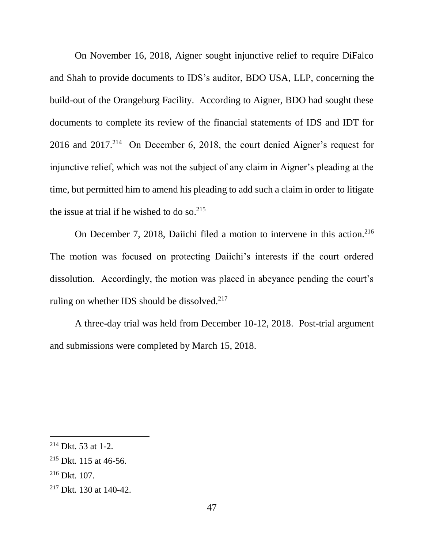On November 16, 2018, Aigner sought injunctive relief to require DiFalco and Shah to provide documents to IDS's auditor, BDO USA, LLP, concerning the build-out of the Orangeburg Facility. According to Aigner, BDO had sought these documents to complete its review of the financial statements of IDS and IDT for 2016 and 2017.<sup>214</sup> On December 6, 2018, the court denied Aigner's request for injunctive relief, which was not the subject of any claim in Aigner's pleading at the time, but permitted him to amend his pleading to add such a claim in order to litigate the issue at trial if he wished to do so. 215

On December 7, 2018, Daiichi filed a motion to intervene in this action.<sup>216</sup> The motion was focused on protecting Daiichi's interests if the court ordered dissolution. Accordingly, the motion was placed in abeyance pending the court's ruling on whether IDS should be dissolved.<sup>217</sup>

A three-day trial was held from December 10-12, 2018. Post-trial argument and submissions were completed by March 15, 2018.

 $214$  Dkt. 53 at 1-2.

 $215$  Dkt. 115 at 46-56.

<sup>216</sup> Dkt. 107.

<sup>217</sup> Dkt. 130 at 140-42.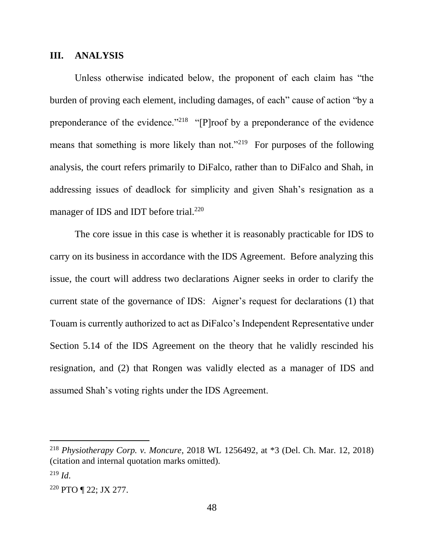#### **III. ANALYSIS**

Unless otherwise indicated below, the proponent of each claim has "the burden of proving each element, including damages, of each" cause of action "by a preponderance of the evidence."<sup>218</sup> "[P]roof by a preponderance of the evidence means that something is more likely than not."<sup>219</sup> For purposes of the following analysis, the court refers primarily to DiFalco, rather than to DiFalco and Shah, in addressing issues of deadlock for simplicity and given Shah's resignation as a manager of IDS and IDT before trial.<sup>220</sup>

The core issue in this case is whether it is reasonably practicable for IDS to carry on its business in accordance with the IDS Agreement. Before analyzing this issue, the court will address two declarations Aigner seeks in order to clarify the current state of the governance of IDS: Aigner's request for declarations (1) that Touam is currently authorized to act as DiFalco's Independent Representative under Section 5.14 of the IDS Agreement on the theory that he validly rescinded his resignation, and (2) that Rongen was validly elected as a manager of IDS and assumed Shah's voting rights under the IDS Agreement.

<sup>218</sup> *Physiotherapy Corp. v. Moncure*, 2018 WL 1256492, at \*3 (Del. Ch. Mar. 12, 2018) (citation and internal quotation marks omitted).  $^{219}$  *Id.* 

<sup>220</sup> PTO ¶ 22; JX 277.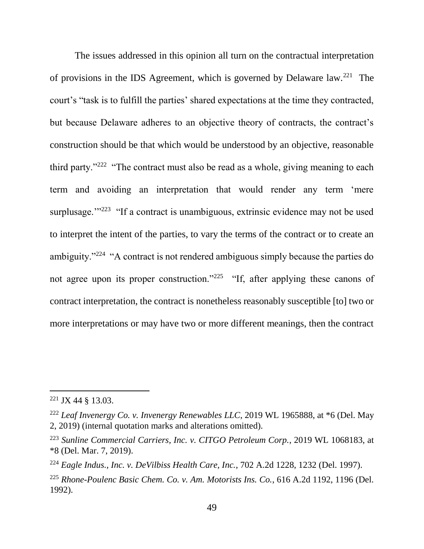The issues addressed in this opinion all turn on the contractual interpretation of provisions in the IDS Agreement, which is governed by Delaware law.<sup>221</sup> The court's "task is to fulfill the parties' shared expectations at the time they contracted, but because Delaware adheres to an objective theory of contracts, the contract's construction should be that which would be understood by an objective, reasonable third party."<sup>222</sup> "The contract must also be read as a whole, giving meaning to each term and avoiding an interpretation that would render any term 'mere surplusage."<sup>223</sup> "If a contract is unambiguous, extrinsic evidence may not be used to interpret the intent of the parties, to vary the terms of the contract or to create an ambiguity."<sup>224</sup> "A contract is not rendered ambiguous simply because the parties do not agree upon its proper construction."<sup>225</sup> "If, after applying these canons of contract interpretation, the contract is nonetheless reasonably susceptible [to] two or more interpretations or may have two or more different meanings, then the contract

 $221$  JX 44 § 13.03.

<sup>222</sup> *Leaf Invenergy Co. v. Invenergy Renewables LLC*, 2019 WL 1965888, at \*6 (Del. May 2, 2019) (internal quotation marks and alterations omitted).

<sup>223</sup> *Sunline Commercial Carriers, Inc. v. CITGO Petroleum Corp.*, 2019 WL 1068183, at \*8 (Del. Mar. 7, 2019).

<sup>224</sup> *Eagle Indus., Inc. v. DeVilbiss Health Care, Inc.*, 702 A.2d 1228, 1232 (Del. 1997).

<sup>225</sup> *Rhone-Poulenc Basic Chem. Co. v. Am. Motorists Ins. Co.*, 616 A.2d 1192, 1196 (Del. 1992).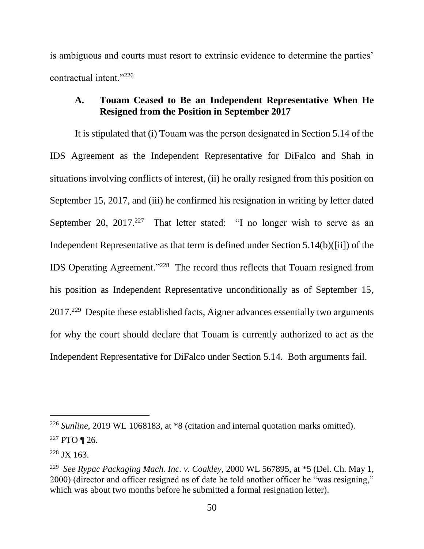is ambiguous and courts must resort to extrinsic evidence to determine the parties' contractual intent."<sup>226</sup>

# **A. Touam Ceased to Be an Independent Representative When He Resigned from the Position in September 2017**

It is stipulated that (i) Touam was the person designated in Section 5.14 of the IDS Agreement as the Independent Representative for DiFalco and Shah in situations involving conflicts of interest, (ii) he orally resigned from this position on September 15, 2017, and (iii) he confirmed his resignation in writing by letter dated September 20,  $2017<sup>.227</sup>$  That letter stated: "I no longer wish to serve as an Independent Representative as that term is defined under Section 5.14(b)([ii]) of the IDS Operating Agreement."<sup>228</sup> The record thus reflects that Touam resigned from his position as Independent Representative unconditionally as of September 15, 2017.<sup>229</sup> Despite these established facts, Aigner advances essentially two arguments for why the court should declare that Touam is currently authorized to act as the Independent Representative for DiFalco under Section 5.14. Both arguments fail.

<sup>226</sup> *Sunline*, 2019 WL 1068183, at \*8 (citation and internal quotation marks omitted).

<sup>227</sup> PTO ¶ 26.

 $228$  JX 163.

<sup>229</sup> *See Rypac Packaging Mach. Inc. v. Coakley*, 2000 WL 567895, at \*5 (Del. Ch. May 1, 2000) (director and officer resigned as of date he told another officer he "was resigning," which was about two months before he submitted a formal resignation letter).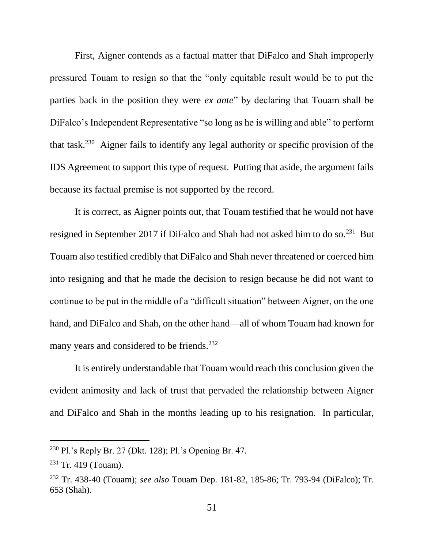First, Aigner contends as a factual matter that DiFalco and Shah improperly pressured Touam to resign so that the "only equitable result would be to put the parties back in the position they were *ex ante*" by declaring that Touam shall be DiFalco's Independent Representative "so long as he is willing and able" to perform that task.<sup>230</sup> Aigner fails to identify any legal authority or specific provision of the IDS Agreement to support this type of request. Putting that aside, the argument fails because its factual premise is not supported by the record.

It is correct, as Aigner points out, that Touam testified that he would not have resigned in September 2017 if DiFalco and Shah had not asked him to do so.<sup>231</sup> But Touam also testified credibly that DiFalco and Shah never threatened or coerced him into resigning and that he made the decision to resign because he did not want to continue to be put in the middle of a "difficult situation" between Aigner, on the one hand, and DiFalco and Shah, on the other hand—all of whom Touam had known for many years and considered to be friends.<sup>232</sup>

It is entirely understandable that Touam would reach this conclusion given the evident animosity and lack of trust that pervaded the relationship between Aigner and DiFalco and Shah in the months leading up to his resignation. In particular,

<sup>230</sup> Pl.'s Reply Br. 27 (Dkt. 128); Pl.'s Opening Br. 47.

 $231$  Tr. 419 (Touam).

<sup>232</sup> Tr. 438-40 (Touam); *see also* Touam Dep. 181-82, 185-86; Tr. 793-94 (DiFalco); Tr. 653 (Shah).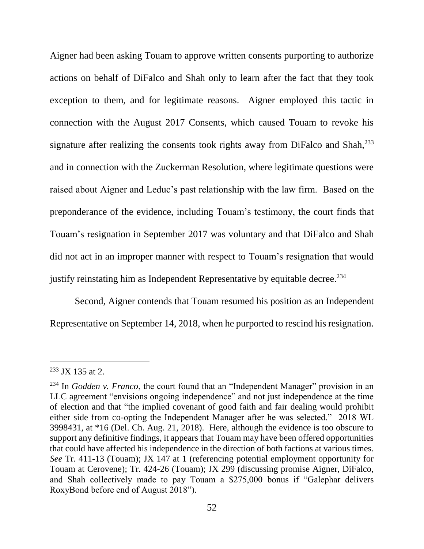Aigner had been asking Touam to approve written consents purporting to authorize actions on behalf of DiFalco and Shah only to learn after the fact that they took exception to them, and for legitimate reasons. Aigner employed this tactic in connection with the August 2017 Consents, which caused Touam to revoke his signature after realizing the consents took rights away from DiFalco and Shah,<sup>233</sup> and in connection with the Zuckerman Resolution, where legitimate questions were raised about Aigner and Leduc's past relationship with the law firm. Based on the preponderance of the evidence, including Touam's testimony, the court finds that Touam's resignation in September 2017 was voluntary and that DiFalco and Shah did not act in an improper manner with respect to Touam's resignation that would justify reinstating him as Independent Representative by equitable decree.<sup>234</sup>

Second, Aigner contends that Touam resumed his position as an Independent Representative on September 14, 2018, when he purported to rescind his resignation.

<sup>233</sup> JX 135 at 2.

<sup>234</sup> In *Godden v. Franco*, the court found that an "Independent Manager" provision in an LLC agreement "envisions ongoing independence" and not just independence at the time of election and that "the implied covenant of good faith and fair dealing would prohibit either side from co-opting the Independent Manager after he was selected." 2018 WL 3998431, at \*16 (Del. Ch. Aug. 21, 2018). Here, although the evidence is too obscure to support any definitive findings, it appears that Touam may have been offered opportunities that could have affected his independence in the direction of both factions at various times. *See* Tr. 411-13 (Touam); JX 147 at 1 (referencing potential employment opportunity for Touam at Cerovene); Tr. 424-26 (Touam); JX 299 (discussing promise Aigner, DiFalco, and Shah collectively made to pay Touam a \$275,000 bonus if "Galephar delivers RoxyBond before end of August 2018").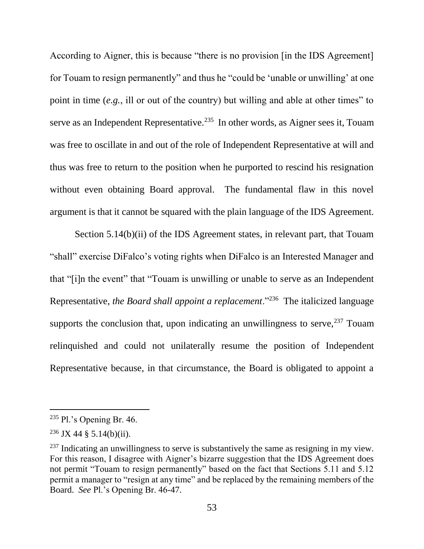According to Aigner, this is because "there is no provision [in the IDS Agreement] for Touam to resign permanently" and thus he "could be 'unable or unwilling' at one point in time (*e.g.*, ill or out of the country) but willing and able at other times" to serve as an Independent Representative.<sup>235</sup> In other words, as Aigner sees it, Touam was free to oscillate in and out of the role of Independent Representative at will and thus was free to return to the position when he purported to rescind his resignation without even obtaining Board approval. The fundamental flaw in this novel argument is that it cannot be squared with the plain language of the IDS Agreement.

Section 5.14(b)(ii) of the IDS Agreement states, in relevant part, that Touam "shall" exercise DiFalco's voting rights when DiFalco is an Interested Manager and that "[i]n the event" that "Touam is unwilling or unable to serve as an Independent Representative, *the Board shall appoint a replacement*."<sup>236</sup> The italicized language supports the conclusion that, upon indicating an unwillingness to serve,  $237$  Touam relinquished and could not unilaterally resume the position of Independent Representative because, in that circumstance, the Board is obligated to appoint a

 $235$  Pl.'s Opening Br. 46.

 $236$  JX 44 § 5.14(b)(ii).

 $237$  Indicating an unwillingness to serve is substantively the same as resigning in my view. For this reason, I disagree with Aigner's bizarre suggestion that the IDS Agreement does not permit "Touam to resign permanently" based on the fact that Sections 5.11 and 5.12 permit a manager to "resign at any time" and be replaced by the remaining members of the Board. *See* Pl.'s Opening Br. 46-47.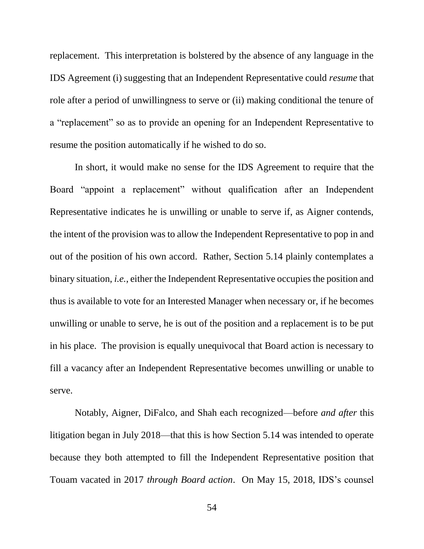replacement. This interpretation is bolstered by the absence of any language in the IDS Agreement (i) suggesting that an Independent Representative could *resume* that role after a period of unwillingness to serve or (ii) making conditional the tenure of a "replacement" so as to provide an opening for an Independent Representative to resume the position automatically if he wished to do so.

In short, it would make no sense for the IDS Agreement to require that the Board "appoint a replacement" without qualification after an Independent Representative indicates he is unwilling or unable to serve if, as Aigner contends, the intent of the provision was to allow the Independent Representative to pop in and out of the position of his own accord. Rather, Section 5.14 plainly contemplates a binary situation, *i.e.*, either the Independent Representative occupies the position and thus is available to vote for an Interested Manager when necessary or, if he becomes unwilling or unable to serve, he is out of the position and a replacement is to be put in his place. The provision is equally unequivocal that Board action is necessary to fill a vacancy after an Independent Representative becomes unwilling or unable to serve.

Notably, Aigner, DiFalco, and Shah each recognized—before *and after* this litigation began in July 2018—that this is how Section 5.14 was intended to operate because they both attempted to fill the Independent Representative position that Touam vacated in 2017 *through Board action*. On May 15, 2018, IDS's counsel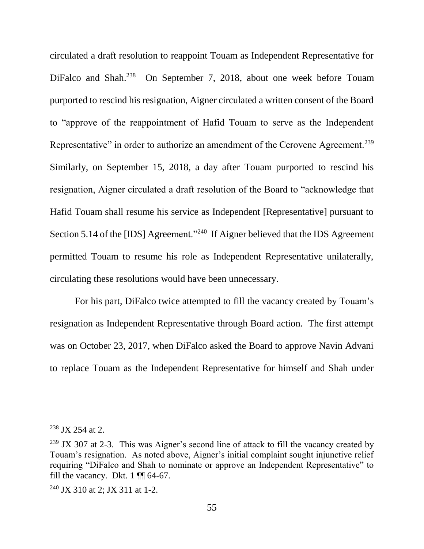circulated a draft resolution to reappoint Touam as Independent Representative for DiFalco and Shah.<sup>238</sup> On September 7, 2018, about one week before Touam purported to rescind his resignation, Aigner circulated a written consent of the Board to "approve of the reappointment of Hafid Touam to serve as the Independent Representative" in order to authorize an amendment of the Cerovene Agreement.<sup>239</sup> Similarly, on September 15, 2018, a day after Touam purported to rescind his resignation, Aigner circulated a draft resolution of the Board to "acknowledge that Hafid Touam shall resume his service as Independent [Representative] pursuant to Section 5.14 of the [IDS] Agreement."<sup>240</sup> If Aigner believed that the IDS Agreement permitted Touam to resume his role as Independent Representative unilaterally, circulating these resolutions would have been unnecessary.

For his part, DiFalco twice attempted to fill the vacancy created by Touam's resignation as Independent Representative through Board action. The first attempt was on October 23, 2017, when DiFalco asked the Board to approve Navin Advani to replace Touam as the Independent Representative for himself and Shah under

<sup>238</sup> JX 254 at 2.

 $239$  JX 307 at 2-3. This was Aigner's second line of attack to fill the vacancy created by Touam's resignation. As noted above, Aigner's initial complaint sought injunctive relief requiring "DiFalco and Shah to nominate or approve an Independent Representative" to fill the vacancy. Dkt.  $1 \text{ }\P{}$  64-67.

<sup>240</sup> JX 310 at 2; JX 311 at 1-2.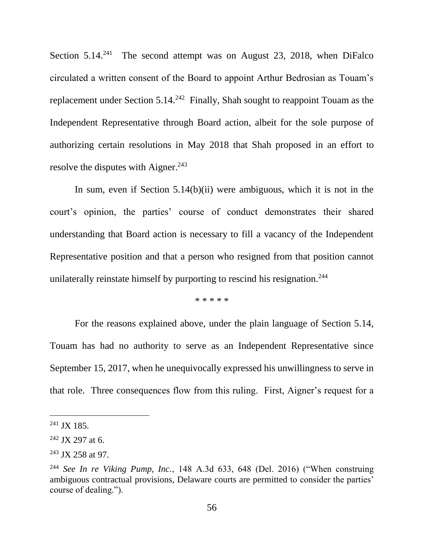Section  $5.14<sup>241</sup>$  The second attempt was on August 23, 2018, when DiFalco circulated a written consent of the Board to appoint Arthur Bedrosian as Touam's replacement under Section  $5.14.^{242}$  Finally, Shah sought to reappoint Touam as the Independent Representative through Board action, albeit for the sole purpose of authorizing certain resolutions in May 2018 that Shah proposed in an effort to resolve the disputes with Aigner. $243$ 

In sum, even if Section 5.14(b)(ii) were ambiguous, which it is not in the court's opinion, the parties' course of conduct demonstrates their shared understanding that Board action is necessary to fill a vacancy of the Independent Representative position and that a person who resigned from that position cannot unilaterally reinstate himself by purporting to rescind his resignation.<sup>244</sup>

\* \* \* \* \*

For the reasons explained above, under the plain language of Section 5.14, Touam has had no authority to serve as an Independent Representative since September 15, 2017, when he unequivocally expressed his unwillingness to serve in that role. Three consequences flow from this ruling. First, Aigner's request for a

 $241$  JX 185.

<sup>242</sup> JX 297 at 6.

<sup>&</sup>lt;sup>243</sup> JX 258 at 97.

<sup>244</sup> *See In re Viking Pump, Inc.*, 148 A.3d 633, 648 (Del. 2016) ("When construing ambiguous contractual provisions, Delaware courts are permitted to consider the parties' course of dealing.").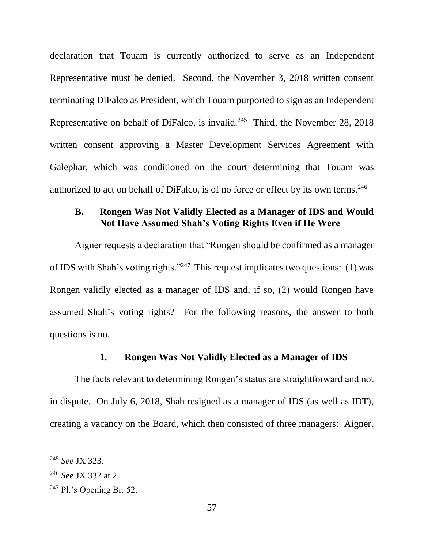declaration that Touam is currently authorized to serve as an Independent Representative must be denied. Second, the November 3, 2018 written consent terminating DiFalco as President, which Touam purported to sign as an Independent Representative on behalf of DiFalco, is invalid.<sup>245</sup> Third, the November 28, 2018 written consent approving a Master Development Services Agreement with Galephar, which was conditioned on the court determining that Touam was authorized to act on behalf of DiFalco, is of no force or effect by its own terms.<sup>246</sup>

## **B. Rongen Was Not Validly Elected as a Manager of IDS and Would Not Have Assumed Shah's Voting Rights Even if He Were**

Aigner requests a declaration that "Rongen should be confirmed as a manager of IDS with Shah's voting rights."<sup>247</sup> This request implicates two questions: (1) was Rongen validly elected as a manager of IDS and, if so, (2) would Rongen have assumed Shah's voting rights? For the following reasons, the answer to both questions is no.

## **1. Rongen Was Not Validly Elected as a Manager of IDS**

The facts relevant to determining Rongen's status are straightforward and not in dispute. On July 6, 2018, Shah resigned as a manager of IDS (as well as IDT), creating a vacancy on the Board, which then consisted of three managers: Aigner,

<sup>245</sup> *See* JX 323.

<sup>246</sup> *See* JX 332 at 2.

 $247$  Pl.'s Opening Br. 52.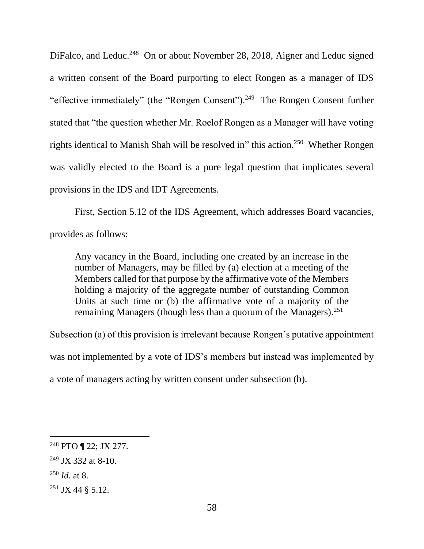DiFalco, and Leduc.<sup>248</sup> On or about November 28, 2018, Aigner and Leduc signed a written consent of the Board purporting to elect Rongen as a manager of IDS "effective immediately" (the "Rongen Consent").<sup>249</sup> The Rongen Consent further stated that "the question whether Mr. Roelof Rongen as a Manager will have voting rights identical to Manish Shah will be resolved in" this action.<sup>250</sup> Whether Rongen was validly elected to the Board is a pure legal question that implicates several provisions in the IDS and IDT Agreements.

First, Section 5.12 of the IDS Agreement, which addresses Board vacancies, provides as follows:

Any vacancy in the Board, including one created by an increase in the number of Managers, may be filled by (a) election at a meeting of the Members called for that purpose by the affirmative vote of the Members holding a majority of the aggregate number of outstanding Common Units at such time or (b) the affirmative vote of a majority of the remaining Managers (though less than a quorum of the Managers).<sup>251</sup>

Subsection (a) of this provision is irrelevant because Rongen's putative appointment was not implemented by a vote of IDS's members but instead was implemented by a vote of managers acting by written consent under subsection (b).

<sup>248</sup> PTO ¶ 22; JX 277.

 $249$  JX 332 at 8-10.

<sup>250</sup> *Id*. at 8.

<sup>251</sup> JX 44 § 5.12.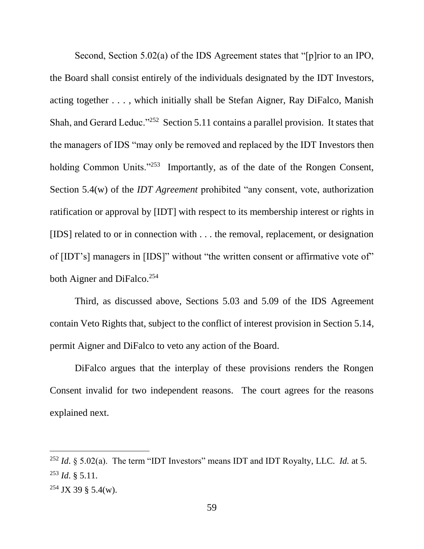Second, Section 5.02(a) of the IDS Agreement states that "[p]rior to an IPO, the Board shall consist entirely of the individuals designated by the IDT Investors, acting together . . . , which initially shall be Stefan Aigner, Ray DiFalco, Manish Shah, and Gerard Leduc."<sup>252</sup> Section 5.11 contains a parallel provision. It states that the managers of IDS "may only be removed and replaced by the IDT Investors then holding Common Units."<sup>253</sup> Importantly, as of the date of the Rongen Consent, Section 5.4(w) of the *IDT Agreement* prohibited "any consent, vote, authorization ratification or approval by [IDT] with respect to its membership interest or rights in [IDS] related to or in connection with . . . the removal, replacement, or designation of [IDT's] managers in [IDS]" without "the written consent or affirmative vote of" both Aigner and DiFalco.<sup>254</sup>

Third, as discussed above, Sections 5.03 and 5.09 of the IDS Agreement contain Veto Rights that, subject to the conflict of interest provision in Section 5.14, permit Aigner and DiFalco to veto any action of the Board.

DiFalco argues that the interplay of these provisions renders the Rongen Consent invalid for two independent reasons. The court agrees for the reasons explained next.

<sup>252</sup> *Id*. § 5.02(a). The term "IDT Investors" means IDT and IDT Royalty, LLC. *Id.* at 5. <sup>253</sup> *Id*. § 5.11.

<sup>254</sup> JX 39 § 5.4(w).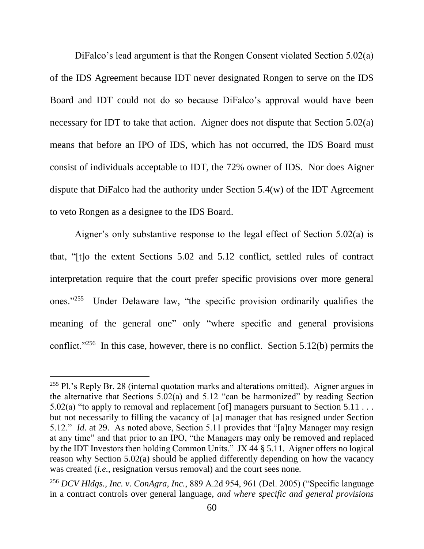DiFalco's lead argument is that the Rongen Consent violated Section 5.02(a) of the IDS Agreement because IDT never designated Rongen to serve on the IDS Board and IDT could not do so because DiFalco's approval would have been necessary for IDT to take that action. Aigner does not dispute that Section 5.02(a) means that before an IPO of IDS, which has not occurred, the IDS Board must consist of individuals acceptable to IDT, the 72% owner of IDS. Nor does Aigner dispute that DiFalco had the authority under Section 5.4(w) of the IDT Agreement to veto Rongen as a designee to the IDS Board.

Aigner's only substantive response to the legal effect of Section 5.02(a) is that, "[t]o the extent Sections 5.02 and 5.12 conflict, settled rules of contract interpretation require that the court prefer specific provisions over more general ones."<sup>255</sup> Under Delaware law, "the specific provision ordinarily qualifies the meaning of the general one" only "where specific and general provisions conflict."<sup>256</sup> In this case, however, there is no conflict. Section 5.12(b) permits the

 $255$  Pl.'s Reply Br. 28 (internal quotation marks and alterations omitted). Aigner argues in the alternative that Sections 5.02(a) and 5.12 "can be harmonized" by reading Section 5.02(a) "to apply to removal and replacement [of] managers pursuant to Section  $5.11...$ but not necessarily to filling the vacancy of [a] manager that has resigned under Section 5.12." *Id*. at 29. As noted above, Section 5.11 provides that "[a]ny Manager may resign at any time" and that prior to an IPO, "the Managers may only be removed and replaced by the IDT Investors then holding Common Units." JX 44 § 5.11. Aigner offers no logical reason why Section 5.02(a) should be applied differently depending on how the vacancy was created (*i.e.*, resignation versus removal) and the court sees none.

<sup>256</sup> *DCV Hldgs., Inc. v. ConAgra, Inc.*, 889 A.2d 954, 961 (Del. 2005) ("Specific language in a contract controls over general language, *and where specific and general provisions*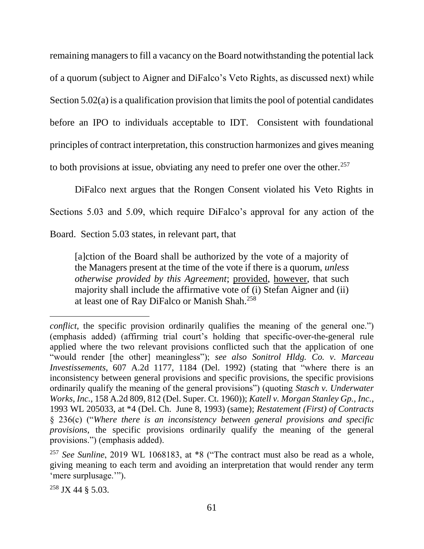remaining managers to fill a vacancy on the Board notwithstanding the potential lack of a quorum (subject to Aigner and DiFalco's Veto Rights, as discussed next) while Section 5.02(a) is a qualification provision that limits the pool of potential candidates before an IPO to individuals acceptable to IDT. Consistent with foundational principles of contract interpretation, this construction harmonizes and gives meaning to both provisions at issue, obviating any need to prefer one over the other.<sup>257</sup>

DiFalco next argues that the Rongen Consent violated his Veto Rights in Sections 5.03 and 5.09, which require DiFalco's approval for any action of the Board. Section 5.03 states, in relevant part, that

[a]ction of the Board shall be authorized by the vote of a majority of the Managers present at the time of the vote if there is a quorum, *unless otherwise provided by this Agreement*; provided, however, that such majority shall include the affirmative vote of (i) Stefan Aigner and (ii) at least one of Ray DiFalco or Manish Shah.<sup>258</sup>

*conflict*, the specific provision ordinarily qualifies the meaning of the general one.") (emphasis added) (affirming trial court's holding that specific-over-the-general rule applied where the two relevant provisions conflicted such that the application of one "would render [the other] meaningless"); *see also Sonitrol Hldg. Co. v. Marceau Investissements*, 607 A.2d 1177, 1184 (Del. 1992) (stating that "where there is an inconsistency between general provisions and specific provisions, the specific provisions ordinarily qualify the meaning of the general provisions") (quoting *Stasch v. Underwater Works, Inc.*, 158 A.2d 809, 812 (Del. Super. Ct. 1960)); *Katell v. Morgan Stanley Gp., Inc.*, 1993 WL 205033, at \*4 (Del. Ch. June 8, 1993) (same); *Restatement (First) of Contracts* § 236(c) ("*Where there is an inconsistency between general provisions and specific provisions*, the specific provisions ordinarily qualify the meaning of the general provisions.") (emphasis added).

<sup>257</sup> *See Sunline*, 2019 WL 1068183, at \*8 ("The contract must also be read as a whole, giving meaning to each term and avoiding an interpretation that would render any term 'mere surplusage.'").

 $258$  JX 44  $\frac{8}{3}$  5.03.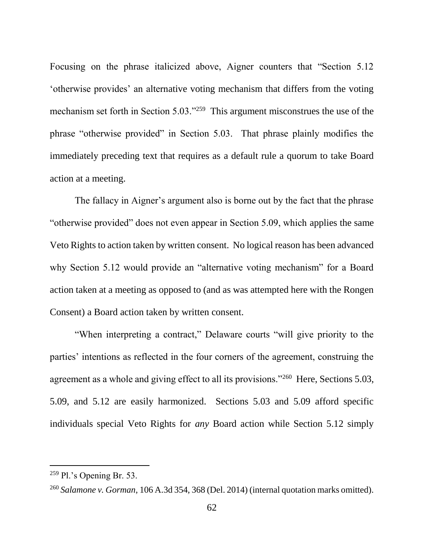Focusing on the phrase italicized above, Aigner counters that "Section 5.12 'otherwise provides' an alternative voting mechanism that differs from the voting mechanism set forth in Section 5.03."<sup>259</sup> This argument misconstrues the use of the phrase "otherwise provided" in Section 5.03. That phrase plainly modifies the immediately preceding text that requires as a default rule a quorum to take Board action at a meeting.

The fallacy in Aigner's argument also is borne out by the fact that the phrase "otherwise provided" does not even appear in Section 5.09, which applies the same Veto Rights to action taken by written consent. No logical reason has been advanced why Section 5.12 would provide an "alternative voting mechanism" for a Board action taken at a meeting as opposed to (and as was attempted here with the Rongen Consent) a Board action taken by written consent.

"When interpreting a contract," Delaware courts "will give priority to the parties' intentions as reflected in the four corners of the agreement, construing the agreement as a whole and giving effect to all its provisions."<sup>260</sup> Here, Sections 5.03, 5.09, and 5.12 are easily harmonized. Sections 5.03 and 5.09 afford specific individuals special Veto Rights for *any* Board action while Section 5.12 simply

 $259$  Pl.'s Opening Br. 53.

<sup>260</sup> *Salamone v. Gorman*, 106 A.3d 354, 368 (Del. 2014) (internal quotation marks omitted).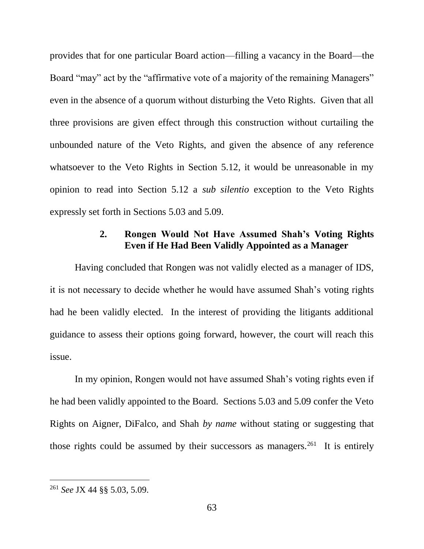provides that for one particular Board action—filling a vacancy in the Board—the Board "may" act by the "affirmative vote of a majority of the remaining Managers" even in the absence of a quorum without disturbing the Veto Rights. Given that all three provisions are given effect through this construction without curtailing the unbounded nature of the Veto Rights, and given the absence of any reference whatsoever to the Veto Rights in Section 5.12, it would be unreasonable in my opinion to read into Section 5.12 a *sub silentio* exception to the Veto Rights expressly set forth in Sections 5.03 and 5.09.

# **2. Rongen Would Not Have Assumed Shah's Voting Rights Even if He Had Been Validly Appointed as a Manager**

Having concluded that Rongen was not validly elected as a manager of IDS, it is not necessary to decide whether he would have assumed Shah's voting rights had he been validly elected. In the interest of providing the litigants additional guidance to assess their options going forward, however, the court will reach this issue.

In my opinion, Rongen would not have assumed Shah's voting rights even if he had been validly appointed to the Board. Sections 5.03 and 5.09 confer the Veto Rights on Aigner, DiFalco, and Shah *by name* without stating or suggesting that those rights could be assumed by their successors as managers.<sup>261</sup> It is entirely

<sup>261</sup> *See* JX 44 §§ 5.03, 5.09.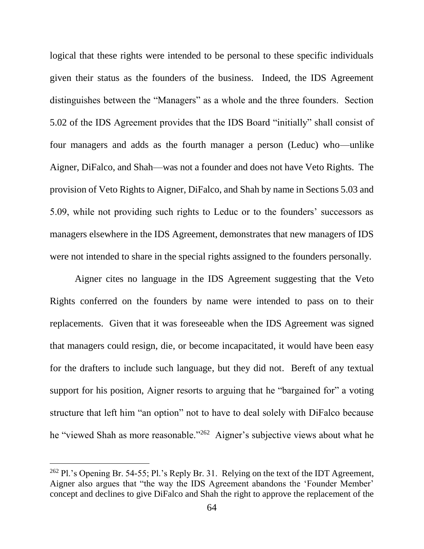logical that these rights were intended to be personal to these specific individuals given their status as the founders of the business. Indeed, the IDS Agreement distinguishes between the "Managers" as a whole and the three founders. Section 5.02 of the IDS Agreement provides that the IDS Board "initially" shall consist of four managers and adds as the fourth manager a person (Leduc) who—unlike Aigner, DiFalco, and Shah—was not a founder and does not have Veto Rights. The provision of Veto Rights to Aigner, DiFalco, and Shah by name in Sections 5.03 and 5.09, while not providing such rights to Leduc or to the founders' successors as managers elsewhere in the IDS Agreement, demonstrates that new managers of IDS were not intended to share in the special rights assigned to the founders personally.

Aigner cites no language in the IDS Agreement suggesting that the Veto Rights conferred on the founders by name were intended to pass on to their replacements. Given that it was foreseeable when the IDS Agreement was signed that managers could resign, die, or become incapacitated, it would have been easy for the drafters to include such language, but they did not. Bereft of any textual support for his position, Aigner resorts to arguing that he "bargained for" a voting structure that left him "an option" not to have to deal solely with DiFalco because he "viewed Shah as more reasonable."<sup>262</sup> Aigner's subjective views about what he

 $262$  Pl.'s Opening Br. 54-55; Pl.'s Reply Br. 31. Relying on the text of the IDT Agreement, Aigner also argues that "the way the IDS Agreement abandons the 'Founder Member' concept and declines to give DiFalco and Shah the right to approve the replacement of the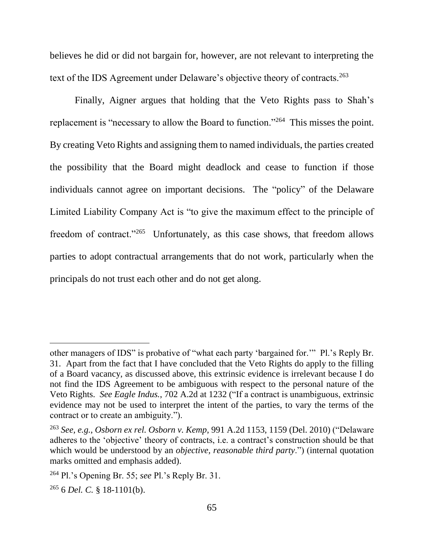believes he did or did not bargain for, however, are not relevant to interpreting the text of the IDS Agreement under Delaware's objective theory of contracts.<sup>263</sup>

Finally, Aigner argues that holding that the Veto Rights pass to Shah's replacement is "necessary to allow the Board to function."<sup>264</sup> This misses the point. By creating Veto Rights and assigning them to named individuals, the parties created the possibility that the Board might deadlock and cease to function if those individuals cannot agree on important decisions. The "policy" of the Delaware Limited Liability Company Act is "to give the maximum effect to the principle of freedom of contract."<sup>265</sup> Unfortunately, as this case shows, that freedom allows parties to adopt contractual arrangements that do not work, particularly when the principals do not trust each other and do not get along.

other managers of IDS" is probative of "what each party 'bargained for.'" Pl.'s Reply Br. 31. Apart from the fact that I have concluded that the Veto Rights do apply to the filling of a Board vacancy, as discussed above, this extrinsic evidence is irrelevant because I do not find the IDS Agreement to be ambiguous with respect to the personal nature of the Veto Rights. *See Eagle Indus.*, 702 A.2d at 1232 ("If a contract is unambiguous, extrinsic evidence may not be used to interpret the intent of the parties, to vary the terms of the contract or to create an ambiguity.").

<sup>263</sup> *See, e.g.*, *Osborn ex rel. Osborn v. Kemp*, 991 A.2d 1153, 1159 (Del. 2010) ("Delaware adheres to the 'objective' theory of contracts, i.e. a contract's construction should be that which would be understood by an *objective, reasonable third party*.") (internal quotation marks omitted and emphasis added).

<sup>264</sup> Pl.'s Opening Br. 55; *see* Pl.'s Reply Br. 31.

<sup>265</sup> 6 *Del. C.* § 18-1101(b).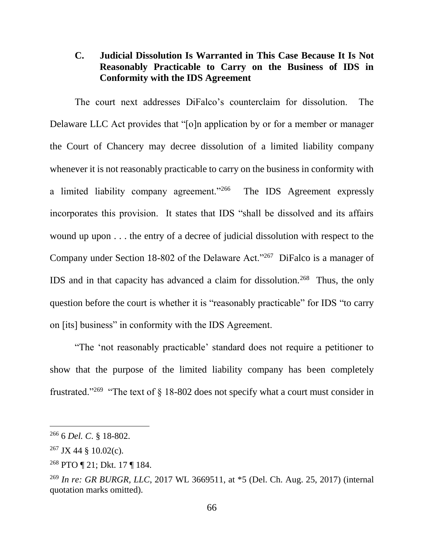# **C. Judicial Dissolution Is Warranted in This Case Because It Is Not Reasonably Practicable to Carry on the Business of IDS in Conformity with the IDS Agreement**

The court next addresses DiFalco's counterclaim for dissolution. The Delaware LLC Act provides that "[o]n application by or for a member or manager the Court of Chancery may decree dissolution of a limited liability company whenever it is not reasonably practicable to carry on the business in conformity with a limited liability company agreement."<sup>266</sup> The IDS Agreement expressly incorporates this provision. It states that IDS "shall be dissolved and its affairs wound up upon . . . the entry of a decree of judicial dissolution with respect to the Company under Section 18-802 of the Delaware Act."<sup>267</sup> DiFalco is a manager of IDS and in that capacity has advanced a claim for dissolution.<sup>268</sup> Thus, the only question before the court is whether it is "reasonably practicable" for IDS "to carry on [its] business" in conformity with the IDS Agreement.

"The 'not reasonably practicable' standard does not require a petitioner to show that the purpose of the limited liability company has been completely frustrated."<sup>269</sup> "The text of  $\S$  18-802 does not specify what a court must consider in

<sup>266</sup> 6 *Del. C*. § 18-802.

 $267$  JX 44 § 10.02(c).

<sup>268</sup> PTO ¶ 21; Dkt. 17 ¶ 184.

<sup>269</sup> *In re: GR BURGR, LLC*, 2017 WL 3669511, at \*5 (Del. Ch. Aug. 25, 2017) (internal quotation marks omitted).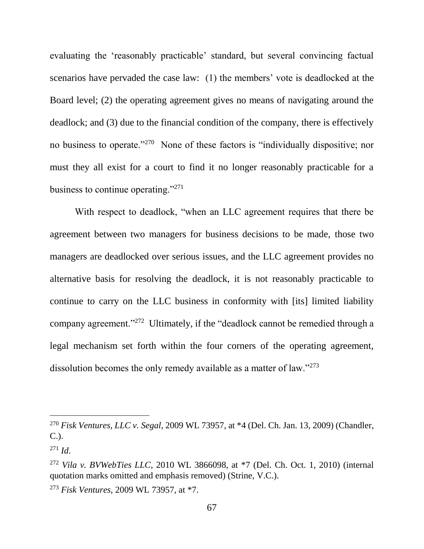evaluating the 'reasonably practicable' standard, but several convincing factual scenarios have pervaded the case law: (1) the members' vote is deadlocked at the Board level; (2) the operating agreement gives no means of navigating around the deadlock; and (3) due to the financial condition of the company, there is effectively no business to operate."<sup>270</sup> None of these factors is "individually dispositive; nor must they all exist for a court to find it no longer reasonably practicable for a business to continue operating."<sup>271</sup>

With respect to deadlock, "when an LLC agreement requires that there be agreement between two managers for business decisions to be made, those two managers are deadlocked over serious issues, and the LLC agreement provides no alternative basis for resolving the deadlock, it is not reasonably practicable to continue to carry on the LLC business in conformity with [its] limited liability company agreement."<sup>272</sup> Ultimately, if the "deadlock cannot be remedied through a legal mechanism set forth within the four corners of the operating agreement, dissolution becomes the only remedy available as a matter of law."<sup>273</sup>

<sup>270</sup> *Fisk Ventures, LLC v. Segal*, 2009 WL 73957, at \*4 (Del. Ch. Jan. 13, 2009) (Chandler, C.).

 $^{271}$  *Id.* 

<sup>272</sup> *Vila v. BVWebTies LLC*, 2010 WL 3866098, at \*7 (Del. Ch. Oct. 1, 2010) (internal quotation marks omitted and emphasis removed) (Strine, V.C.).

<sup>273</sup> *Fisk Ventures*, 2009 WL 73957, at \*7.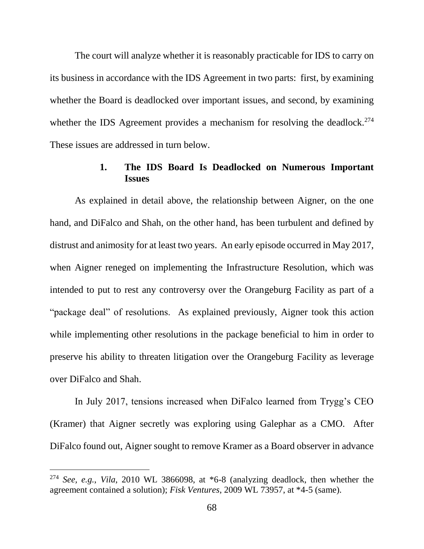The court will analyze whether it is reasonably practicable for IDS to carry on its business in accordance with the IDS Agreement in two parts: first, by examining whether the Board is deadlocked over important issues, and second, by examining whether the IDS Agreement provides a mechanism for resolving the deadlock.<sup>274</sup> These issues are addressed in turn below.

## **1. The IDS Board Is Deadlocked on Numerous Important Issues**

As explained in detail above, the relationship between Aigner, on the one hand, and DiFalco and Shah, on the other hand, has been turbulent and defined by distrust and animosity for at least two years. An early episode occurred in May 2017, when Aigner reneged on implementing the Infrastructure Resolution, which was intended to put to rest any controversy over the Orangeburg Facility as part of a "package deal" of resolutions. As explained previously, Aigner took this action while implementing other resolutions in the package beneficial to him in order to preserve his ability to threaten litigation over the Orangeburg Facility as leverage over DiFalco and Shah.

In July 2017, tensions increased when DiFalco learned from Trygg's CEO (Kramer) that Aigner secretly was exploring using Galephar as a CMO. After DiFalco found out, Aigner sought to remove Kramer as a Board observer in advance

<sup>274</sup> *See, e.g.*, *Vila*, 2010 WL 3866098, at \*6-8 (analyzing deadlock, then whether the agreement contained a solution); *Fisk Ventures*, 2009 WL 73957, at \*4-5 (same).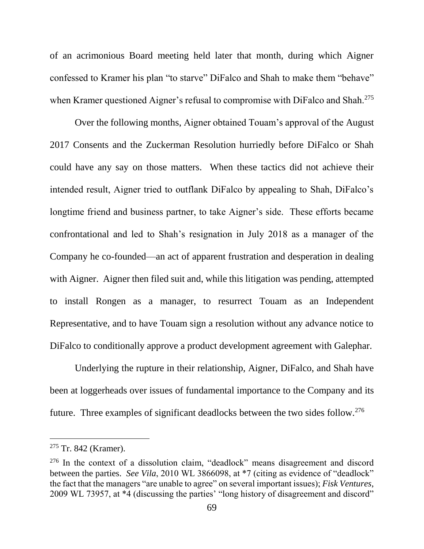of an acrimonious Board meeting held later that month, during which Aigner confessed to Kramer his plan "to starve" DiFalco and Shah to make them "behave" when Kramer questioned Aigner's refusal to compromise with DiFalco and Shah.<sup>275</sup>

Over the following months, Aigner obtained Touam's approval of the August 2017 Consents and the Zuckerman Resolution hurriedly before DiFalco or Shah could have any say on those matters. When these tactics did not achieve their intended result, Aigner tried to outflank DiFalco by appealing to Shah, DiFalco's longtime friend and business partner, to take Aigner's side. These efforts became confrontational and led to Shah's resignation in July 2018 as a manager of the Company he co-founded—an act of apparent frustration and desperation in dealing with Aigner. Aigner then filed suit and, while this litigation was pending, attempted to install Rongen as a manager, to resurrect Touam as an Independent Representative, and to have Touam sign a resolution without any advance notice to DiFalco to conditionally approve a product development agreement with Galephar.

Underlying the rupture in their relationship, Aigner, DiFalco, and Shah have been at loggerheads over issues of fundamental importance to the Company and its future. Three examples of significant deadlocks between the two sides follow.<sup>276</sup>

 $275$  Tr. 842 (Kramer).

<sup>276</sup> In the context of a dissolution claim, "deadlock" means disagreement and discord between the parties. *See Vila*, 2010 WL 3866098, at \*7 (citing as evidence of "deadlock" the fact that the managers "are unable to agree" on several important issues); *Fisk Ventures*, 2009 WL 73957, at \*4 (discussing the parties' "long history of disagreement and discord"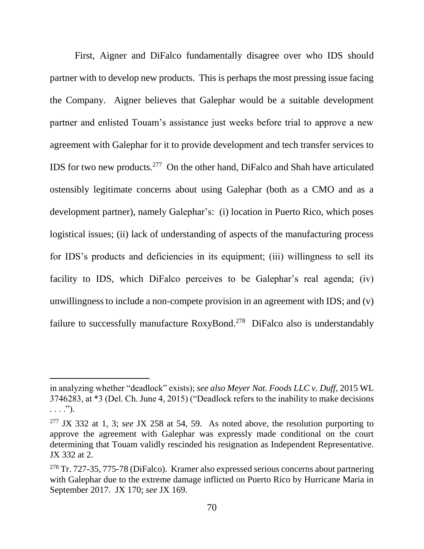First, Aigner and DiFalco fundamentally disagree over who IDS should partner with to develop new products. This is perhaps the most pressing issue facing the Company. Aigner believes that Galephar would be a suitable development partner and enlisted Touam's assistance just weeks before trial to approve a new agreement with Galephar for it to provide development and tech transfer services to IDS for two new products.<sup>277</sup> On the other hand, DiFalco and Shah have articulated ostensibly legitimate concerns about using Galephar (both as a CMO and as a development partner), namely Galephar's: (i) location in Puerto Rico, which poses logistical issues; (ii) lack of understanding of aspects of the manufacturing process for IDS's products and deficiencies in its equipment; (iii) willingness to sell its facility to IDS, which DiFalco perceives to be Galephar's real agenda; (iv) unwillingness to include a non-compete provision in an agreement with IDS; and (v) failure to successfully manufacture RoxyBond.<sup>278</sup> DiFalco also is understandably

in analyzing whether "deadlock" exists); *see also Meyer Nat. Foods LLC v. Duff*, 2015 WL 3746283, at \*3 (Del. Ch. June 4, 2015) ("Deadlock refers to the inability to make decisions  $\ldots$ .").

<sup>277</sup> JX 332 at 1, 3; *see* JX 258 at 54, 59. As noted above, the resolution purporting to approve the agreement with Galephar was expressly made conditional on the court determining that Touam validly rescinded his resignation as Independent Representative. JX 332 at 2.

<sup>278</sup> Tr. 727-35, 775-78 (DiFalco). Kramer also expressed serious concerns about partnering with Galephar due to the extreme damage inflicted on Puerto Rico by Hurricane Maria in September 2017. JX 170; *see* JX 169.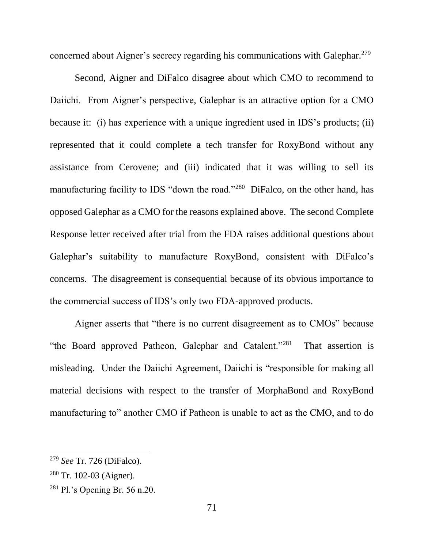concerned about Aigner's secrecy regarding his communications with Galephar.<sup>279</sup>

Second, Aigner and DiFalco disagree about which CMO to recommend to Daiichi. From Aigner's perspective, Galephar is an attractive option for a CMO because it: (i) has experience with a unique ingredient used in IDS's products; (ii) represented that it could complete a tech transfer for RoxyBond without any assistance from Cerovene; and (iii) indicated that it was willing to sell its manufacturing facility to IDS "down the road."<sup>280</sup> DiFalco, on the other hand, has opposed Galephar as a CMO for the reasons explained above. The second Complete Response letter received after trial from the FDA raises additional questions about Galephar's suitability to manufacture RoxyBond, consistent with DiFalco's concerns. The disagreement is consequential because of its obvious importance to the commercial success of IDS's only two FDA-approved products.

Aigner asserts that "there is no current disagreement as to CMOs" because "the Board approved Patheon, Galephar and Catalent."<sup>281</sup> That assertion is misleading. Under the Daiichi Agreement, Daiichi is "responsible for making all material decisions with respect to the transfer of MorphaBond and RoxyBond manufacturing to" another CMO if Patheon is unable to act as the CMO, and to do

<sup>279</sup> *See* Tr. 726 (DiFalco).

<sup>280</sup> Tr. 102-03 (Aigner).

<sup>281</sup> Pl.'s Opening Br. 56 n.20.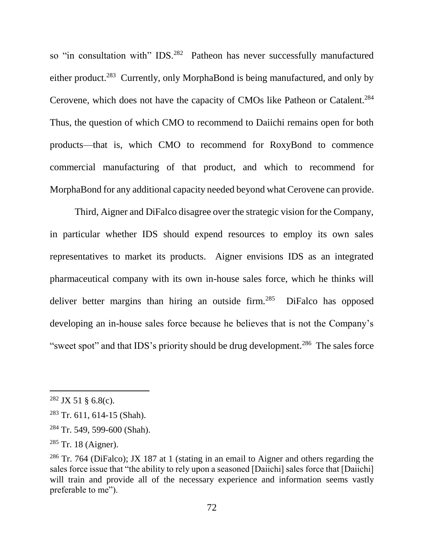so "in consultation with" IDS.<sup>282</sup> Patheon has never successfully manufactured either product.<sup>283</sup> Currently, only MorphaBond is being manufactured, and only by Cerovene, which does not have the capacity of CMOs like Patheon or Catalent.<sup>284</sup> Thus, the question of which CMO to recommend to Daiichi remains open for both products—that is, which CMO to recommend for RoxyBond to commence commercial manufacturing of that product, and which to recommend for MorphaBond for any additional capacity needed beyond what Cerovene can provide.

Third, Aigner and DiFalco disagree over the strategic vision for the Company, in particular whether IDS should expend resources to employ its own sales representatives to market its products. Aigner envisions IDS as an integrated pharmaceutical company with its own in-house sales force, which he thinks will deliver better margins than hiring an outside firm.<sup>285</sup> DiFalco has opposed developing an in-house sales force because he believes that is not the Company's "sweet spot" and that IDS's priority should be drug development.<sup>286</sup> The sales force

 $282$  JX 51 § 6.8(c).

<sup>283</sup> Tr. 611, 614-15 (Shah).

<sup>284</sup> Tr. 549, 599-600 (Shah).

 $285$  Tr. 18 (Aigner).

<sup>286</sup> Tr. 764 (DiFalco); JX 187 at 1 (stating in an email to Aigner and others regarding the sales force issue that "the ability to rely upon a seasoned [Daiichi] sales force that [Daiichi] will train and provide all of the necessary experience and information seems vastly preferable to me").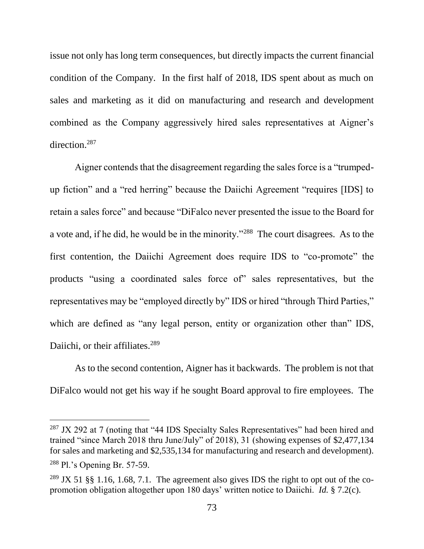issue not only has long term consequences, but directly impacts the current financial condition of the Company. In the first half of 2018, IDS spent about as much on sales and marketing as it did on manufacturing and research and development combined as the Company aggressively hired sales representatives at Aigner's direction.<sup>287</sup>

Aigner contends that the disagreement regarding the sales force is a "trumpedup fiction" and a "red herring" because the Daiichi Agreement "requires [IDS] to retain a sales force" and because "DiFalco never presented the issue to the Board for a vote and, if he did, he would be in the minority."<sup>288</sup> The court disagrees. As to the first contention, the Daiichi Agreement does require IDS to "co-promote" the products "using a coordinated sales force of" sales representatives, but the representatives may be "employed directly by" IDS or hired "through Third Parties," which are defined as "any legal person, entity or organization other than" IDS, Daiichi, or their affiliates.<sup>289</sup>

As to the second contention, Aigner has it backwards. The problem is not that DiFalco would not get his way if he sought Board approval to fire employees. The

<sup>&</sup>lt;sup>287</sup> JX 292 at 7 (noting that "44 IDS Specialty Sales Representatives" had been hired and trained "since March 2018 thru June/July" of 2018), 31 (showing expenses of \$2,477,134 for sales and marketing and \$2,535,134 for manufacturing and research and development). <sup>288</sup> Pl.'s Opening Br. 57-59.

 $289$  JX 51 §§ 1.16, 1.68, 7.1. The agreement also gives IDS the right to opt out of the copromotion obligation altogether upon 180 days' written notice to Daiichi. *Id.* § 7.2(c).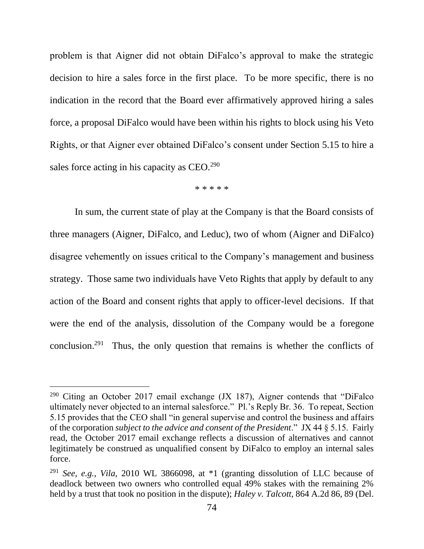problem is that Aigner did not obtain DiFalco's approval to make the strategic decision to hire a sales force in the first place. To be more specific, there is no indication in the record that the Board ever affirmatively approved hiring a sales force, a proposal DiFalco would have been within his rights to block using his Veto Rights, or that Aigner ever obtained DiFalco's consent under Section 5.15 to hire a sales force acting in his capacity as  $CEO.<sup>290</sup>$ 

\* \* \* \* \*

In sum, the current state of play at the Company is that the Board consists of three managers (Aigner, DiFalco, and Leduc), two of whom (Aigner and DiFalco) disagree vehemently on issues critical to the Company's management and business strategy. Those same two individuals have Veto Rights that apply by default to any action of the Board and consent rights that apply to officer-level decisions. If that were the end of the analysis, dissolution of the Company would be a foregone conclusion.<sup>291</sup> Thus, the only question that remains is whether the conflicts of

 $290$  Citing an October 2017 email exchange (JX 187), Aigner contends that "DiFalco ultimately never objected to an internal salesforce." Pl.'s Reply Br. 36. To repeat, Section 5.15 provides that the CEO shall "in general supervise and control the business and affairs of the corporation *subject to the advice and consent of the President*." JX 44 § 5.15. Fairly read, the October 2017 email exchange reflects a discussion of alternatives and cannot legitimately be construed as unqualified consent by DiFalco to employ an internal sales force.

<sup>291</sup> *See, e.g.*, *Vila*, 2010 WL 3866098, at \*1 (granting dissolution of LLC because of deadlock between two owners who controlled equal 49% stakes with the remaining 2% held by a trust that took no position in the dispute); *Haley v. Talcott*, 864 A.2d 86, 89 (Del.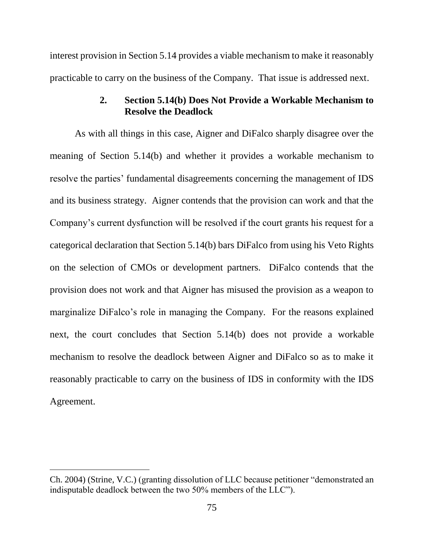interest provision in Section 5.14 provides a viable mechanism to make it reasonably practicable to carry on the business of the Company. That issue is addressed next.

# **2. Section 5.14(b) Does Not Provide a Workable Mechanism to Resolve the Deadlock**

As with all things in this case, Aigner and DiFalco sharply disagree over the meaning of Section 5.14(b) and whether it provides a workable mechanism to resolve the parties' fundamental disagreements concerning the management of IDS and its business strategy. Aigner contends that the provision can work and that the Company's current dysfunction will be resolved if the court grants his request for a categorical declaration that Section 5.14(b) bars DiFalco from using his Veto Rights on the selection of CMOs or development partners. DiFalco contends that the provision does not work and that Aigner has misused the provision as a weapon to marginalize DiFalco's role in managing the Company. For the reasons explained next, the court concludes that Section 5.14(b) does not provide a workable mechanism to resolve the deadlock between Aigner and DiFalco so as to make it reasonably practicable to carry on the business of IDS in conformity with the IDS Agreement.

Ch. 2004) (Strine, V.C.) (granting dissolution of LLC because petitioner "demonstrated an indisputable deadlock between the two 50% members of the LLC").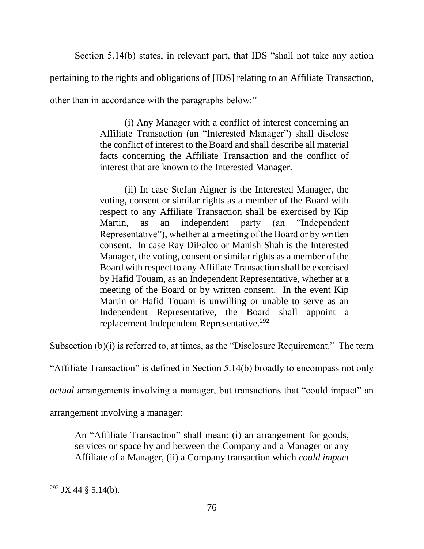Section 5.14(b) states, in relevant part, that IDS "shall not take any action pertaining to the rights and obligations of [IDS] relating to an Affiliate Transaction, other than in accordance with the paragraphs below:"

> (i) Any Manager with a conflict of interest concerning an Affiliate Transaction (an "Interested Manager") shall disclose the conflict of interest to the Board and shall describe all material facts concerning the Affiliate Transaction and the conflict of interest that are known to the Interested Manager.

> (ii) In case Stefan Aigner is the Interested Manager, the voting, consent or similar rights as a member of the Board with respect to any Affiliate Transaction shall be exercised by Kip Martin, as an independent party (an "Independent Representative"), whether at a meeting of the Board or by written consent. In case Ray DiFalco or Manish Shah is the Interested Manager, the voting, consent or similar rights as a member of the Board with respect to any Affiliate Transaction shall be exercised by Hafid Touam, as an Independent Representative, whether at a meeting of the Board or by written consent. In the event Kip Martin or Hafid Touam is unwilling or unable to serve as an Independent Representative, the Board shall appoint a replacement Independent Representative.<sup>292</sup>

Subsection (b)(i) is referred to, at times, as the "Disclosure Requirement." The term

"Affiliate Transaction" is defined in Section 5.14(b) broadly to encompass not only

*actual* arrangements involving a manager, but transactions that "could impact" an

arrangement involving a manager:

An "Affiliate Transaction" shall mean: (i) an arrangement for goods, services or space by and between the Company and a Manager or any Affiliate of a Manager, (ii) a Company transaction which *could impact*

 $292$  JX 44 § 5.14(b).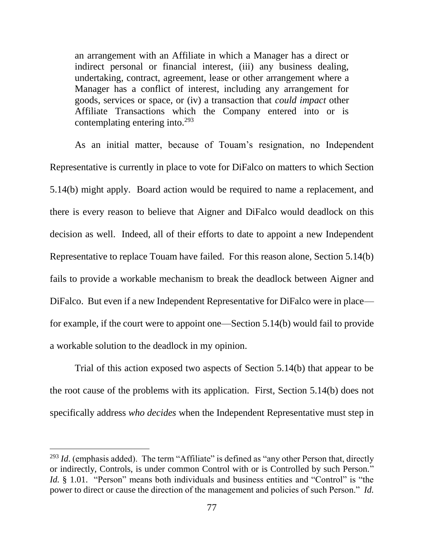an arrangement with an Affiliate in which a Manager has a direct or indirect personal or financial interest, (iii) any business dealing, undertaking, contract, agreement, lease or other arrangement where a Manager has a conflict of interest, including any arrangement for goods, services or space, or (iv) a transaction that *could impact* other Affiliate Transactions which the Company entered into or is contemplating entering into.<sup>293</sup>

As an initial matter, because of Touam's resignation, no Independent Representative is currently in place to vote for DiFalco on matters to which Section 5.14(b) might apply. Board action would be required to name a replacement, and there is every reason to believe that Aigner and DiFalco would deadlock on this decision as well. Indeed, all of their efforts to date to appoint a new Independent Representative to replace Touam have failed. For this reason alone, Section 5.14(b) fails to provide a workable mechanism to break the deadlock between Aigner and DiFalco. But even if a new Independent Representative for DiFalco were in place for example, if the court were to appoint one—Section 5.14(b) would fail to provide a workable solution to the deadlock in my opinion.

Trial of this action exposed two aspects of Section 5.14(b) that appear to be the root cause of the problems with its application. First, Section 5.14(b) does not specifically address *who decides* when the Independent Representative must step in

<sup>&</sup>lt;sup>293</sup> *Id.* (emphasis added). The term "Affiliate" is defined as "any other Person that, directly or indirectly, Controls, is under common Control with or is Controlled by such Person." *Id.* § 1.01. "Person" means both individuals and business entities and "Control" is "the power to direct or cause the direction of the management and policies of such Person." *Id.*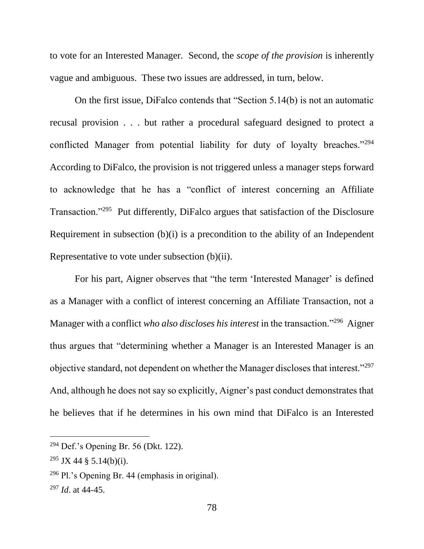to vote for an Interested Manager. Second, the *scope of the provision* is inherently vague and ambiguous. These two issues are addressed, in turn, below.

On the first issue, DiFalco contends that "Section 5.14(b) is not an automatic recusal provision . . . but rather a procedural safeguard designed to protect a conflicted Manager from potential liability for duty of loyalty breaches."<sup>294</sup> According to DiFalco, the provision is not triggered unless a manager steps forward to acknowledge that he has a "conflict of interest concerning an Affiliate Transaction."<sup>295</sup> Put differently, DiFalco argues that satisfaction of the Disclosure Requirement in subsection (b)(i) is a precondition to the ability of an Independent Representative to vote under subsection (b)(ii).

For his part, Aigner observes that "the term 'Interested Manager' is defined as a Manager with a conflict of interest concerning an Affiliate Transaction, not a Manager with a conflict *who also discloses his interest* in the transaction."<sup>296</sup> Aigner thus argues that "determining whether a Manager is an Interested Manager is an objective standard, not dependent on whether the Manager discloses that interest."<sup>297</sup> And, although he does not say so explicitly, Aigner's past conduct demonstrates that he believes that if he determines in his own mind that DiFalco is an Interested

 $294$  Def.'s Opening Br. 56 (Dkt. 122).

<sup>&</sup>lt;sup>295</sup> JX 44 § 5.14(b)(i).

<sup>296</sup> Pl.'s Opening Br. 44 (emphasis in original).

<sup>297</sup> *Id*. at 44-45.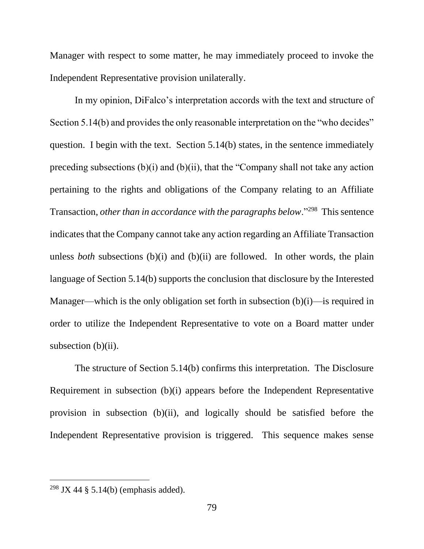Manager with respect to some matter, he may immediately proceed to invoke the Independent Representative provision unilaterally.

In my opinion, DiFalco's interpretation accords with the text and structure of Section 5.14(b) and provides the only reasonable interpretation on the "who decides" question. I begin with the text. Section 5.14(b) states, in the sentence immediately preceding subsections  $(b)(i)$  and  $(b)(ii)$ , that the "Company shall not take any action pertaining to the rights and obligations of the Company relating to an Affiliate Transaction, *other than in accordance with the paragraphs below*."<sup>298</sup> This sentence indicates that the Company cannot take any action regarding an Affiliate Transaction unless *both* subsections (b)(i) and (b)(ii) are followed. In other words, the plain language of Section 5.14(b) supports the conclusion that disclosure by the Interested Manager—which is the only obligation set forth in subsection (b)(i)—is required in order to utilize the Independent Representative to vote on a Board matter under subsection  $(b)(ii)$ .

The structure of Section 5.14(b) confirms this interpretation. The Disclosure Requirement in subsection (b)(i) appears before the Independent Representative provision in subsection (b)(ii), and logically should be satisfied before the Independent Representative provision is triggered. This sequence makes sense

<sup>&</sup>lt;sup>298</sup> JX 44 § 5.14(b) (emphasis added).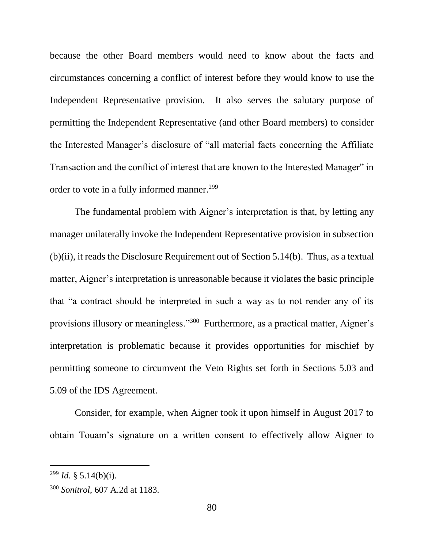because the other Board members would need to know about the facts and circumstances concerning a conflict of interest before they would know to use the Independent Representative provision. It also serves the salutary purpose of permitting the Independent Representative (and other Board members) to consider the Interested Manager's disclosure of "all material facts concerning the Affiliate Transaction and the conflict of interest that are known to the Interested Manager" in order to vote in a fully informed manner.<sup>299</sup>

The fundamental problem with Aigner's interpretation is that, by letting any manager unilaterally invoke the Independent Representative provision in subsection (b)(ii), it reads the Disclosure Requirement out of Section 5.14(b). Thus, as a textual matter, Aigner's interpretation is unreasonable because it violates the basic principle that "a contract should be interpreted in such a way as to not render any of its provisions illusory or meaningless."<sup>300</sup> Furthermore, as a practical matter, Aigner's interpretation is problematic because it provides opportunities for mischief by permitting someone to circumvent the Veto Rights set forth in Sections 5.03 and 5.09 of the IDS Agreement.

Consider, for example, when Aigner took it upon himself in August 2017 to obtain Touam's signature on a written consent to effectively allow Aigner to

 $^{299}$  *Id.* § 5.14(b)(i).

<sup>300</sup> *Sonitrol*, 607 A.2d at 1183.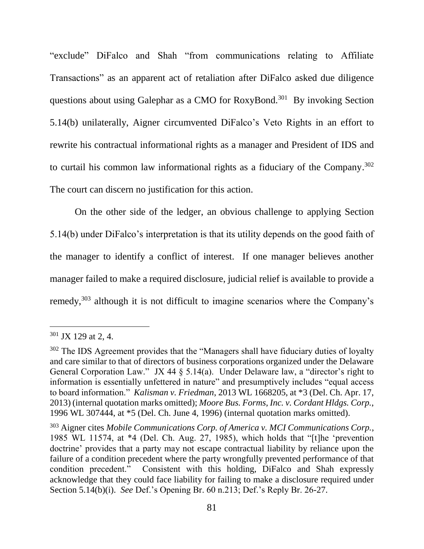"exclude" DiFalco and Shah "from communications relating to Affiliate Transactions" as an apparent act of retaliation after DiFalco asked due diligence questions about using Galephar as a CMO for RoxyBond.<sup>301</sup> By invoking Section 5.14(b) unilaterally, Aigner circumvented DiFalco's Veto Rights in an effort to rewrite his contractual informational rights as a manager and President of IDS and to curtail his common law informational rights as a fiduciary of the Company. 302 The court can discern no justification for this action.

On the other side of the ledger, an obvious challenge to applying Section 5.14(b) under DiFalco's interpretation is that its utility depends on the good faith of the manager to identify a conflict of interest. If one manager believes another manager failed to make a required disclosure, judicial relief is available to provide a remedy,<sup>303</sup> although it is not difficult to imagine scenarios where the Company's

<sup>301</sup> JX 129 at 2, 4.

<sup>&</sup>lt;sup>302</sup> The IDS Agreement provides that the "Managers shall have fiduciary duties of loyalty and care similar to that of directors of business corporations organized under the Delaware General Corporation Law." JX 44 § 5.14(a). Under Delaware law, a "director's right to information is essentially unfettered in nature" and presumptively includes "equal access to board information." *Kalisman v. Friedman*, 2013 WL 1668205, at \*3 (Del. Ch. Apr. 17, 2013) (internal quotation marks omitted); *Moore Bus. Forms, Inc. v. Cordant Hldgs. Corp.*, 1996 WL 307444, at \*5 (Del. Ch. June 4, 1996) (internal quotation marks omitted).

<sup>303</sup> Aigner cites *Mobile Communications Corp. of America v. MCI Communications Corp.*, 1985 WL 11574, at \*4 (Del. Ch. Aug. 27, 1985), which holds that "[t]he 'prevention doctrine' provides that a party may not escape contractual liability by reliance upon the failure of a condition precedent where the party wrongfully prevented performance of that condition precedent." Consistent with this holding, DiFalco and Shah expressly acknowledge that they could face liability for failing to make a disclosure required under Section 5.14(b)(i). *See* Def.'s Opening Br. 60 n.213; Def.'s Reply Br. 26-27.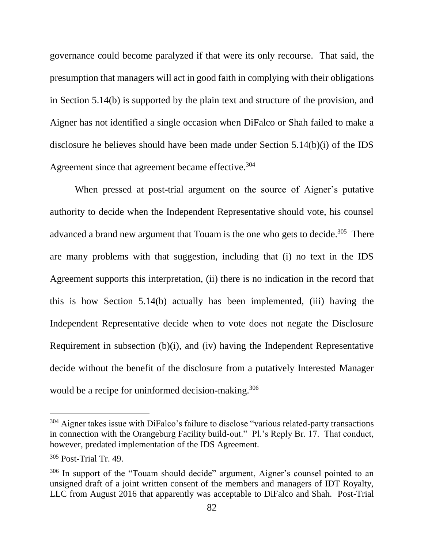governance could become paralyzed if that were its only recourse. That said, the presumption that managers will act in good faith in complying with their obligations in Section 5.14(b) is supported by the plain text and structure of the provision, and Aigner has not identified a single occasion when DiFalco or Shah failed to make a disclosure he believes should have been made under Section 5.14(b)(i) of the IDS Agreement since that agreement became effective.<sup>304</sup>

When pressed at post-trial argument on the source of Aigner's putative authority to decide when the Independent Representative should vote, his counsel advanced a brand new argument that Touam is the one who gets to decide.<sup>305</sup> There are many problems with that suggestion, including that (i) no text in the IDS Agreement supports this interpretation, (ii) there is no indication in the record that this is how Section 5.14(b) actually has been implemented, (iii) having the Independent Representative decide when to vote does not negate the Disclosure Requirement in subsection (b)(i), and (iv) having the Independent Representative decide without the benefit of the disclosure from a putatively Interested Manager would be a recipe for uninformed decision-making.<sup>306</sup>

<sup>&</sup>lt;sup>304</sup> Aigner takes issue with DiFalco's failure to disclose "various related-party transactions" in connection with the Orangeburg Facility build-out." Pl.'s Reply Br. 17. That conduct, however, predated implementation of the IDS Agreement.

<sup>305</sup> Post-Trial Tr. 49.

<sup>306</sup> In support of the "Touam should decide" argument, Aigner's counsel pointed to an unsigned draft of a joint written consent of the members and managers of IDT Royalty, LLC from August 2016 that apparently was acceptable to DiFalco and Shah. Post-Trial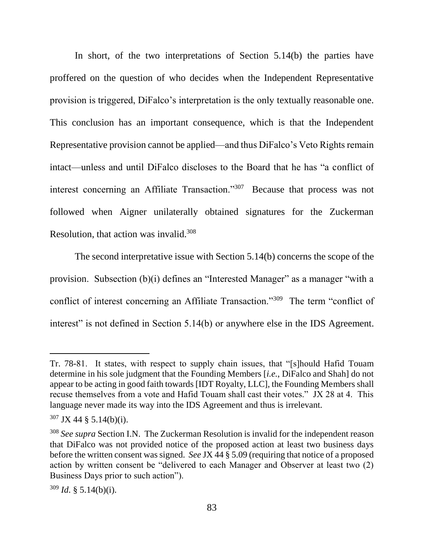In short, of the two interpretations of Section 5.14(b) the parties have proffered on the question of who decides when the Independent Representative provision is triggered, DiFalco's interpretation is the only textually reasonable one. This conclusion has an important consequence, which is that the Independent Representative provision cannot be applied—and thus DiFalco's Veto Rights remain intact—unless and until DiFalco discloses to the Board that he has "a conflict of interest concerning an Affiliate Transaction."<sup>307</sup> Because that process was not followed when Aigner unilaterally obtained signatures for the Zuckerman Resolution, that action was invalid.<sup>308</sup>

The second interpretative issue with Section 5.14(b) concerns the scope of the provision. Subsection (b)(i) defines an "Interested Manager" as a manager "with a conflict of interest concerning an Affiliate Transaction."<sup>309</sup> The term "conflict of interest" is not defined in Section 5.14(b) or anywhere else in the IDS Agreement.

Tr. 78-81. It states, with respect to supply chain issues, that "[s]hould Hafid Touam determine in his sole judgment that the Founding Members [*i.e.*, DiFalco and Shah] do not appear to be acting in good faith towards [IDT Royalty, LLC], the Founding Members shall recuse themselves from a vote and Hafid Touam shall cast their votes." JX 28 at 4. This language never made its way into the IDS Agreement and thus is irrelevant.

 $307$  JX 44 § 5.14(b)(i).

<sup>&</sup>lt;sup>308</sup> See supra Section I.N. The Zuckerman Resolution is invalid for the independent reason that DiFalco was not provided notice of the proposed action at least two business days before the written consent was signed. *See* JX 44 § 5.09 (requiring that notice of a proposed action by written consent be "delivered to each Manager and Observer at least two (2) Business Days prior to such action").

 $309$  *Id.* § 5.14(b)(i).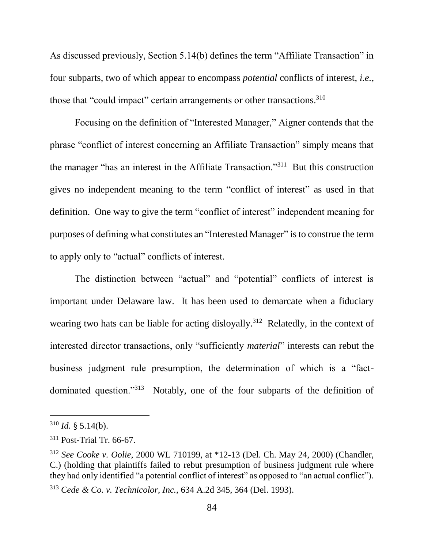As discussed previously, Section 5.14(b) defines the term "Affiliate Transaction" in four subparts, two of which appear to encompass *potential* conflicts of interest, *i.e.*, those that "could impact" certain arrangements or other transactions.<sup>310</sup>

Focusing on the definition of "Interested Manager," Aigner contends that the phrase "conflict of interest concerning an Affiliate Transaction" simply means that the manager "has an interest in the Affiliate Transaction."<sup>311</sup> But this construction gives no independent meaning to the term "conflict of interest" as used in that definition. One way to give the term "conflict of interest" independent meaning for purposes of defining what constitutes an "Interested Manager" is to construe the term to apply only to "actual" conflicts of interest.

The distinction between "actual" and "potential" conflicts of interest is important under Delaware law. It has been used to demarcate when a fiduciary wearing two hats can be liable for acting disloyally.<sup>312</sup> Relatedly, in the context of interested director transactions, only "sufficiently *material*" interests can rebut the business judgment rule presumption, the determination of which is a "factdominated question."<sup>313</sup> Notably, one of the four subparts of the definition of

 $310$  *Id.* § 5.14(b).

<sup>311</sup> Post-Trial Tr. 66-67.

<sup>312</sup> *See Cooke v. Oolie*, 2000 WL 710199, at \*12-13 (Del. Ch. May 24, 2000) (Chandler, C.) (holding that plaintiffs failed to rebut presumption of business judgment rule where they had only identified "a potential conflict of interest" as opposed to "an actual conflict"). <sup>313</sup> *Cede & Co. v. Technicolor, Inc.*, 634 A.2d 345, 364 (Del. 1993).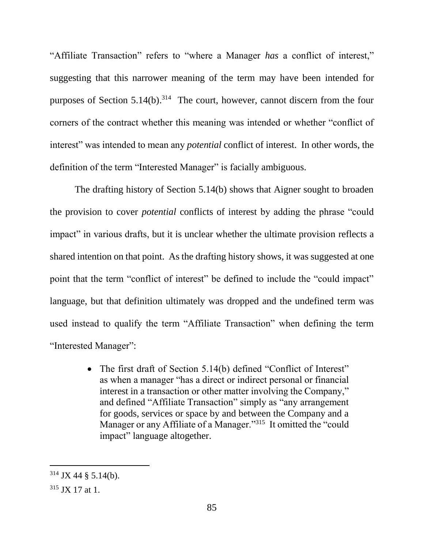"Affiliate Transaction" refers to "where a Manager *has* a conflict of interest," suggesting that this narrower meaning of the term may have been intended for purposes of Section  $5.14(b).^{314}$  The court, however, cannot discern from the four corners of the contract whether this meaning was intended or whether "conflict of interest" was intended to mean any *potential* conflict of interest. In other words, the definition of the term "Interested Manager" is facially ambiguous.

The drafting history of Section 5.14(b) shows that Aigner sought to broaden the provision to cover *potential* conflicts of interest by adding the phrase "could impact" in various drafts, but it is unclear whether the ultimate provision reflects a shared intention on that point. As the drafting history shows, it was suggested at one point that the term "conflict of interest" be defined to include the "could impact" language, but that definition ultimately was dropped and the undefined term was used instead to qualify the term "Affiliate Transaction" when defining the term "Interested Manager":

> • The first draft of Section 5.14(b) defined "Conflict of Interest" as when a manager "has a direct or indirect personal or financial interest in a transaction or other matter involving the Company," and defined "Affiliate Transaction" simply as "any arrangement for goods, services or space by and between the Company and a Manager or any Affiliate of a Manager."<sup>315</sup> It omitted the "could impact" language altogether.

 $314$  JX 44 § 5.14(b).

<sup>315</sup> JX 17 at 1.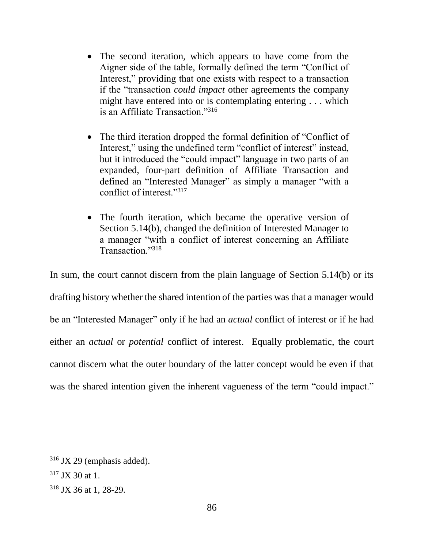- The second iteration, which appears to have come from the Aigner side of the table, formally defined the term "Conflict of Interest," providing that one exists with respect to a transaction if the "transaction *could impact* other agreements the company might have entered into or is contemplating entering . . . which is an Affiliate Transaction."<sup>316</sup>
- The third iteration dropped the formal definition of "Conflict of Interest," using the undefined term "conflict of interest" instead, but it introduced the "could impact" language in two parts of an expanded, four-part definition of Affiliate Transaction and defined an "Interested Manager" as simply a manager "with a conflict of interest."317
- The fourth iteration, which became the operative version of Section 5.14(b), changed the definition of Interested Manager to a manager "with a conflict of interest concerning an Affiliate Transaction."<sup>318</sup>

In sum, the court cannot discern from the plain language of Section 5.14(b) or its drafting history whether the shared intention of the parties was that a manager would be an "Interested Manager" only if he had an *actual* conflict of interest or if he had either an *actual* or *potential* conflict of interest. Equally problematic, the court cannot discern what the outer boundary of the latter concept would be even if that was the shared intention given the inherent vagueness of the term "could impact."

<sup>316</sup> JX 29 (emphasis added).

 $317$  JX 30 at 1.

<sup>318</sup> JX 36 at 1, 28-29.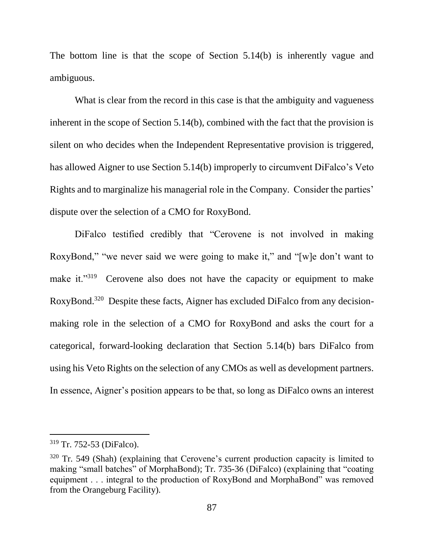The bottom line is that the scope of Section 5.14(b) is inherently vague and ambiguous.

What is clear from the record in this case is that the ambiguity and vagueness inherent in the scope of Section 5.14(b), combined with the fact that the provision is silent on who decides when the Independent Representative provision is triggered, has allowed Aigner to use Section 5.14(b) improperly to circumvent DiFalco's Veto Rights and to marginalize his managerial role in the Company. Consider the parties' dispute over the selection of a CMO for RoxyBond.

DiFalco testified credibly that "Cerovene is not involved in making RoxyBond," "we never said we were going to make it," and "[w]e don't want to make it."<sup>319</sup> Cerovene also does not have the capacity or equipment to make RoxyBond.<sup>320</sup> Despite these facts, Aigner has excluded DiFalco from any decisionmaking role in the selection of a CMO for RoxyBond and asks the court for a categorical, forward-looking declaration that Section 5.14(b) bars DiFalco from using his Veto Rights on the selection of any CMOs as well as development partners. In essence, Aigner's position appears to be that, so long as DiFalco owns an interest

<sup>319</sup> Tr. 752-53 (DiFalco).

 $320$  Tr. 549 (Shah) (explaining that Cerovene's current production capacity is limited to making "small batches" of MorphaBond); Tr. 735-36 (DiFalco) (explaining that "coating equipment . . . integral to the production of RoxyBond and MorphaBond" was removed from the Orangeburg Facility).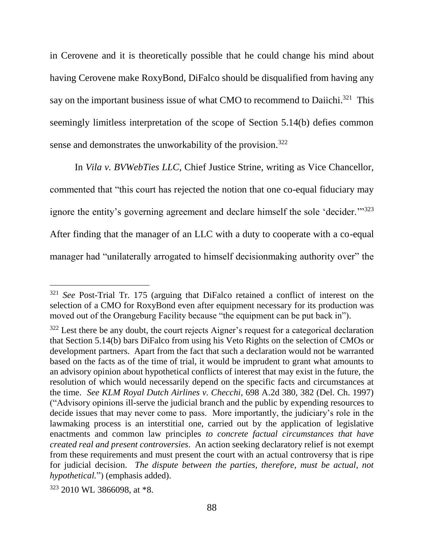in Cerovene and it is theoretically possible that he could change his mind about having Cerovene make RoxyBond, DiFalco should be disqualified from having any say on the important business issue of what CMO to recommend to Daiichi.<sup>321</sup> This seemingly limitless interpretation of the scope of Section 5.14(b) defies common sense and demonstrates the unworkability of the provision.<sup>322</sup>

In *Vila v. BVWebTies LLC*, Chief Justice Strine, writing as Vice Chancellor, commented that "this court has rejected the notion that one co-equal fiduciary may ignore the entity's governing agreement and declare himself the sole 'decider."<sup>323</sup> After finding that the manager of an LLC with a duty to cooperate with a co-equal manager had "unilaterally arrogated to himself decisionmaking authority over" the

<sup>321</sup> *See* Post-Trial Tr. 175 (arguing that DiFalco retained a conflict of interest on the selection of a CMO for RoxyBond even after equipment necessary for its production was moved out of the Orangeburg Facility because "the equipment can be put back in").

<sup>&</sup>lt;sup>322</sup> Lest there be any doubt, the court rejects Aigner's request for a categorical declaration that Section 5.14(b) bars DiFalco from using his Veto Rights on the selection of CMOs or development partners. Apart from the fact that such a declaration would not be warranted based on the facts as of the time of trial, it would be imprudent to grant what amounts to an advisory opinion about hypothetical conflicts of interest that may exist in the future, the resolution of which would necessarily depend on the specific facts and circumstances at the time. *See KLM Royal Dutch Airlines v. Checchi*, 698 A.2d 380, 382 (Del. Ch. 1997) ("Advisory opinions ill-serve the judicial branch and the public by expending resources to decide issues that may never come to pass. More importantly, the judiciary's role in the lawmaking process is an interstitial one, carried out by the application of legislative enactments and common law principles *to concrete factual circumstances that have created real and present controversies*. An action seeking declaratory relief is not exempt from these requirements and must present the court with an actual controversy that is ripe for judicial decision. *The dispute between the parties, therefore, must be actual, not hypothetical.*") (emphasis added).

<sup>323</sup> 2010 WL 3866098, at \*8.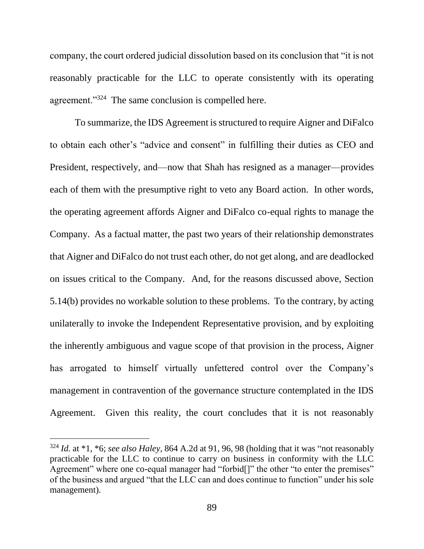company, the court ordered judicial dissolution based on its conclusion that "it is not reasonably practicable for the LLC to operate consistently with its operating agreement."<sup>324</sup> The same conclusion is compelled here.

To summarize, the IDS Agreement is structured to require Aigner and DiFalco to obtain each other's "advice and consent" in fulfilling their duties as CEO and President, respectively, and—now that Shah has resigned as a manager—provides each of them with the presumptive right to veto any Board action. In other words, the operating agreement affords Aigner and DiFalco co-equal rights to manage the Company. As a factual matter, the past two years of their relationship demonstrates that Aigner and DiFalco do not trust each other, do not get along, and are deadlocked on issues critical to the Company. And, for the reasons discussed above, Section 5.14(b) provides no workable solution to these problems. To the contrary, by acting unilaterally to invoke the Independent Representative provision, and by exploiting the inherently ambiguous and vague scope of that provision in the process, Aigner has arrogated to himself virtually unfettered control over the Company's management in contravention of the governance structure contemplated in the IDS Agreement. Given this reality, the court concludes that it is not reasonably

<sup>324</sup> *Id.* at \*1, \*6; *see also Haley*, 864 A.2d at 91, 96, 98 (holding that it was "not reasonably practicable for the LLC to continue to carry on business in conformity with the LLC Agreement" where one co-equal manager had "forbid<sup>[]"</sup> the other "to enter the premises" of the business and argued "that the LLC can and does continue to function" under his sole management).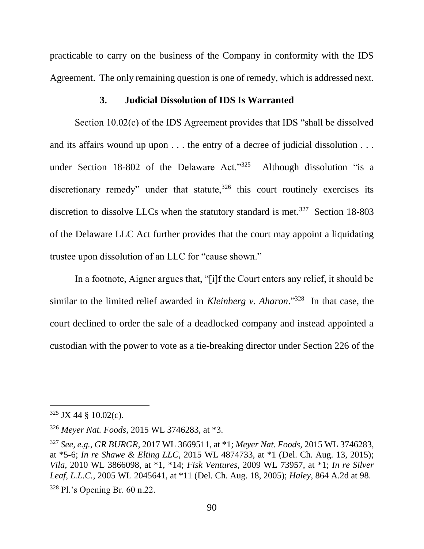practicable to carry on the business of the Company in conformity with the IDS Agreement. The only remaining question is one of remedy, which is addressed next.

## **3. Judicial Dissolution of IDS Is Warranted**

Section 10.02(c) of the IDS Agreement provides that IDS "shall be dissolved and its affairs wound up upon . . . the entry of a decree of judicial dissolution . . . under Section 18-802 of the Delaware Act."<sup>325</sup> Although dissolution "is a discretionary remedy" under that statute, $326$  this court routinely exercises its discretion to dissolve LLCs when the statutory standard is met.<sup>327</sup> Section 18-803 of the Delaware LLC Act further provides that the court may appoint a liquidating trustee upon dissolution of an LLC for "cause shown."

In a footnote, Aigner argues that, "[i]f the Court enters any relief, it should be similar to the limited relief awarded in *Kleinberg v. Aharon*." 328 In that case, the court declined to order the sale of a deadlocked company and instead appointed a custodian with the power to vote as a tie-breaking director under Section 226 of the

 $325$  JX 44 § 10.02(c).

<sup>326</sup> *Meyer Nat. Foods*, 2015 WL 3746283, at \*3.

<sup>327</sup> *See, e.g.*, *GR BURGR*, 2017 WL 3669511, at \*1; *Meyer Nat. Foods*, 2015 WL 3746283, at \*5-6; *In re Shawe & Elting LLC*, 2015 WL 4874733, at \*1 (Del. Ch. Aug. 13, 2015); *Vila*, 2010 WL 3866098, at \*1, \*14; *Fisk Ventures*, 2009 WL 73957, at \*1; *In re Silver Leaf, L.L.C.*, 2005 WL 2045641, at \*11 (Del. Ch. Aug. 18, 2005); *Haley*, 864 A.2d at 98. <sup>328</sup> Pl.'s Opening Br. 60 n.22.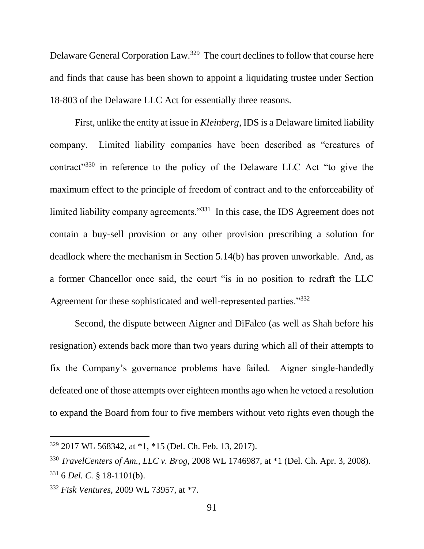Delaware General Corporation Law.<sup>329</sup> The court declines to follow that course here and finds that cause has been shown to appoint a liquidating trustee under Section 18-803 of the Delaware LLC Act for essentially three reasons.

First, unlike the entity at issue in *Kleinberg*, IDS is a Delaware limited liability company. Limited liability companies have been described as "creatures of contract"<sup>330</sup> in reference to the policy of the Delaware LLC Act "to give the maximum effect to the principle of freedom of contract and to the enforceability of limited liability company agreements."<sup>331</sup> In this case, the IDS Agreement does not contain a buy-sell provision or any other provision prescribing a solution for deadlock where the mechanism in Section 5.14(b) has proven unworkable. And, as a former Chancellor once said, the court "is in no position to redraft the LLC Agreement for these sophisticated and well-represented parties."<sup>332</sup>

Second, the dispute between Aigner and DiFalco (as well as Shah before his resignation) extends back more than two years during which all of their attempts to fix the Company's governance problems have failed. Aigner single-handedly defeated one of those attempts over eighteen months ago when he vetoed a resolution to expand the Board from four to five members without veto rights even though the

<sup>329</sup> 2017 WL 568342, at \*1, \*15 (Del. Ch. Feb. 13, 2017).

<sup>330</sup> *TravelCenters of Am., LLC v. Brog*, 2008 WL 1746987, at \*1 (Del. Ch. Apr. 3, 2008). <sup>331</sup> 6 *Del. C.* § 18-1101(b).

<sup>332</sup> *Fisk Ventures*, 2009 WL 73957, at \*7.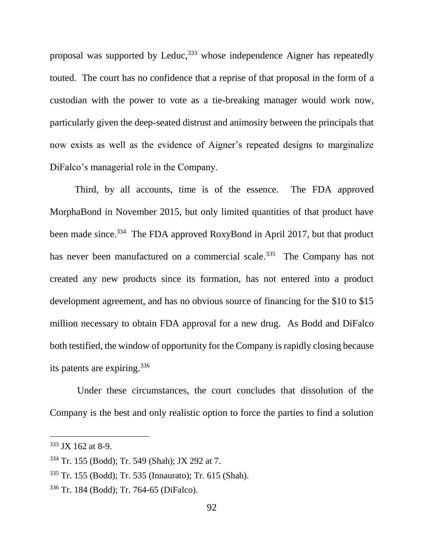proposal was supported by Leduc,  $333$  whose independence Aigner has repeatedly touted. The court has no confidence that a reprise of that proposal in the form of a custodian with the power to vote as a tie-breaking manager would work now, particularly given the deep-seated distrust and animosity between the principals that now exists as well as the evidence of Aigner's repeated designs to marginalize DiFalco's managerial role in the Company.

Third, by all accounts, time is of the essence. The FDA approved MorphaBond in November 2015, but only limited quantities of that product have been made since.<sup>334</sup> The FDA approved RoxyBond in April 2017, but that product has never been manufactured on a commercial scale.<sup>335</sup> The Company has not created any new products since its formation, has not entered into a product development agreement, and has no obvious source of financing for the \$10 to \$15 million necessary to obtain FDA approval for a new drug. As Bodd and DiFalco both testified, the window of opportunity for the Company is rapidly closing because its patents are expiring.<sup>336</sup>

Under these circumstances, the court concludes that dissolution of the Company is the best and only realistic option to force the parties to find a solution

<sup>333</sup> JX 162 at 8-9.

<sup>334</sup> Tr. 155 (Bodd); Tr. 549 (Shah); JX 292 at 7.

<sup>335</sup> Tr. 155 (Bodd); Tr. 535 (Innaurato); Tr. 615 (Shah).

<sup>336</sup> Tr. 184 (Bodd); Tr. 764-65 (DiFalco).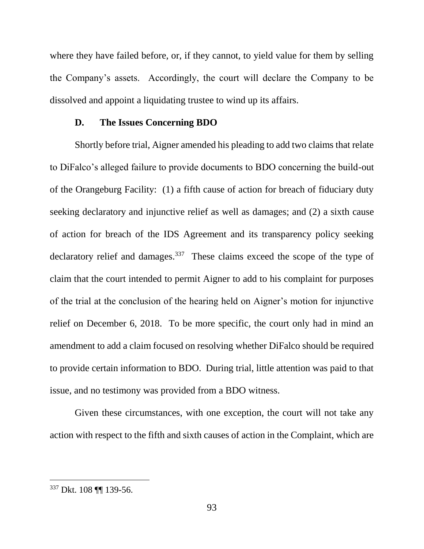where they have failed before, or, if they cannot, to yield value for them by selling the Company's assets. Accordingly, the court will declare the Company to be dissolved and appoint a liquidating trustee to wind up its affairs.

### **D. The Issues Concerning BDO**

Shortly before trial, Aigner amended his pleading to add two claims that relate to DiFalco's alleged failure to provide documents to BDO concerning the build-out of the Orangeburg Facility: (1) a fifth cause of action for breach of fiduciary duty seeking declaratory and injunctive relief as well as damages; and (2) a sixth cause of action for breach of the IDS Agreement and its transparency policy seeking declaratory relief and damages.<sup>337</sup> These claims exceed the scope of the type of claim that the court intended to permit Aigner to add to his complaint for purposes of the trial at the conclusion of the hearing held on Aigner's motion for injunctive relief on December 6, 2018. To be more specific, the court only had in mind an amendment to add a claim focused on resolving whether DiFalco should be required to provide certain information to BDO. During trial, little attention was paid to that issue, and no testimony was provided from a BDO witness.

Given these circumstances, with one exception, the court will not take any action with respect to the fifth and sixth causes of action in the Complaint, which are

<sup>337</sup> Dkt. 108 ¶¶ 139-56.